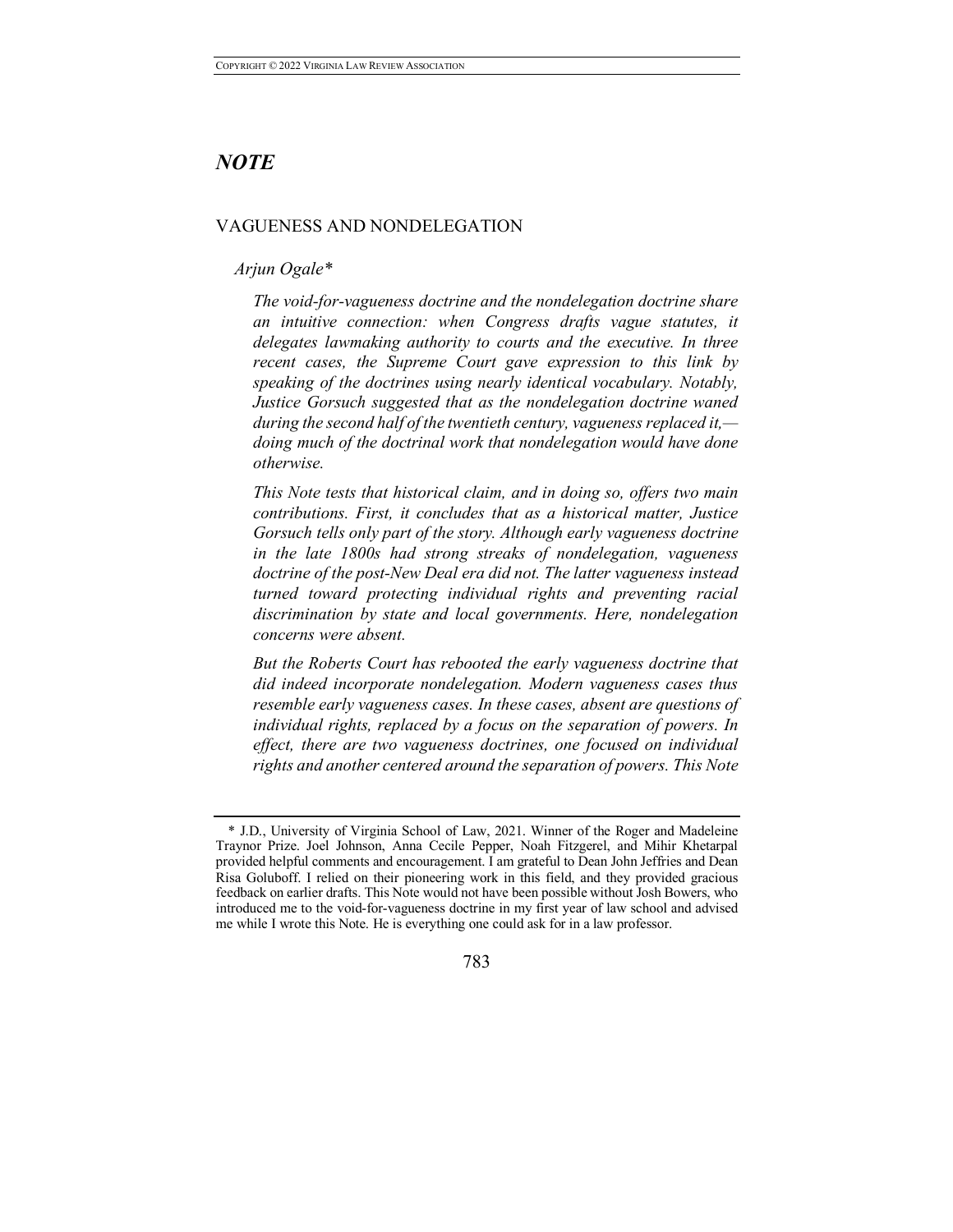# *NOTE*

## VAGUENESS AND NONDELEGATION

## *Arjun Ogale\**

*The void-for-vagueness doctrine and the nondelegation doctrine share an intuitive connection: when Congress drafts vague statutes, it delegates lawmaking authority to courts and the executive. In three recent cases, the Supreme Court gave expression to this link by speaking of the doctrines using nearly identical vocabulary. Notably, Justice Gorsuch suggested that as the nondelegation doctrine waned during the second half of the twentieth century, vagueness replaced it, doing much of the doctrinal work that nondelegation would have done otherwise.* 

*This Note tests that historical claim, and in doing so, offers two main contributions. First, it concludes that as a historical matter, Justice Gorsuch tells only part of the story. Although early vagueness doctrine in the late 1800s had strong streaks of nondelegation, vagueness doctrine of the post-New Deal era did not. The latter vagueness instead turned toward protecting individual rights and preventing racial discrimination by state and local governments. Here, nondelegation concerns were absent.* 

*But the Roberts Court has rebooted the early vagueness doctrine that did indeed incorporate nondelegation. Modern vagueness cases thus resemble early vagueness cases. In these cases, absent are questions of individual rights, replaced by a focus on the separation of powers. In effect, there are two vagueness doctrines, one focused on individual rights and another centered around the separation of powers. This Note* 

<sup>\*</sup> J.D., University of Virginia School of Law, 2021. Winner of the Roger and Madeleine Traynor Prize. Joel Johnson, Anna Cecile Pepper, Noah Fitzgerel, and Mihir Khetarpal provided helpful comments and encouragement. I am grateful to Dean John Jeffries and Dean Risa Goluboff. I relied on their pioneering work in this field, and they provided gracious feedback on earlier drafts. This Note would not have been possible without Josh Bowers, who introduced me to the void-for-vagueness doctrine in my first year of law school and advised me while I wrote this Note. He is everything one could ask for in a law professor.

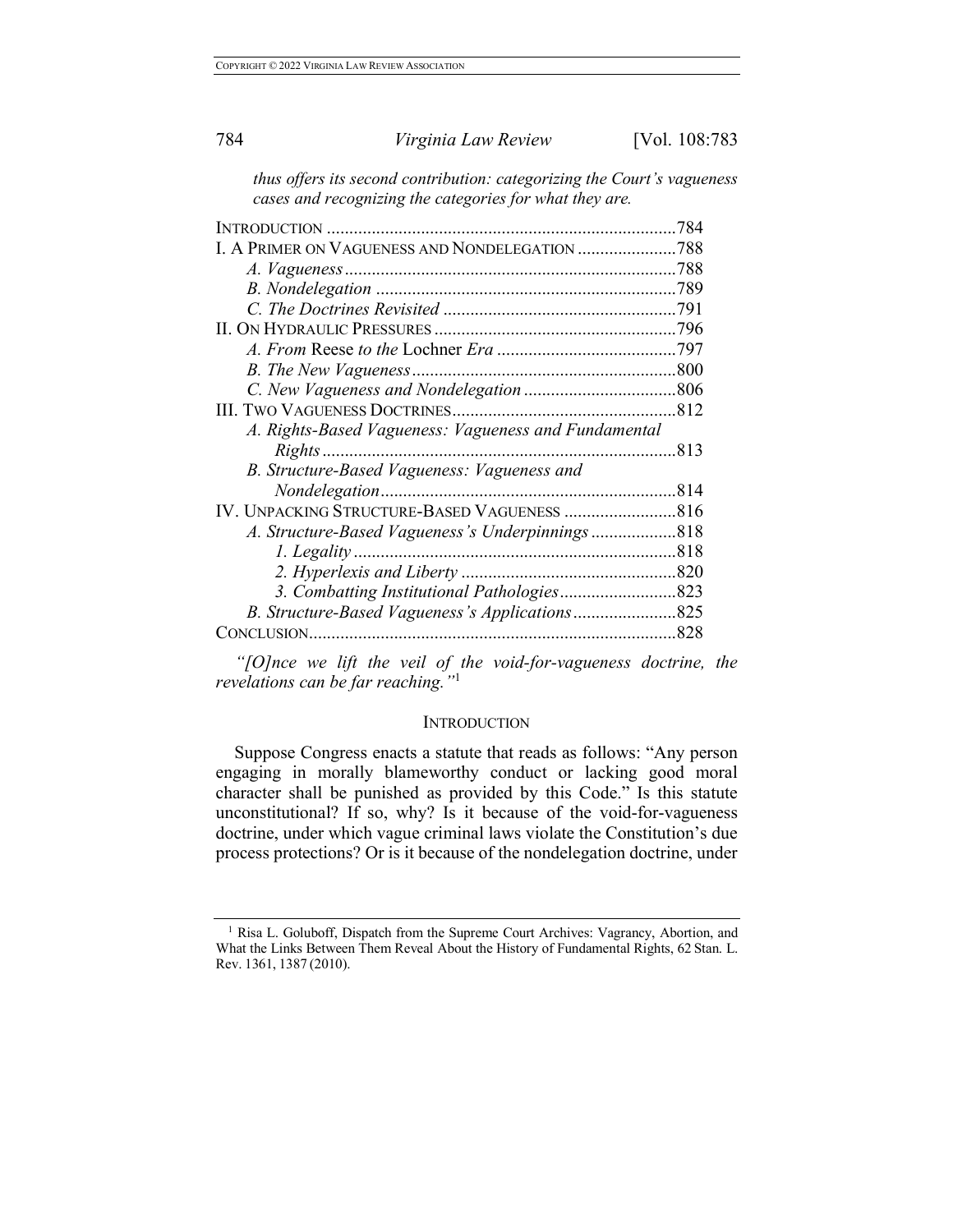*thus offers its second contribution: categorizing the Court's vagueness cases and recognizing the categories for what they are.* 

| <b>INTRODUCTION</b>                                  | 784  |
|------------------------------------------------------|------|
| I. A PRIMER ON VAGUENESS AND NONDELEGATION           | .788 |
|                                                      | .788 |
|                                                      | .789 |
|                                                      |      |
|                                                      |      |
|                                                      |      |
|                                                      |      |
|                                                      |      |
|                                                      |      |
| A. Rights-Based Vagueness: Vagueness and Fundamental |      |
| Rights.                                              | 813  |
| B. Structure-Based Vagueness: Vagueness and          |      |
|                                                      | 814  |
| IV. UNPACKING STRUCTURE-BASED VAGUENESS              | 816  |
|                                                      | 818  |
| 1. Legality                                          | 818  |
|                                                      |      |
|                                                      |      |
|                                                      |      |
| CONCLUSION.                                          | .828 |

*"[O]nce we lift the veil of the void-for-vagueness doctrine, the revelations can be far reaching."*<sup>1</sup>

### **INTRODUCTION**

Suppose Congress enacts a statute that reads as follows: "Any person engaging in morally blameworthy conduct or lacking good moral character shall be punished as provided by this Code." Is this statute unconstitutional? If so, why? Is it because of the void-for-vagueness doctrine, under which vague criminal laws violate the Constitution's due process protections? Or is it because of the nondelegation doctrine, under

<sup>&</sup>lt;sup>1</sup> Risa L. Goluboff, Dispatch from the Supreme Court Archives: Vagrancy, Abortion, and What the Links Between Them Reveal About the History of Fundamental Rights, 62 Stan. L. Rev. 1361, 1387 (2010).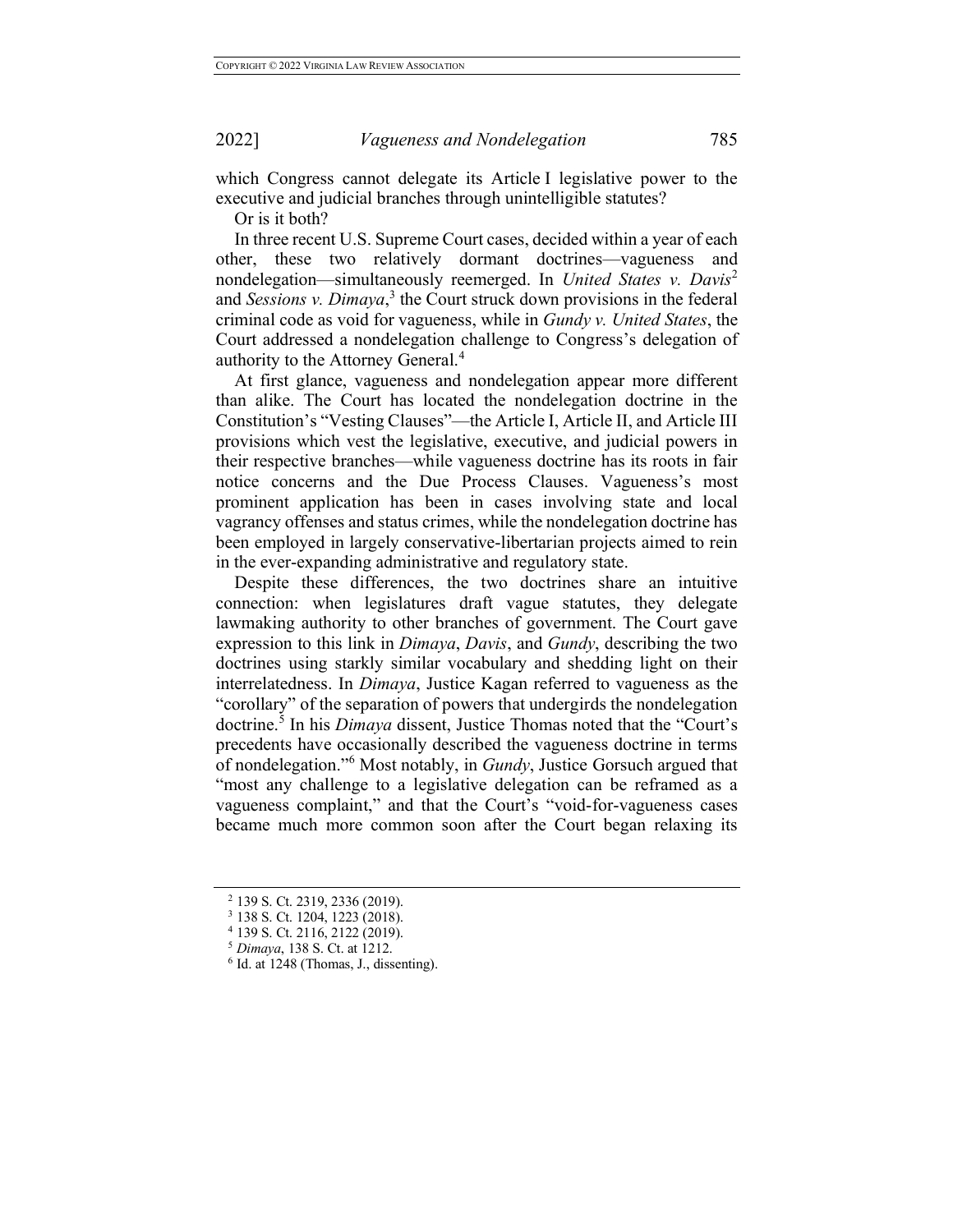which Congress cannot delegate its Article I legislative power to the executive and judicial branches through unintelligible statutes?

Or is it both?

In three recent U.S. Supreme Court cases, decided within a year of each other, these two relatively dormant doctrines—vagueness and nondelegation—simultaneously reemerged. In *United States v. Davis*<sup>2</sup> and *Sessions v. Dimaya*, <sup>3</sup> the Court struck down provisions in the federal criminal code as void for vagueness, while in *Gundy v. United States*, the Court addressed a nondelegation challenge to Congress's delegation of authority to the Attorney General.<sup>4</sup>

At first glance, vagueness and nondelegation appear more different than alike. The Court has located the nondelegation doctrine in the Constitution's "Vesting Clauses"—the Article I, Article II, and Article III provisions which vest the legislative, executive, and judicial powers in their respective branches—while vagueness doctrine has its roots in fair notice concerns and the Due Process Clauses. Vagueness's most prominent application has been in cases involving state and local vagrancy offenses and status crimes, while the nondelegation doctrine has been employed in largely conservative-libertarian projects aimed to rein in the ever-expanding administrative and regulatory state.

Despite these differences, the two doctrines share an intuitive connection: when legislatures draft vague statutes, they delegate lawmaking authority to other branches of government. The Court gave expression to this link in *Dimaya*, *Davis*, and *Gundy*, describing the two doctrines using starkly similar vocabulary and shedding light on their interrelatedness. In *Dimaya*, Justice Kagan referred to vagueness as the "corollary" of the separation of powers that undergirds the nondelegation doctrine.<sup>5</sup> In his *Dimaya* dissent, Justice Thomas noted that the "Court's precedents have occasionally described the vagueness doctrine in terms of nondelegation."<sup>6</sup> Most notably, in *Gundy*, Justice Gorsuch argued that "most any challenge to a legislative delegation can be reframed as a vagueness complaint," and that the Court's "void-for-vagueness cases became much more common soon after the Court began relaxing its

<sup>2</sup> 139 S. Ct. 2319, 2336 (2019). 3 138 S. Ct. 1204, 1223 (2018).

<sup>&</sup>lt;sup>4</sup> 139 S. Ct. 2116, 2122 (2019).<br><sup>5</sup> Dimaya, 138 S. Ct. at 1212.

 $<sup>6</sup>$  Id. at 1248 (Thomas, J., dissenting).</sup>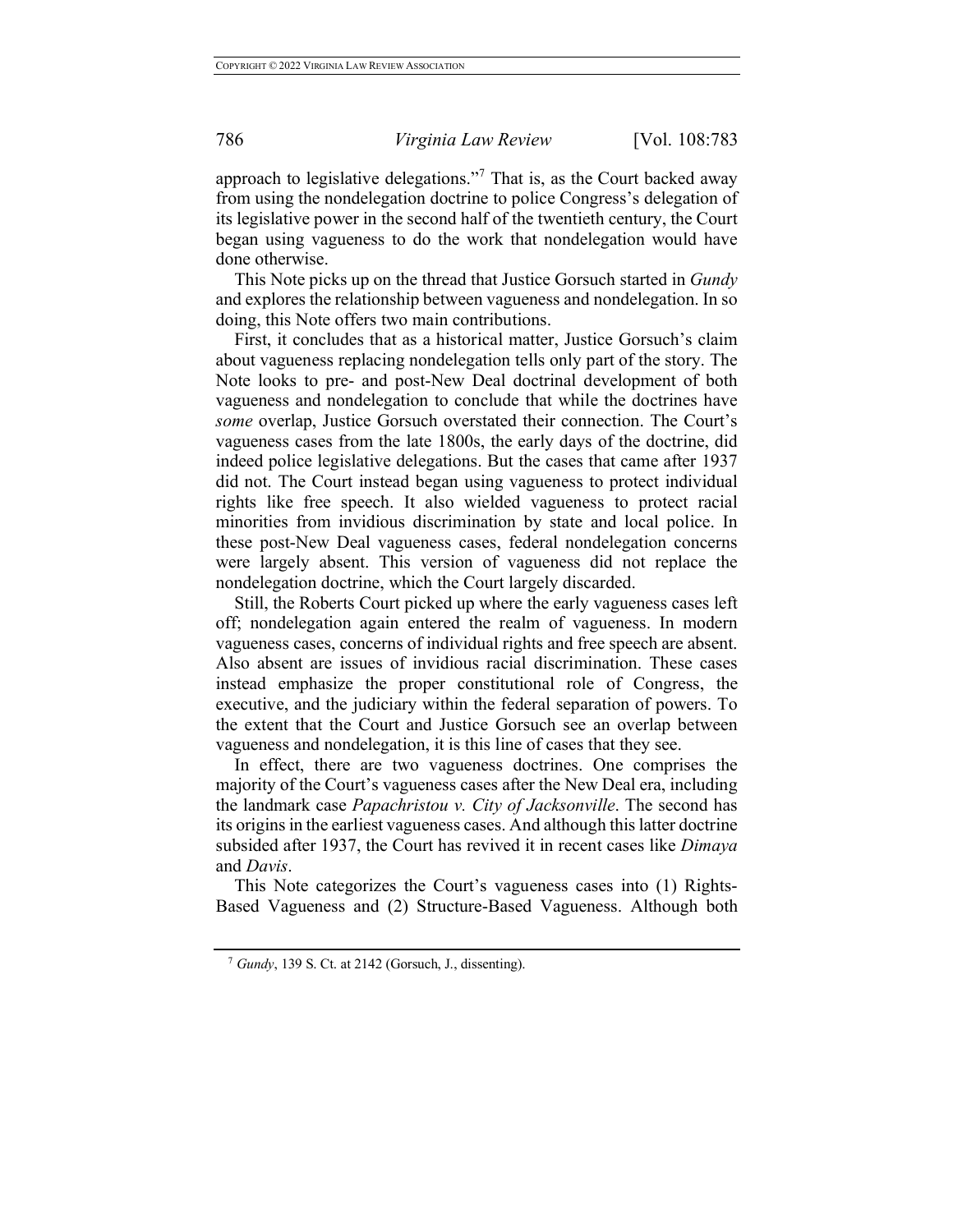approach to legislative delegations."<sup>7</sup> That is, as the Court backed away from using the nondelegation doctrine to police Congress's delegation of its legislative power in the second half of the twentieth century, the Court began using vagueness to do the work that nondelegation would have done otherwise.

This Note picks up on the thread that Justice Gorsuch started in *Gundy* and explores the relationship between vagueness and nondelegation. In so doing, this Note offers two main contributions.

First, it concludes that as a historical matter, Justice Gorsuch's claim about vagueness replacing nondelegation tells only part of the story. The Note looks to pre- and post-New Deal doctrinal development of both vagueness and nondelegation to conclude that while the doctrines have *some* overlap, Justice Gorsuch overstated their connection. The Court's vagueness cases from the late 1800s, the early days of the doctrine, did indeed police legislative delegations. But the cases that came after 1937 did not. The Court instead began using vagueness to protect individual rights like free speech. It also wielded vagueness to protect racial minorities from invidious discrimination by state and local police. In these post-New Deal vagueness cases, federal nondelegation concerns were largely absent. This version of vagueness did not replace the nondelegation doctrine, which the Court largely discarded.

Still, the Roberts Court picked up where the early vagueness cases left off; nondelegation again entered the realm of vagueness. In modern vagueness cases, concerns of individual rights and free speech are absent. Also absent are issues of invidious racial discrimination. These cases instead emphasize the proper constitutional role of Congress, the executive, and the judiciary within the federal separation of powers. To the extent that the Court and Justice Gorsuch see an overlap between vagueness and nondelegation, it is this line of cases that they see.

In effect, there are two vagueness doctrines. One comprises the majority of the Court's vagueness cases after the New Deal era, including the landmark case *Papachristou v. City of Jacksonville*. The second has its origins in the earliest vagueness cases. And although this latter doctrine subsided after 1937, the Court has revived it in recent cases like *Dimaya*  and *Davis*.

This Note categorizes the Court's vagueness cases into (1) Rights-Based Vagueness and (2) Structure-Based Vagueness. Although both

<sup>7</sup> *Gundy*, 139 S. Ct. at 2142 (Gorsuch, J., dissenting).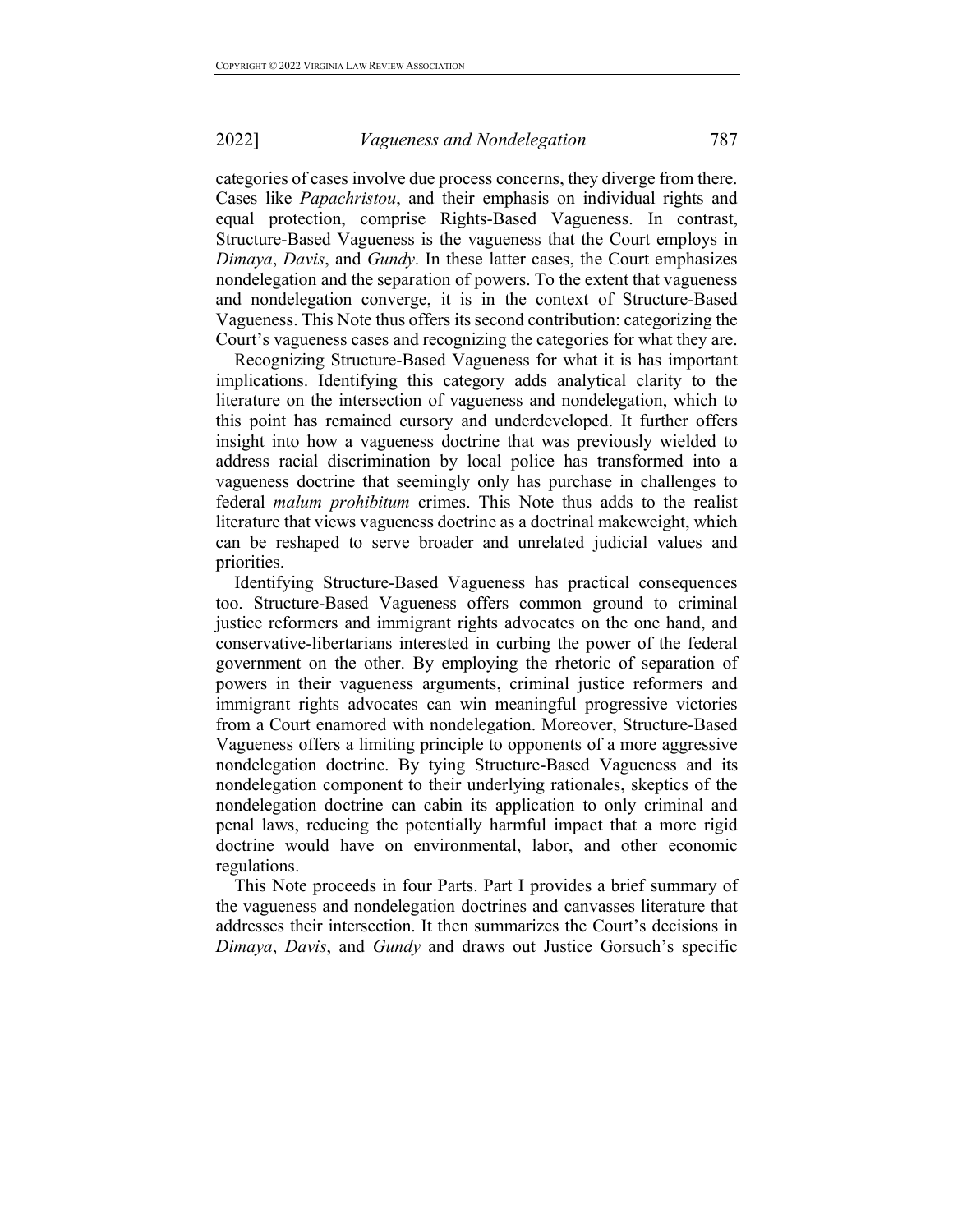categories of cases involve due process concerns, they diverge from there. Cases like *Papachristou*, and their emphasis on individual rights and equal protection, comprise Rights-Based Vagueness. In contrast, Structure-Based Vagueness is the vagueness that the Court employs in *Dimaya*, *Davis*, and *Gundy*. In these latter cases, the Court emphasizes nondelegation and the separation of powers. To the extent that vagueness and nondelegation converge, it is in the context of Structure-Based Vagueness. This Note thus offers its second contribution: categorizing the Court's vagueness cases and recognizing the categories for what they are.

Recognizing Structure-Based Vagueness for what it is has important implications. Identifying this category adds analytical clarity to the literature on the intersection of vagueness and nondelegation, which to this point has remained cursory and underdeveloped. It further offers insight into how a vagueness doctrine that was previously wielded to address racial discrimination by local police has transformed into a vagueness doctrine that seemingly only has purchase in challenges to federal *malum prohibitum* crimes. This Note thus adds to the realist literature that views vagueness doctrine as a doctrinal makeweight, which can be reshaped to serve broader and unrelated judicial values and priorities.

Identifying Structure-Based Vagueness has practical consequences too. Structure-Based Vagueness offers common ground to criminal justice reformers and immigrant rights advocates on the one hand, and conservative-libertarians interested in curbing the power of the federal government on the other. By employing the rhetoric of separation of powers in their vagueness arguments, criminal justice reformers and immigrant rights advocates can win meaningful progressive victories from a Court enamored with nondelegation. Moreover, Structure-Based Vagueness offers a limiting principle to opponents of a more aggressive nondelegation doctrine. By tying Structure-Based Vagueness and its nondelegation component to their underlying rationales, skeptics of the nondelegation doctrine can cabin its application to only criminal and penal laws, reducing the potentially harmful impact that a more rigid doctrine would have on environmental, labor, and other economic regulations.

This Note proceeds in four Parts. Part I provides a brief summary of the vagueness and nondelegation doctrines and canvasses literature that addresses their intersection. It then summarizes the Court's decisions in *Dimaya*, *Davis*, and *Gundy* and draws out Justice Gorsuch's specific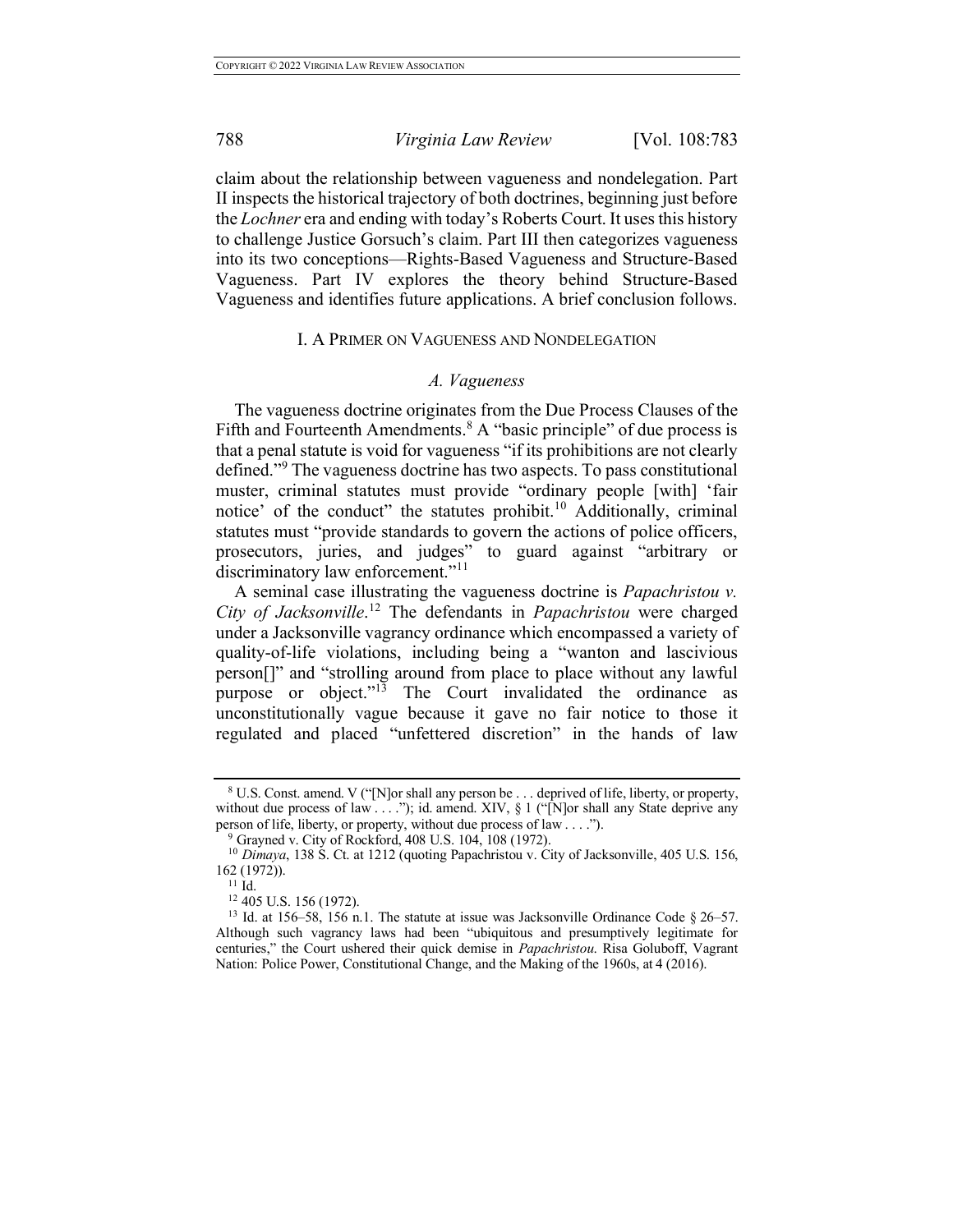claim about the relationship between vagueness and nondelegation. Part II inspects the historical trajectory of both doctrines, beginning just before the *Lochner* era and ending with today's Roberts Court. It uses this history to challenge Justice Gorsuch's claim. Part III then categorizes vagueness into its two conceptions—Rights-Based Vagueness and Structure-Based Vagueness. Part IV explores the theory behind Structure-Based Vagueness and identifies future applications. A brief conclusion follows.

#### I. A PRIMER ON VAGUENESS AND NONDELEGATION

#### *A. Vagueness*

The vagueness doctrine originates from the Due Process Clauses of the Fifth and Fourteenth Amendments. $8 \text{ A}$  "basic principle" of due process is that a penal statute is void for vagueness "if its prohibitions are not clearly defined."<sup>9</sup> The vagueness doctrine has two aspects. To pass constitutional muster, criminal statutes must provide "ordinary people [with] 'fair notice' of the conduct" the statutes prohibit.<sup>10</sup> Additionally, criminal statutes must "provide standards to govern the actions of police officers, prosecutors, juries, and judges" to guard against "arbitrary or discriminatory law enforcement."<sup>11</sup>

A seminal case illustrating the vagueness doctrine is *Papachristou v. City of Jacksonville*. <sup>12</sup> The defendants in *Papachristou* were charged under a Jacksonville vagrancy ordinance which encompassed a variety of quality-of-life violations, including being a "wanton and lascivious person[]" and "strolling around from place to place without any lawful purpose or object."<sup>13</sup> The Court invalidated the ordinance as unconstitutionally vague because it gave no fair notice to those it regulated and placed "unfettered discretion" in the hands of law

<sup>8</sup> U.S. Const. amend. V ("[N]or shall any person be . . . deprived of life, liberty, or property, without due process of law . . . ."); id. amend. XIV, § 1 ("[N]or shall any State deprive any person of life, liberty, or property, without due process of law . . . .").<br><sup>9</sup> Grayned v. City of Rockford, 408 U.S. 104, 108 (1972).

<sup>&</sup>lt;sup>10</sup> Dimaya, 138 S. Ct. at 1212 (quoting Papachristou v. City of Jacksonville, 405 U.S. 156, 162 (1972)).<br><sup>11</sup> Id.<br><sup>12</sup> 405 U.S. 156 (1972).

<sup>&</sup>lt;sup>13</sup> Id. at 156–58, 156 n.1. The statute at issue was Jacksonville Ordinance Code § 26–57. Although such vagrancy laws had been "ubiquitous and presumptively legitimate for centuries," the Court ushered their quick demise in *Papachristou*. Risa Goluboff, Vagrant Nation: Police Power, Constitutional Change, and the Making of the 1960s, at 4 (2016).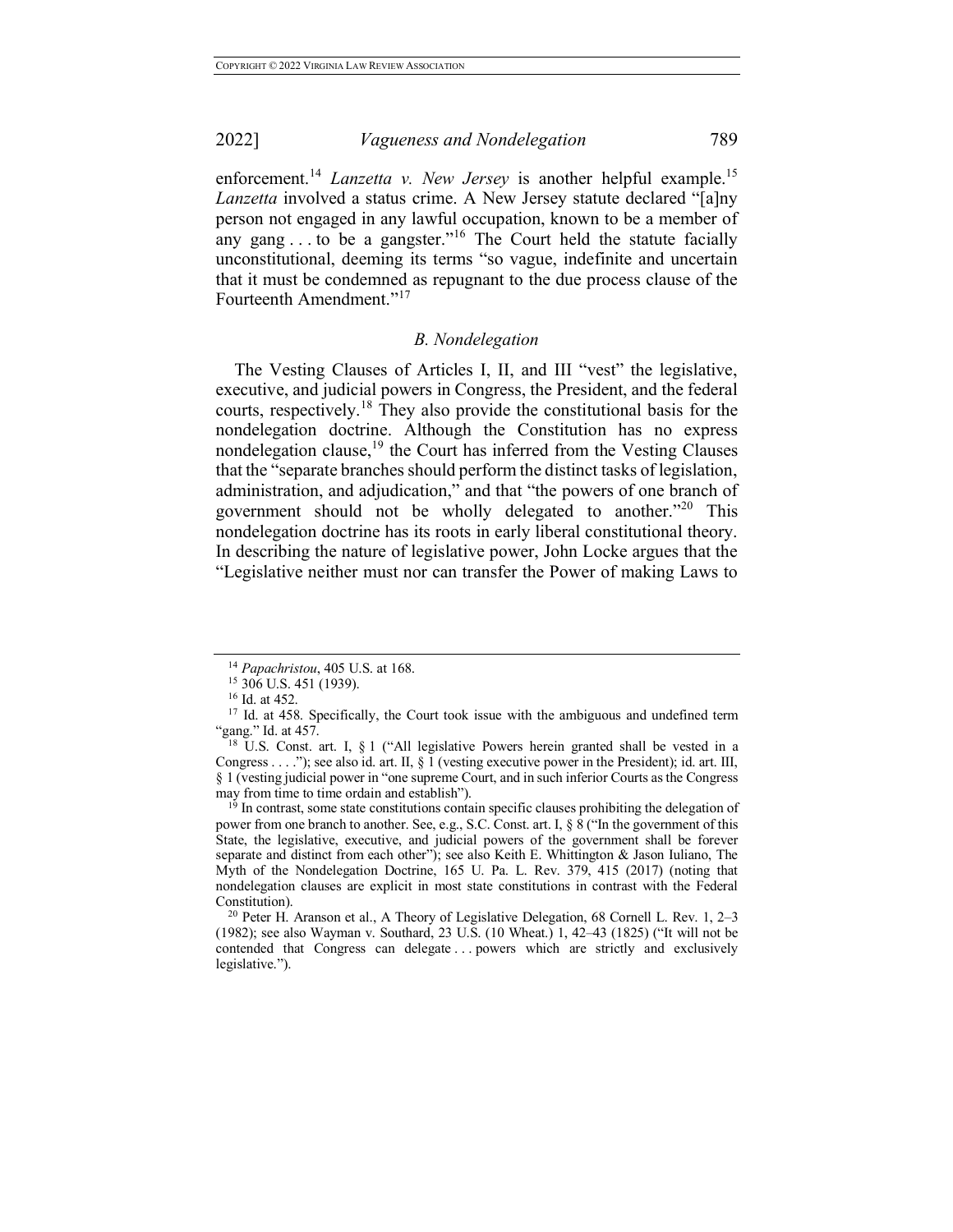enforcement.<sup>14</sup> *Lanzetta v. New Jersey* is another helpful example.<sup>15</sup> *Lanzetta* involved a status crime. A New Jersey statute declared "[a]ny person not engaged in any lawful occupation, known to be a member of any gang  $\ldots$  to be a gangster."<sup>16</sup> The Court held the statute facially unconstitutional, deeming its terms "so vague, indefinite and uncertain that it must be condemned as repugnant to the due process clause of the Fourteenth Amendment."<sup>17</sup>

## *B. Nondelegation*

The Vesting Clauses of Articles I, II, and III "vest" the legislative, executive, and judicial powers in Congress, the President, and the federal courts, respectively. <sup>18</sup> They also provide the constitutional basis for the nondelegation doctrine. Although the Constitution has no express nondelegation clause, $19$  the Court has inferred from the Vesting Clauses that the "separate branches should perform the distinct tasks of legislation, administration, and adjudication," and that "the powers of one branch of government should not be wholly delegated to another."<sup>20</sup> This nondelegation doctrine has its roots in early liberal constitutional theory. In describing the nature of legislative power, John Locke argues that the "Legislative neither must nor can transfer the Power of making Laws to

 $1<sup>9</sup>$  In contrast, some state constitutions contain specific clauses prohibiting the delegation of power from one branch to another. See, e.g., S.C. Const. art. I, § 8 ("In the government of this State, the legislative, executive, and judicial powers of the government shall be forever separate and distinct from each other"); see also Keith E. Whittington & Jason Iuliano, The Myth of the Nondelegation Doctrine, 165 U. Pa. L. Rev. 379, 415 (2017) (noting that nondelegation clauses are explicit in most state constitutions in contrast with the Federal

<sup>20</sup> Peter H. Aranson et al., A Theory of Legislative Delegation, 68 Cornell L. Rev. 1, 2–3 (1982); see also Wayman v. Southard, 23 U.S. (10 Wheat.) 1, 42–43 (1825) ("It will not be contended that Congress can delegate . . . powers which are strictly and exclusively legislative.").

<sup>&</sup>lt;sup>14</sup> *Papachristou*, 405 U.S. at 168.<br><sup>15</sup> 306 U.S. 451 (1939).<br><sup>16</sup> Id. at 452.<br><sup>17</sup> Id. at 458. Specifically, the Court took issue with the ambiguous and undefined term "gang." Id. at  $457$ .

<sup>&</sup>lt;sup>18</sup> U.S. Const. art. I, § 1 ("All legislative Powers herein granted shall be vested in a Congress . . . ."); see also id. art. II, § 1 (vesting executive power in the President); id. art. III, § 1 (vesting judicial power in "one supreme Court, and in such inferior Courts as the Congress may from time to time ordain and establish").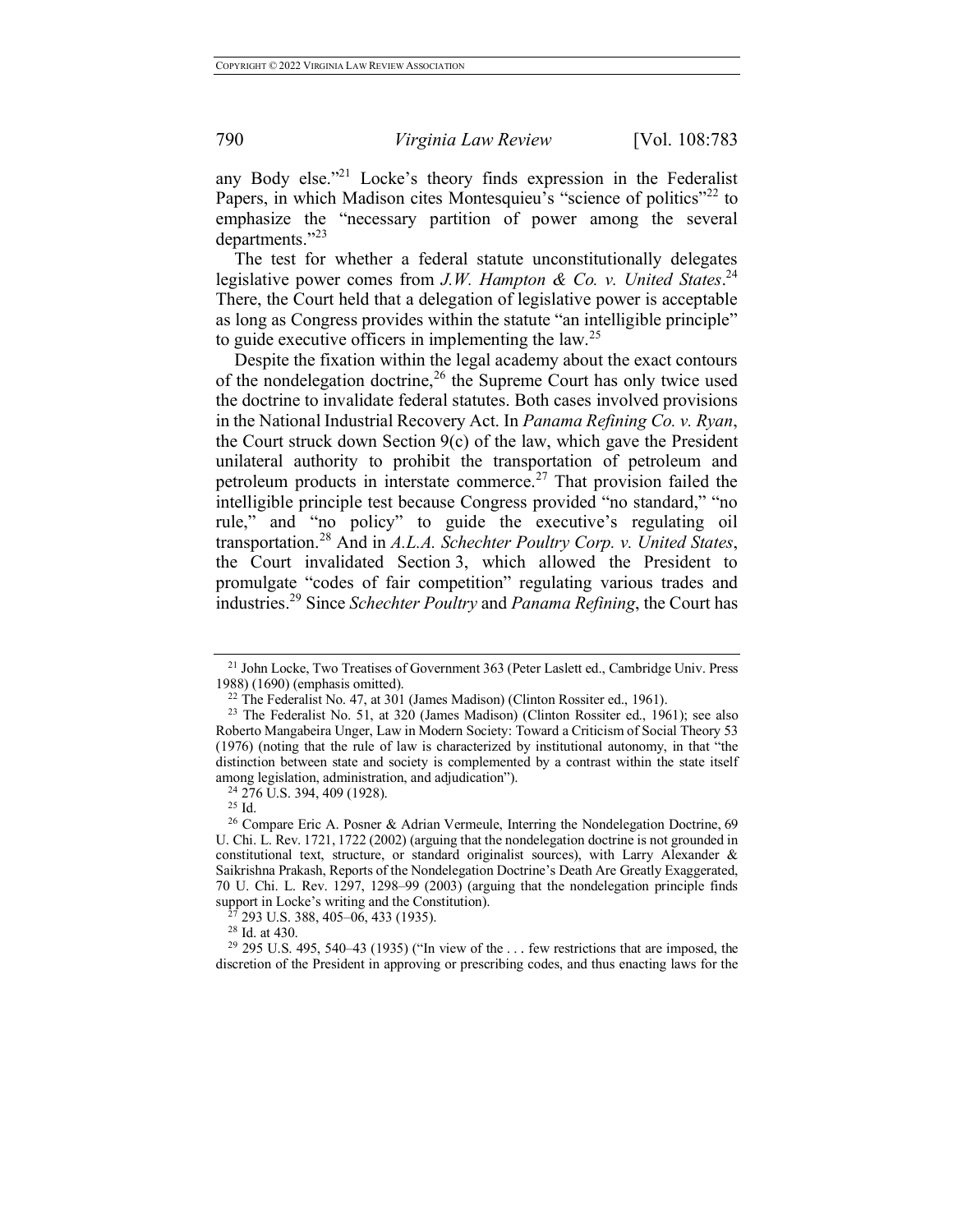any Body else."21 Locke's theory finds expression in the Federalist Papers, in which Madison cites Montesquieu's "science of politics"<sup>22</sup> to emphasize the "necessary partition of power among the several departments."<sup>23</sup>

The test for whether a federal statute unconstitutionally delegates legislative power comes from *J.W. Hampton & Co. v. United States*. 24 There, the Court held that a delegation of legislative power is acceptable as long as Congress provides within the statute "an intelligible principle" to guide executive officers in implementing the law.<sup>25</sup>

Despite the fixation within the legal academy about the exact contours of the nondelegation doctrine,  $26$  the Supreme Court has only twice used the doctrine to invalidate federal statutes. Both cases involved provisions in the National Industrial Recovery Act. In *Panama Refining Co. v. Ryan*, the Court struck down Section 9(c) of the law, which gave the President unilateral authority to prohibit the transportation of petroleum and petroleum products in interstate commerce.<sup>27</sup> That provision failed the intelligible principle test because Congress provided "no standard," "no rule," and "no policy" to guide the executive's regulating oil transportation. <sup>28</sup> And in *A.L.A. Schechter Poultry Corp. v. United States*, the Court invalidated Section 3, which allowed the President to promulgate "codes of fair competition" regulating various trades and industries.<sup>29</sup> Since *Schechter Poultry* and *Panama Refining*, the Court has

<sup>&</sup>lt;sup>21</sup> John Locke, Two Treatises of Government 363 (Peter Laslett ed., Cambridge Univ. Press 1988) (1690) (emphasis omitted).

 $22$  The Federalist No. 47, at 301 (James Madison) (Clinton Rossiter ed., 1961).

<sup>&</sup>lt;sup>23</sup> The Federalist No. 51, at 320 (James Madison) (Clinton Rossiter ed., 1961); see also Roberto Mangabeira Unger, Law in Modern Society: Toward a Criticism of Social Theory 53 (1976) (noting that the rule of law is characterized by institutional autonomy, in that "the distinction between state and society is complemented by a contrast within the state itself among legislation, administration, and adjudication"). 24 276 U.S. 394, 409 (1928).

<sup>25</sup> Id.

<sup>26</sup> Compare Eric A. Posner & Adrian Vermeule, Interring the Nondelegation Doctrine, 69 U. Chi. L. Rev. 1721, 1722 (2002) (arguing that the nondelegation doctrine is not grounded in constitutional text, structure, or standard originalist sources), with Larry Alexander & Saikrishna Prakash, Reports of the Nondelegation Doctrine's Death Are Greatly Exaggerated, 70 U. Chi. L. Rev. 1297, 1298–99 (2003) (arguing that the nondelegation principle finds support in Locke's writing and the Constitution).

 $^{27}_{27}$  293 U.S. 388, 405–06, 433 (1935).<br><sup>28</sup> Id. at 430.

 $29$  295 U.S. 495, 540–43 (1935) ("In view of the  $\dots$  few restrictions that are imposed, the discretion of the President in approving or prescribing codes, and thus enacting laws for the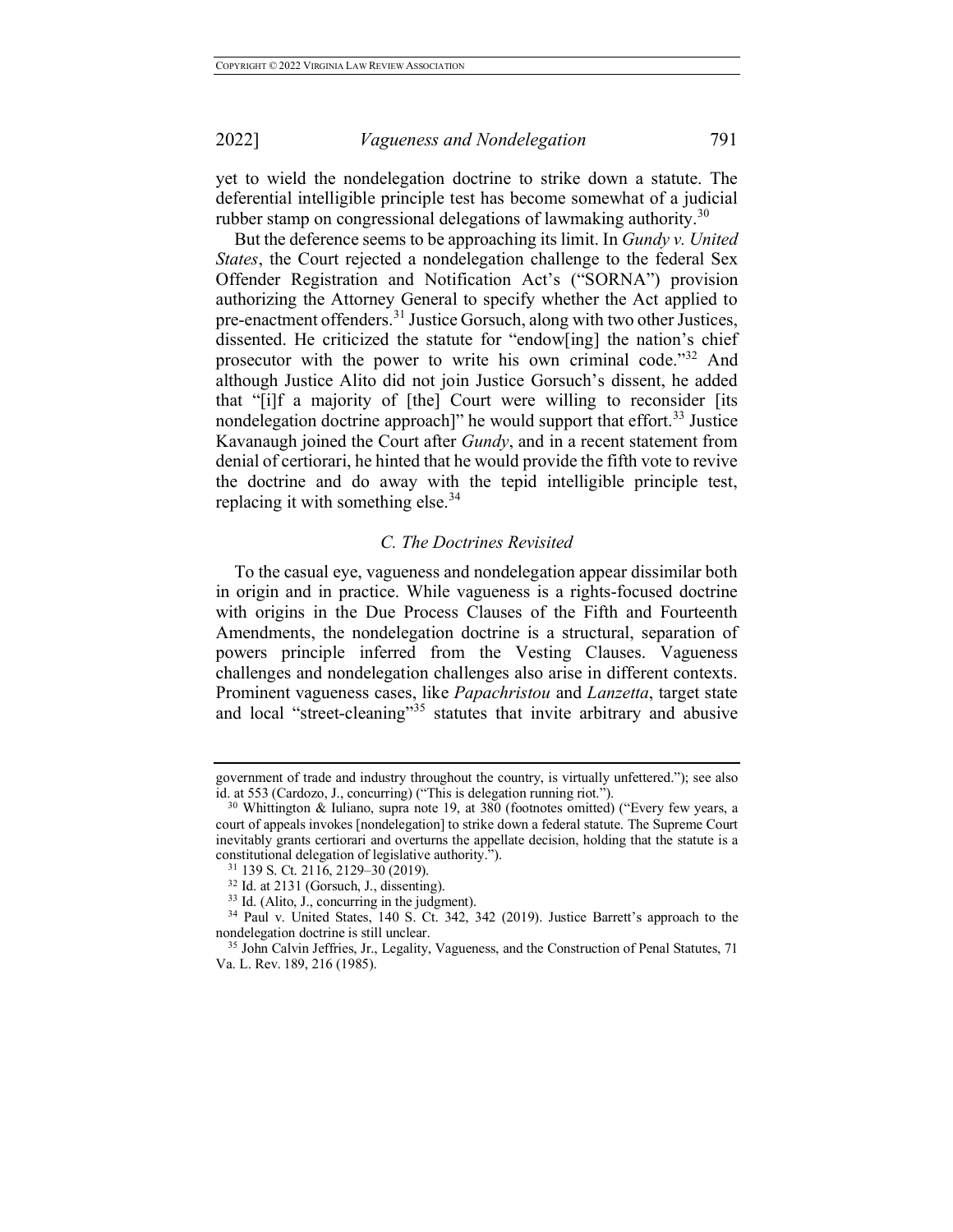yet to wield the nondelegation doctrine to strike down a statute. The deferential intelligible principle test has become somewhat of a judicial rubber stamp on congressional delegations of lawmaking authority.<sup>30</sup>

But the deference seems to be approaching its limit. In *Gundy v. United States*, the Court rejected a nondelegation challenge to the federal Sex Offender Registration and Notification Act's ("SORNA") provision authorizing the Attorney General to specify whether the Act applied to pre-enactment offenders.<sup>31</sup> Justice Gorsuch, along with two other Justices, dissented. He criticized the statute for "endow[ing] the nation's chief prosecutor with the power to write his own criminal code."<sup>32</sup> And although Justice Alito did not join Justice Gorsuch's dissent, he added that "[i]f a majority of [the] Court were willing to reconsider [its nondelegation doctrine approach]" he would support that effort.<sup>33</sup> Justice Kavanaugh joined the Court after *Gundy*, and in a recent statement from denial of certiorari, he hinted that he would provide the fifth vote to revive the doctrine and do away with the tepid intelligible principle test, replacing it with something else. $34$ 

## *C. The Doctrines Revisited*

To the casual eye, vagueness and nondelegation appear dissimilar both in origin and in practice. While vagueness is a rights-focused doctrine with origins in the Due Process Clauses of the Fifth and Fourteenth Amendments, the nondelegation doctrine is a structural, separation of powers principle inferred from the Vesting Clauses. Vagueness challenges and nondelegation challenges also arise in different contexts. Prominent vagueness cases, like *Papachristou* and *Lanzetta*, target state and local "street-cleaning"<sup>35</sup> statutes that invite arbitrary and abusive

government of trade and industry throughout the country, is virtually unfettered."); see also id. at 553 (Cardozo, J., concurring) ("This is delegation running riot.").

 $30$  Whittington & Iuliano, supra note 19, at 380 (footnotes omitted) ("Every few years, a court of appeals invokes [nondelegation] to strike down a federal statute. The Supreme Court inevitably grants certiorari and overturns the appellate decision, holding that the statute is a constitutional delegation of legislative authority.<sup>31</sup> 139 S. Ct. 2116, 2129–30 (2019).

<sup>&</sup>lt;sup>32</sup> Id. at 2131 (Gorsuch, J., dissenting).<br><sup>33</sup> Id. (Alito, J., concurring in the judgment).<br><sup>34</sup> Paul v. United States, 140 S. Ct. 342, 342 (2019). Justice Barrett's approach to the<br>nondelegation doctrine is still uncle

<sup>&</sup>lt;sup>35</sup> John Calvin Jeffries, Jr., Legality, Vagueness, and the Construction of Penal Statutes, 71 Va. L. Rev. 189, 216 (1985).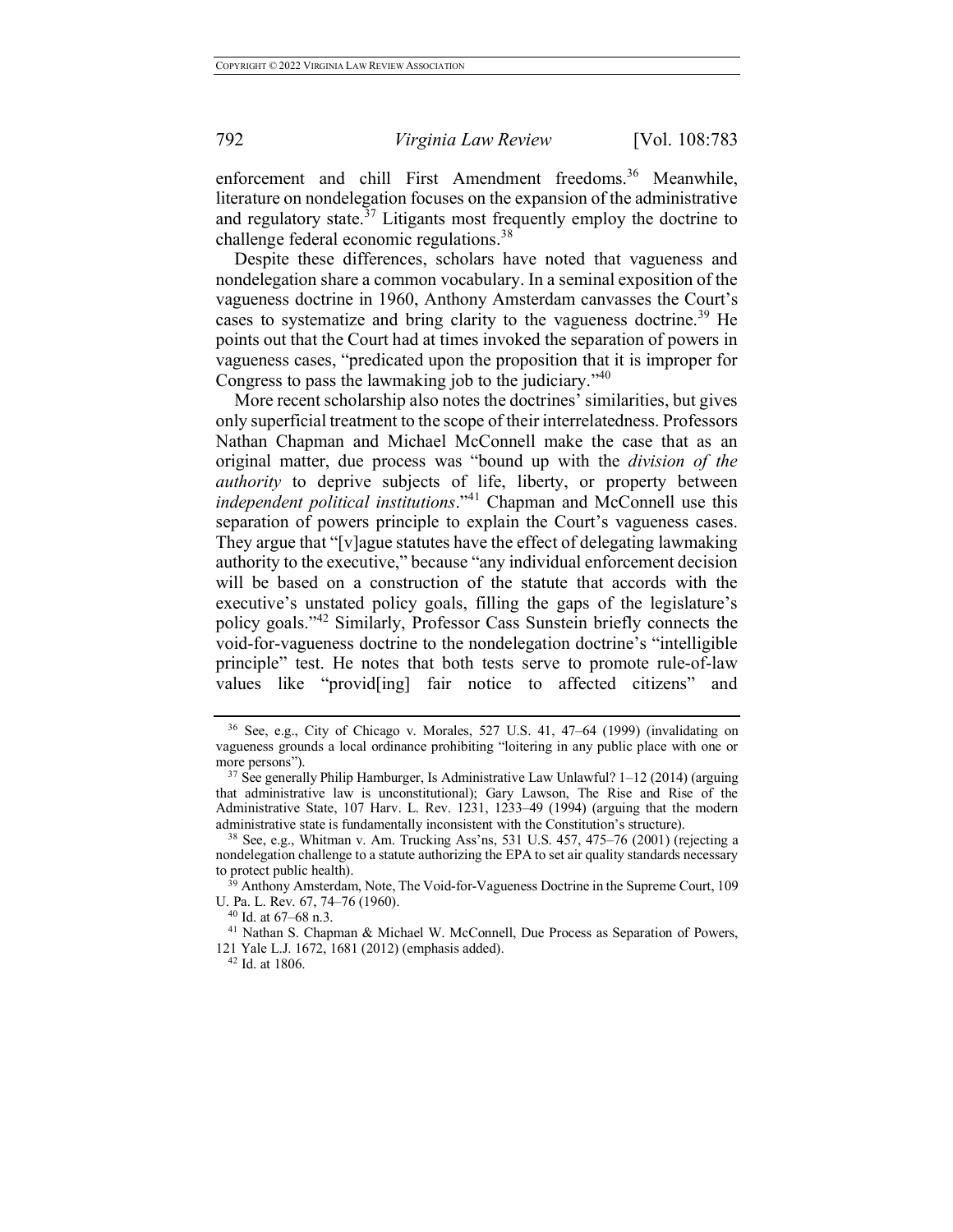enforcement and chill First Amendment freedoms.<sup>36</sup> Meanwhile, literature on nondelegation focuses on the expansion of the administrative and regulatory state.<sup>37</sup> Litigants most frequently employ the doctrine to challenge federal economic regulations.<sup>38</sup>

Despite these differences, scholars have noted that vagueness and nondelegation share a common vocabulary. In a seminal exposition of the vagueness doctrine in 1960, Anthony Amsterdam canvasses the Court's cases to systematize and bring clarity to the vagueness doctrine.<sup>39</sup> He points out that the Court had at times invoked the separation of powers in vagueness cases, "predicated upon the proposition that it is improper for Congress to pass the lawmaking job to the judiciary.<sup> $240$ </sup>

More recent scholarship also notes the doctrines' similarities, but gives only superficial treatment to the scope of their interrelatedness. Professors Nathan Chapman and Michael McConnell make the case that as an original matter, due process was "bound up with the *division of the authority* to deprive subjects of life, liberty, or property between *independent political institutions*."<sup>41</sup> Chapman and McConnell use this separation of powers principle to explain the Court's vagueness cases. They argue that "[v]ague statutes have the effect of delegating lawmaking authority to the executive," because "any individual enforcement decision will be based on a construction of the statute that accords with the executive's unstated policy goals, filling the gaps of the legislature's policy goals."<sup>42</sup> Similarly, Professor Cass Sunstein briefly connects the void-for-vagueness doctrine to the nondelegation doctrine's "intelligible principle" test. He notes that both tests serve to promote rule-of-law values like "provid[ing] fair notice to affected citizens" and

<sup>36</sup> See, e.g., City of Chicago v. Morales, 527 U.S. 41, 47–64 (1999) (invalidating on vagueness grounds a local ordinance prohibiting "loitering in any public place with one or more persons").  $37$  See generally Philip Hamburger, Is Administrative Law Unlawful? 1–12 (2014) (arguing

that administrative law is unconstitutional); Gary Lawson, The Rise and Rise of the Administrative State, 107 Harv. L. Rev. 1231, 1233–49 (1994) (arguing that the modern administrative state is fundamentally inconsistent with the Constitution's structure).

<sup>38</sup> See, e.g., Whitman v. Am. Trucking Ass'ns, 531 U.S. 457, 475–76 (2001) (rejecting a nondelegation challenge to a statute authorizing the EPA to set air quality standards necessary to protect public health).

 $t^{39}$  Anthony Amsterdam, Note, The Void-for-Vagueness Doctrine in the Supreme Court, 109 U. Pa. L. Rev. 67, 74–76 (1960).

<sup>40</sup> Id. at 67–68 n.3.

<sup>&</sup>lt;sup>41</sup> Nathan S. Chapman & Michael W. McConnell, Due Process as Separation of Powers, 121 Yale L.J. 1672, 1681 (2012) (emphasis added).

<sup>42</sup> Id. at 1806.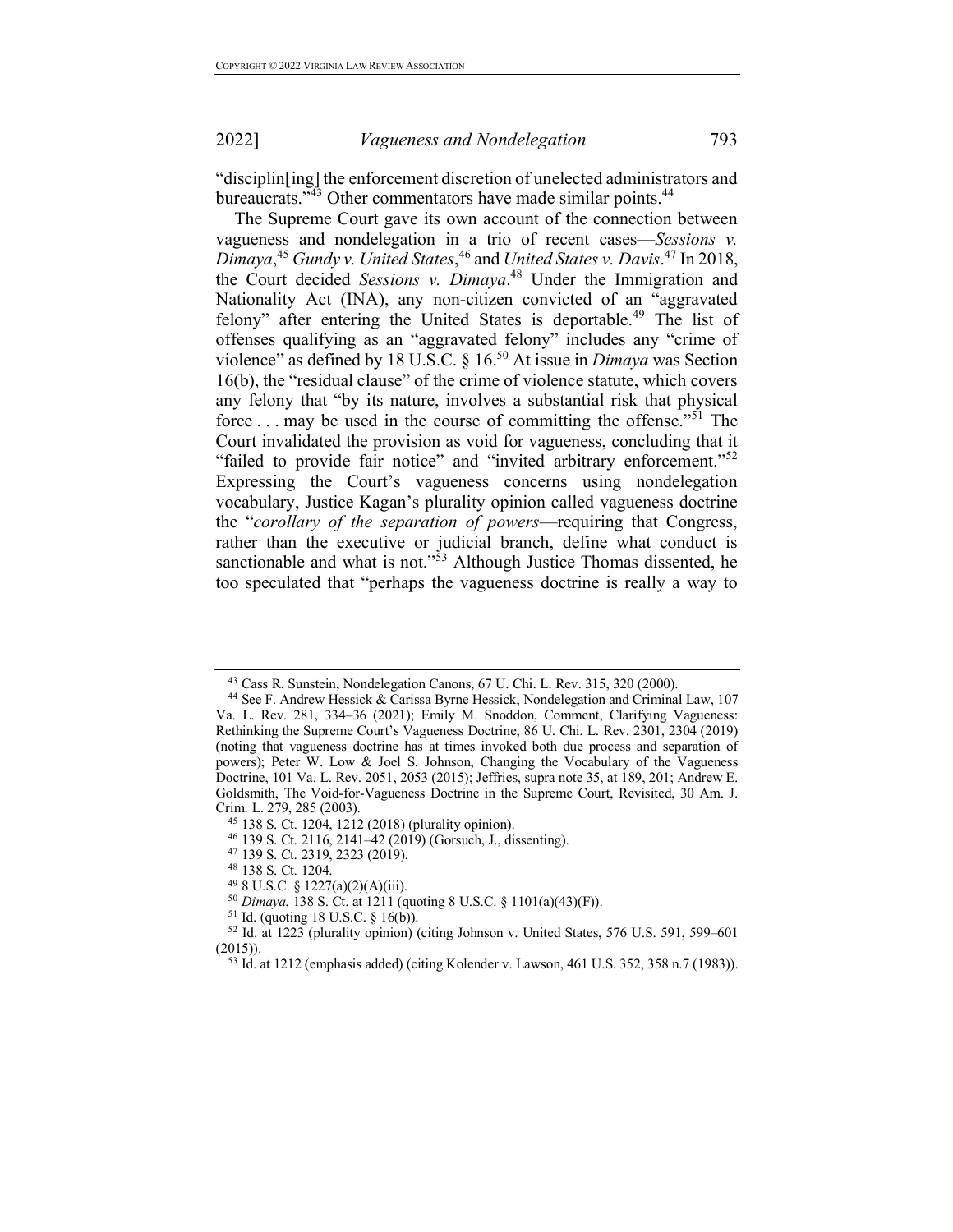"disciplin[ing] the enforcement discretion of unelected administrators and bureaucrats."<sup>43</sup> Other commentators have made similar points.<sup>44</sup>

The Supreme Court gave its own account of the connection between vagueness and nondelegation in a trio of recent cases—*Sessions v. Dimaya*, <sup>45</sup> *Gundy v. United States*, <sup>46</sup> and *United States v. Davis*. <sup>47</sup> In 2018, the Court decided *Sessions v. Dimaya*. <sup>48</sup> Under the Immigration and Nationality Act (INA), any non-citizen convicted of an "aggravated felony" after entering the United States is deportable.<sup>49</sup> The list of offenses qualifying as an "aggravated felony" includes any "crime of violence" as defined by 18 U.S.C. § 16.<sup>50</sup> At issue in *Dimaya* was Section 16(b), the "residual clause" of the crime of violence statute, which covers any felony that "by its nature, involves a substantial risk that physical force . . . may be used in the course of committing the offense."<sup>51</sup> The Court invalidated the provision as void for vagueness, concluding that it "failed to provide fair notice" and "invited arbitrary enforcement."<sup>52</sup> Expressing the Court's vagueness concerns using nondelegation vocabulary, Justice Kagan's plurality opinion called vagueness doctrine the "*corollary of the separation of powers*—requiring that Congress, rather than the executive or judicial branch, define what conduct is sanctionable and what is not."<sup>53</sup> Although Justice Thomas dissented, he too speculated that "perhaps the vagueness doctrine is really a way to

<sup>43</sup> Cass R. Sunstein, Nondelegation Canons, 67 U. Chi. L. Rev. 315, 320 (2000).

<sup>44</sup> See F. Andrew Hessick & Carissa Byrne Hessick, Nondelegation and Criminal Law, 107 Va. L. Rev. 281, 334–36 (2021); Emily M. Snoddon, Comment, Clarifying Vagueness: Rethinking the Supreme Court's Vagueness Doctrine, 86 U. Chi. L. Rev. 2301, 2304 (2019) (noting that vagueness doctrine has at times invoked both due process and separation of powers); Peter W. Low & Joel S. Johnson, Changing the Vocabulary of the Vagueness Doctrine, 101 Va. L. Rev. 2051, 2053 (2015); Jeffries, supra note 35, at 189, 201; Andrew E. Goldsmith, The Void-for-Vagueness Doctrine in the Supreme Court, Revisited, 30 Am. J. Crim. L. 279, 285 (2003).

<sup>45</sup> 138 S. Ct. 1204, 1212 (2018) (plurality opinion).

<sup>46</sup> 139 S. Ct. 2116, 2141–42 (2019) (Gorsuch, J., dissenting).

<sup>47</sup> 139 S. Ct. 2319, 2323 (2019). 48 138 S. Ct. 1204.

<sup>&</sup>lt;sup>49</sup> 8 U.S.C. § 1227(a)(2)(A)(iii).<br><sup>50</sup> Dimaya, 138 S. Ct. at 1211 (quoting 8 U.S.C. § 1101(a)(43)(F)).

<sup>&</sup>lt;sup>51</sup> Id. (quoting 18 U.S.C. § 16(b)).  $52$  Id. at 1223 (plurality opinion) (citing Johnson v. United States, 576 U.S. 591, 599–601 (2015)).

<sup>53</sup> Id. at 1212 (emphasis added) (citing Kolender v. Lawson, 461 U.S. 352, 358 n.7 (1983)).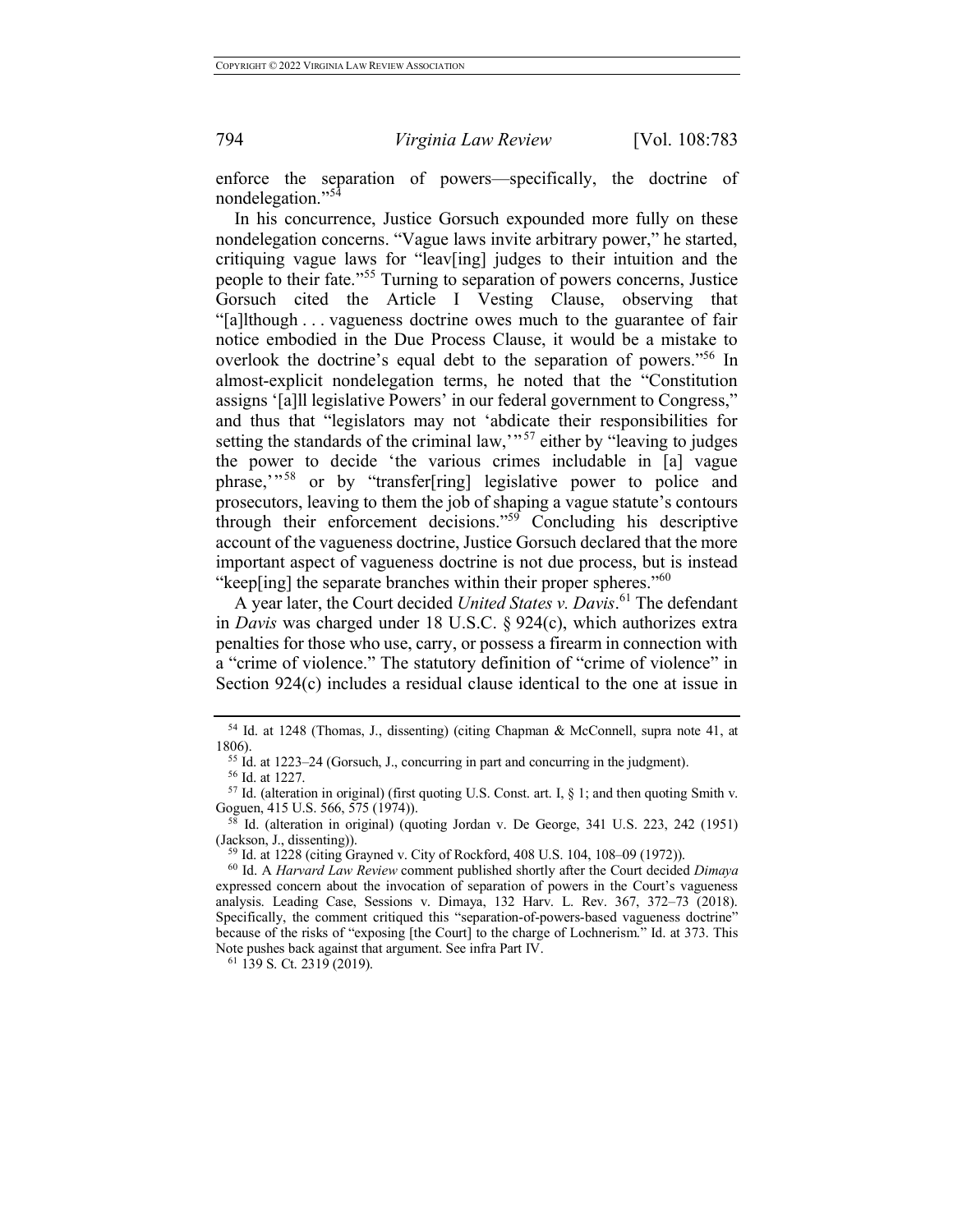enforce the separation of powers—specifically, the doctrine of nondelegation."<sup>54</sup>

In his concurrence, Justice Gorsuch expounded more fully on these nondelegation concerns. "Vague laws invite arbitrary power," he started, critiquing vague laws for "leav[ing] judges to their intuition and the people to their fate."<sup>55</sup> Turning to separation of powers concerns, Justice Gorsuch cited the Article I Vesting Clause, observing that "[a]lthough . . . vagueness doctrine owes much to the guarantee of fair notice embodied in the Due Process Clause, it would be a mistake to overlook the doctrine's equal debt to the separation of powers."56 In almost-explicit nondelegation terms, he noted that the "Constitution assigns '[a]ll legislative Powers' in our federal government to Congress," and thus that "legislators may not 'abdicate their responsibilities for setting the standards of the criminal law,  $\frac{1}{57}$  either by "leaving to judges" the power to decide 'the various crimes includable in [a] vague phrase,"<sup>58</sup> or by "transfer[ring] legislative power to police and prosecutors, leaving to them the job of shaping a vague statute's contours through their enforcement decisions." $59$  Concluding his descriptive account of the vagueness doctrine, Justice Gorsuch declared that the more important aspect of vagueness doctrine is not due process, but is instead "keep[ing] the separate branches within their proper spheres."<sup>60</sup>

A year later, the Court decided *United States v. Davis*. <sup>61</sup> The defendant in *Davis* was charged under 18 U.S.C. § 924(c), which authorizes extra penalties for those who use, carry, or possess a firearm in connection with a "crime of violence." The statutory definition of "crime of violence" in Section 924(c) includes a residual clause identical to the one at issue in

 $61$  139 S. Ct. 2319 (2019).

<sup>54</sup> Id. at 1248 (Thomas, J., dissenting) (citing Chapman & McConnell, supra note 41, at 1806).

<sup>55</sup> Id. at 1223–24 (Gorsuch, J., concurring in part and concurring in the judgment).

<sup>56</sup> Id. at 1227.

 $57$  Id. (alteration in original) (first quoting U.S. Const. art. I, § 1; and then quoting Smith v. Goguen, 415 U.S. 566, 575 (1974)).

<sup>58</sup> Id. (alteration in original) (quoting Jordan v. De George, 341 U.S. 223, 242 (1951) (Jackson, J., dissenting)).

<sup>59</sup> Id. at 1228 (citing Grayned v. City of Rockford, 408 U.S. 104, 108–09 (1972)).

<sup>60</sup> Id. A *Harvard Law Review* comment published shortly after the Court decided *Dimaya*  expressed concern about the invocation of separation of powers in the Court's vagueness analysis. Leading Case, Sessions v. Dimaya, 132 Harv. L. Rev. 367, 372–73 (2018). Specifically, the comment critiqued this "separation-of-powers-based vagueness doctrine" because of the risks of "exposing [the Court] to the charge of Lochnerism." Id. at 373. This Note pushes back against that argument. See infra Part IV.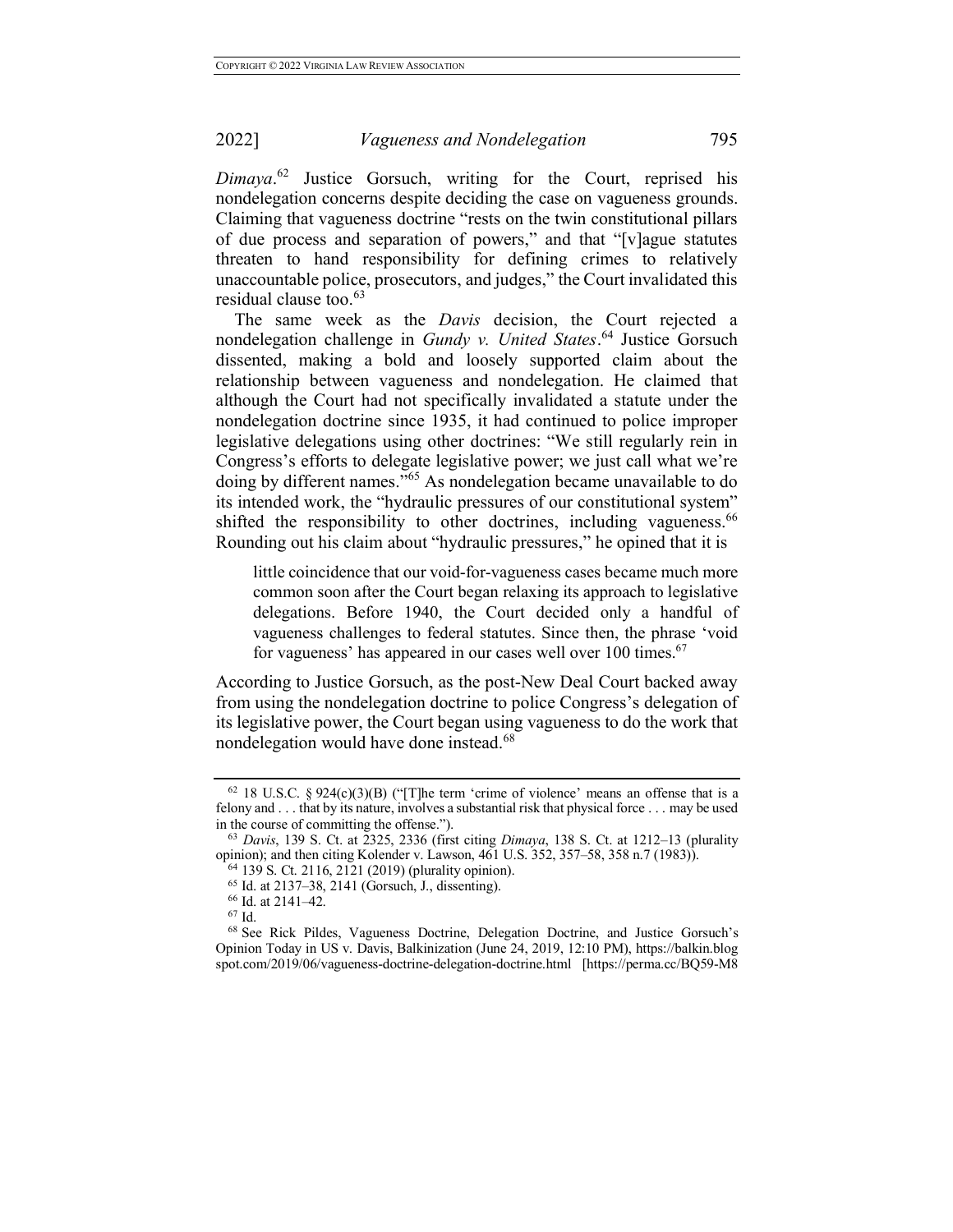*Dimaya*. <sup>62</sup> Justice Gorsuch, writing for the Court, reprised his nondelegation concerns despite deciding the case on vagueness grounds. Claiming that vagueness doctrine "rests on the twin constitutional pillars of due process and separation of powers," and that "[v]ague statutes threaten to hand responsibility for defining crimes to relatively unaccountable police, prosecutors, and judges," the Court invalidated this residual clause too. $63$ 

The same week as the *Davis* decision, the Court rejected a nondelegation challenge in *Gundy v. United States*. <sup>64</sup> Justice Gorsuch dissented, making a bold and loosely supported claim about the relationship between vagueness and nondelegation. He claimed that although the Court had not specifically invalidated a statute under the nondelegation doctrine since 1935, it had continued to police improper legislative delegations using other doctrines: "We still regularly rein in Congress's efforts to delegate legislative power; we just call what we're doing by different names."<sup>65</sup> As nondelegation became unavailable to do its intended work, the "hydraulic pressures of our constitutional system" shifted the responsibility to other doctrines, including vagueness.<sup>66</sup> Rounding out his claim about "hydraulic pressures," he opined that it is

little coincidence that our void-for-vagueness cases became much more common soon after the Court began relaxing its approach to legislative delegations. Before 1940, the Court decided only a handful of vagueness challenges to federal statutes. Since then, the phrase 'void for vagueness' has appeared in our cases well over 100 times.<sup>67</sup>

According to Justice Gorsuch, as the post-New Deal Court backed away from using the nondelegation doctrine to police Congress's delegation of its legislative power, the Court began using vagueness to do the work that nondelegation would have done instead.<sup>68</sup>

<sup>&</sup>lt;sup>62</sup> 18 U.S.C. § 924(c)(3)(B) ("[T]he term 'crime of violence' means an offense that is a felony and . . . that by its nature, involves a substantial risk that physical force . . . may be used in the course of committing the offense.").

<sup>63</sup> *Davis*, 139 S. Ct. at 2325, 2336 (first citing *Dimaya*, 138 S. Ct. at 1212–13 (plurality opinion); and then citing Kolender v. Lawson, 461 U.S. 352, 357–58, 358 n.7 (1983)).

<sup>64</sup> 139 S. Ct. 2116, 2121 (2019) (plurality opinion).

<sup>65</sup> Id. at 2137–38, 2141 (Gorsuch, J., dissenting).

<sup>66</sup> Id. at 2141–42.

<sup>67</sup> Id.

<sup>68</sup> See Rick Pildes, Vagueness Doctrine, Delegation Doctrine, and Justice Gorsuch's Opinion Today in US v. Davis, Balkinization (June 24, 2019, 12:10 PM), https://balkin.blog spot.com/2019/06/vagueness-doctrine-delegation-doctrine.html [https://perma.cc/BQ59-M8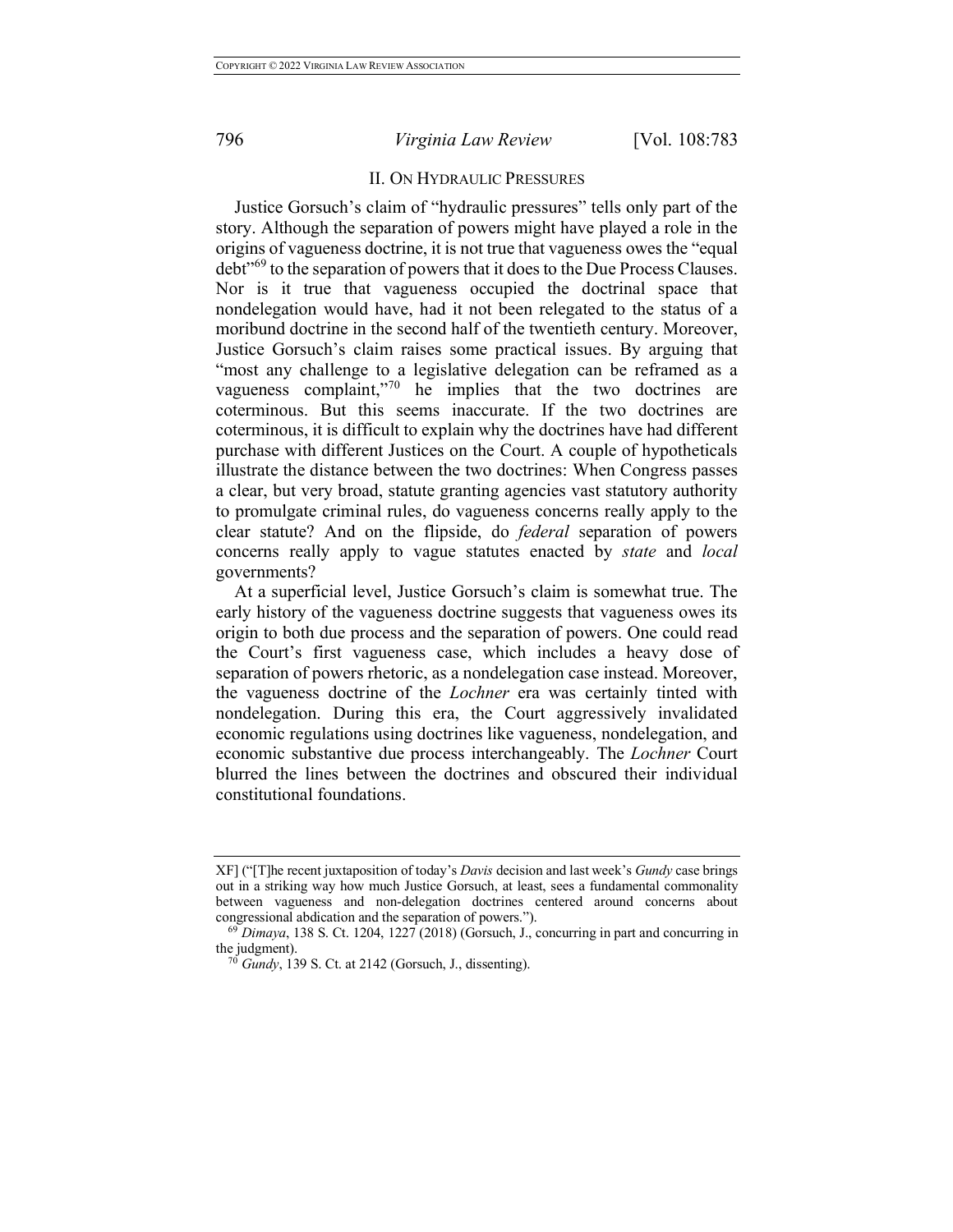# II. ON HYDRAULIC PRESSURES

Justice Gorsuch's claim of "hydraulic pressures" tells only part of the story. Although the separation of powers might have played a role in the origins of vagueness doctrine, it is not true that vagueness owes the "equal debt"<sup>69</sup> to the separation of powers that it does to the Due Process Clauses. Nor is it true that vagueness occupied the doctrinal space that nondelegation would have, had it not been relegated to the status of a moribund doctrine in the second half of the twentieth century. Moreover, Justice Gorsuch's claim raises some practical issues. By arguing that "most any challenge to a legislative delegation can be reframed as a vagueness complaint,"<sup>70</sup> he implies that the two doctrines are coterminous. But this seems inaccurate. If the two doctrines are coterminous, it is difficult to explain why the doctrines have had different purchase with different Justices on the Court. A couple of hypotheticals illustrate the distance between the two doctrines: When Congress passes a clear, but very broad, statute granting agencies vast statutory authority to promulgate criminal rules, do vagueness concerns really apply to the clear statute? And on the flipside, do *federal* separation of powers concerns really apply to vague statutes enacted by *state* and *local*  governments?

At a superficial level, Justice Gorsuch's claim is somewhat true. The early history of the vagueness doctrine suggests that vagueness owes its origin to both due process and the separation of powers. One could read the Court's first vagueness case, which includes a heavy dose of separation of powers rhetoric, as a nondelegation case instead. Moreover, the vagueness doctrine of the *Lochner* era was certainly tinted with nondelegation. During this era, the Court aggressively invalidated economic regulations using doctrines like vagueness, nondelegation, and economic substantive due process interchangeably. The *Lochner* Court blurred the lines between the doctrines and obscured their individual constitutional foundations.

XF] ("[T]he recent juxtaposition of today's *Davis* decision and last week's *Gundy* case brings out in a striking way how much Justice Gorsuch, at least, sees a fundamental commonality between vagueness and non-delegation doctrines centered around concerns about congressional abdication and the separation of powers.").

<sup>69</sup> *Dimaya*, 138 S. Ct. 1204, 1227 (2018) (Gorsuch, J., concurring in part and concurring in the judgment).

*Gundy*, 139 S. Ct. at 2142 (Gorsuch, J., dissenting).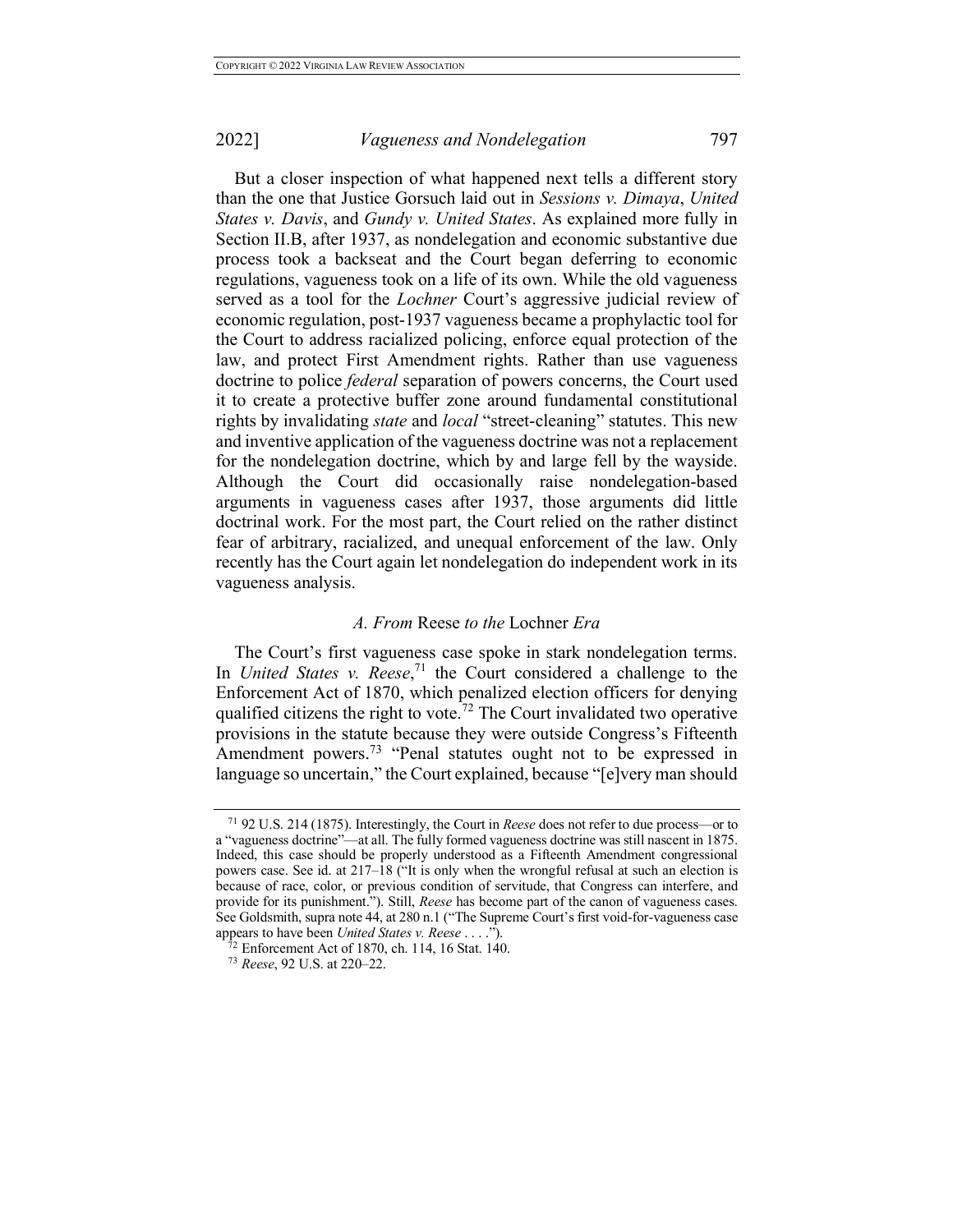But a closer inspection of what happened next tells a different story than the one that Justice Gorsuch laid out in *Sessions v. Dimaya*, *United States v. Davis*, and *Gundy v. United States*. As explained more fully in Section II.B, after 1937, as nondelegation and economic substantive due process took a backseat and the Court began deferring to economic regulations, vagueness took on a life of its own. While the old vagueness served as a tool for the *Lochner* Court's aggressive judicial review of economic regulation, post-1937 vagueness became a prophylactic tool for the Court to address racialized policing, enforce equal protection of the law, and protect First Amendment rights. Rather than use vagueness doctrine to police *federal* separation of powers concerns, the Court used it to create a protective buffer zone around fundamental constitutional rights by invalidating *state* and *local* "street-cleaning" statutes. This new and inventive application of the vagueness doctrine was not a replacement for the nondelegation doctrine, which by and large fell by the wayside. Although the Court did occasionally raise nondelegation-based arguments in vagueness cases after 1937, those arguments did little doctrinal work. For the most part, the Court relied on the rather distinct fear of arbitrary, racialized, and unequal enforcement of the law. Only recently has the Court again let nondelegation do independent work in its vagueness analysis.

## *A. From* Reese *to the* Lochner *Era*

The Court's first vagueness case spoke in stark nondelegation terms. In *United States v. Reese*, <sup>71</sup> the Court considered a challenge to the Enforcement Act of 1870, which penalized election officers for denying qualified citizens the right to vote.<sup>72</sup> The Court invalidated two operative provisions in the statute because they were outside Congress's Fifteenth Amendment powers. <sup>73</sup> "Penal statutes ought not to be expressed in language so uncertain," the Court explained, because "[e]very man should

<sup>71</sup> 92 U.S. 214 (1875). Interestingly, the Court in *Reese* does not refer to due process—or to a "vagueness doctrine"—at all. The fully formed vagueness doctrine was still nascent in 1875. Indeed, this case should be properly understood as a Fifteenth Amendment congressional powers case. See id. at  $217-18$  ("It is only when the wrongful refusal at such an election is because of race, color, or previous condition of servitude, that Congress can interfere, and provide for its punishment."). Still, *Reese* has become part of the canon of vagueness cases. See Goldsmith, supra note 44, at 280 n.1 ("The Supreme Court's first void-for-vagueness case appears to have been *United States v. Reese* . . . .").

 $\bar{C}$ <sup>2</sup> Enforcement Act of 1870, ch. 114, 16 Stat. 140.

<sup>73</sup> *Reese*, 92 U.S. at 220–22.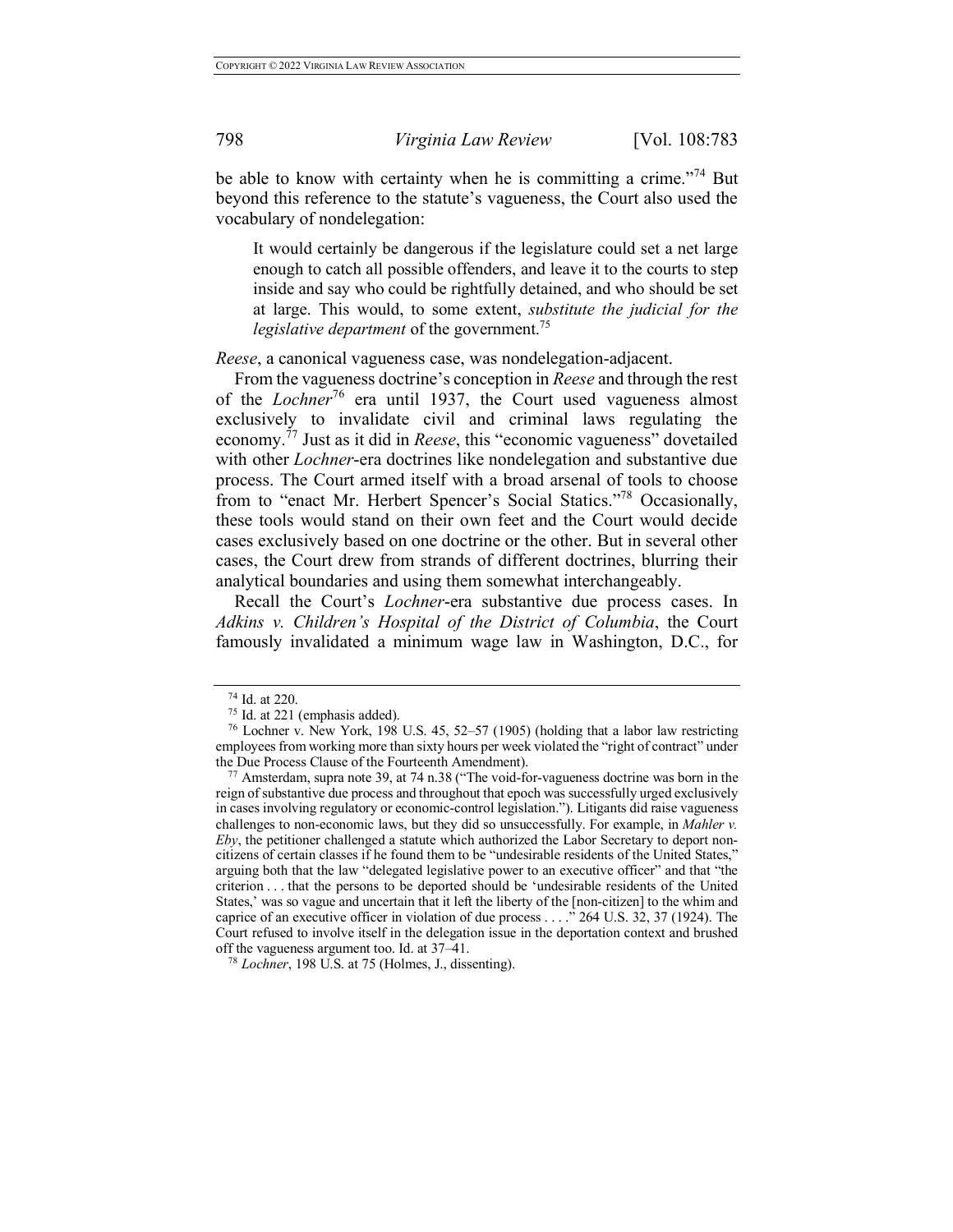be able to know with certainty when he is committing a crime."<sup>74</sup> But beyond this reference to the statute's vagueness, the Court also used the vocabulary of nondelegation:

It would certainly be dangerous if the legislature could set a net large enough to catch all possible offenders, and leave it to the courts to step inside and say who could be rightfully detained, and who should be set at large. This would, to some extent, *substitute the judicial for the legislative department* of the government.<sup>75</sup>

*Reese*, a canonical vagueness case, was nondelegation-adjacent.

From the vagueness doctrine's conception in *Reese* and through the rest of the *Lochner*<sup>76</sup> era until 1937, the Court used vagueness almost exclusively to invalidate civil and criminal laws regulating the economy. <sup>77</sup> Just as it did in *Reese*, this "economic vagueness" dovetailed with other *Lochner*-era doctrines like nondelegation and substantive due process. The Court armed itself with a broad arsenal of tools to choose from to "enact Mr. Herbert Spencer's Social Statics."78 Occasionally, these tools would stand on their own feet and the Court would decide cases exclusively based on one doctrine or the other. But in several other cases, the Court drew from strands of different doctrines, blurring their analytical boundaries and using them somewhat interchangeably.

Recall the Court's *Lochner*-era substantive due process cases. In *Adkins v. Children's Hospital of the District of Columbia*, the Court famously invalidated a minimum wage law in Washington, D.C., for

 $^{74}$  Id. at 220.<br> $^{75}$  Id. at 221 (emphasis added).

<sup>&</sup>lt;sup>76</sup> Lochner v. New York, 198 U.S.  $45, 52-57$  (1905) (holding that a labor law restricting employees from working more than sixty hours per week violated the "right of contract" under the Due Process Clause of the Fourteenth Amendment).

 $77$  Amsterdam, supra note 39, at 74 n.38 ("The void-for-vagueness doctrine was born in the reign of substantive due process and throughout that epoch was successfully urged exclusively in cases involving regulatory or economic-control legislation."). Litigants did raise vagueness challenges to non-economic laws, but they did so unsuccessfully. For example, in *Mahler v. Eby*, the petitioner challenged a statute which authorized the Labor Secretary to deport noncitizens of certain classes if he found them to be "undesirable residents of the United States," arguing both that the law "delegated legislative power to an executive officer" and that "the criterion . . . that the persons to be deported should be 'undesirable residents of the United States,' was so vague and uncertain that it left the liberty of the [non-citizen] to the whim and caprice of an executive officer in violation of due process . . . ." 264 U.S. 32, 37 (1924). The Court refused to involve itself in the delegation issue in the deportation context and brushed off the vagueness argument too. Id. at 37–41.

<sup>78</sup> *Lochner*, 198 U.S. at 75 (Holmes, J., dissenting).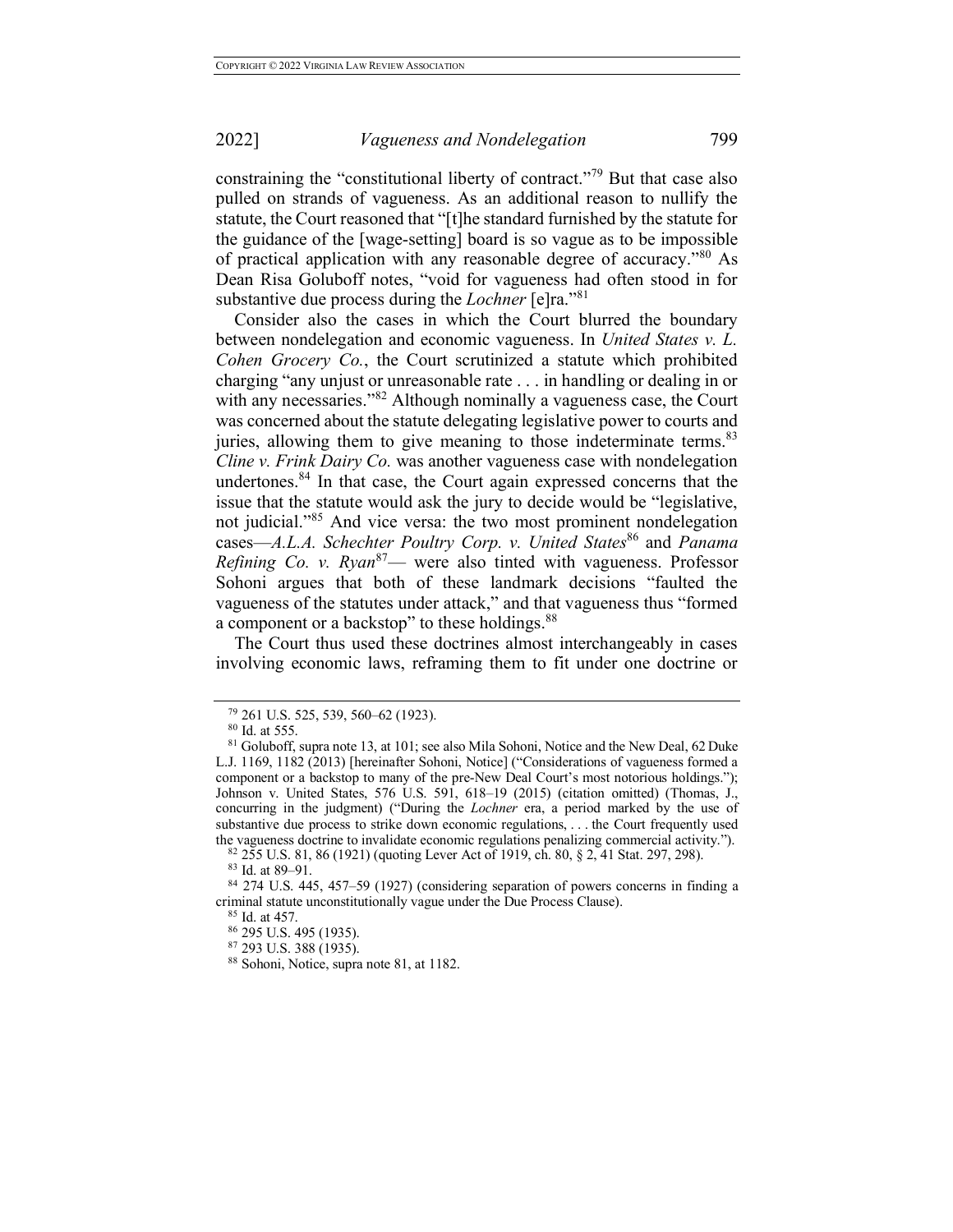constraining the "constitutional liberty of contract."<sup>79</sup> But that case also pulled on strands of vagueness. As an additional reason to nullify the statute, the Court reasoned that "[t]he standard furnished by the statute for the guidance of the [wage-setting] board is so vague as to be impossible of practical application with any reasonable degree of accuracy.<sup>80</sup> As Dean Risa Goluboff notes, "void for vagueness had often stood in for substantive due process during the *Lochner* [e]ra."<sup>81</sup>

Consider also the cases in which the Court blurred the boundary between nondelegation and economic vagueness. In *United States v. L. Cohen Grocery Co.*, the Court scrutinized a statute which prohibited charging "any unjust or unreasonable rate . . . in handling or dealing in or with any necessaries."<sup>82</sup> Although nominally a vagueness case, the Court was concerned about the statute delegating legislative power to courts and juries, allowing them to give meaning to those indeterminate terms.<sup>83</sup> *Cline v. Frink Dairy Co.* was another vagueness case with nondelegation undertones. <sup>84</sup> In that case, the Court again expressed concerns that the issue that the statute would ask the jury to decide would be "legislative, not judicial."<sup>85</sup> And vice versa: the two most prominent nondelegation cases—*A.L.A. Schechter Poultry Corp. v. United States*<sup>86</sup> and *Panama Refining Co. v. Ryan*87— were also tinted with vagueness. Professor Sohoni argues that both of these landmark decisions "faulted the vagueness of the statutes under attack," and that vagueness thus "formed a component or a backstop" to these holdings.<sup>88</sup>

The Court thus used these doctrines almost interchangeably in cases involving economic laws, reframing them to fit under one doctrine or

<sup>79</sup> 261 U.S. 525, 539, 560–62 (1923).

<sup>80</sup> Id. at 555.

<sup>81</sup> Goluboff, supra note 13, at 101; see also Mila Sohoni, Notice and the New Deal, 62 Duke L.J. 1169, 1182 (2013) [hereinafter Sohoni, Notice] ("Considerations of vagueness formed a component or a backstop to many of the pre-New Deal Court's most notorious holdings."); Johnson v. United States, 576 U.S. 591, 618–19 (2015) (citation omitted) (Thomas, J., concurring in the judgment) ("During the *Lochner* era, a period marked by the use of substantive due process to strike down economic regulations, . . . the Court frequently used the vagueness doctrine to invalidate economic regulations penalizing commercial activity.").

<sup>&</sup>lt;sup>82</sup> 255 U.S. 81, 86 (1921) (quoting Lever Act of 1919, ch. 80, § 2, 41 Stat. 297, 298).<br><sup>83</sup> Id. at 89–91.

<sup>&</sup>lt;sup>84</sup> 274 U.S. 445, 457–59 (1927) (considering separation of powers concerns in finding a criminal statute unconstitutionally vague under the Due Process Clause).

<sup>85</sup> Id. at 457.

<sup>86</sup> 295 U.S. 495 (1935).

<sup>87</sup> 293 U.S. 388 (1935).

<sup>88</sup> Sohoni, Notice, supra note 81, at 1182.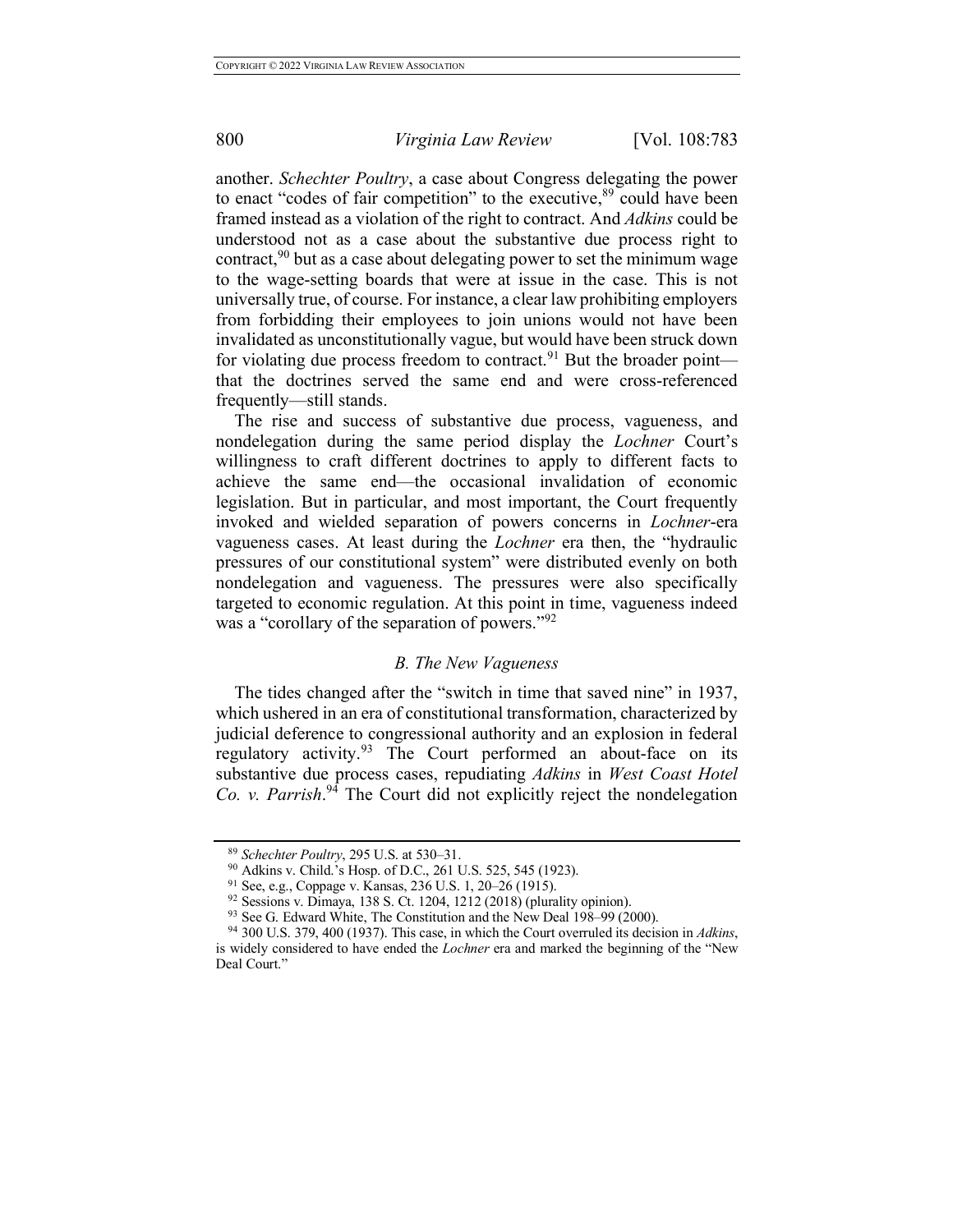another. *Schechter Poultry*, a case about Congress delegating the power to enact "codes of fair competition" to the executive,<sup>89</sup> could have been framed instead as a violation of the right to contract. And *Adkins* could be understood not as a case about the substantive due process right to contract,  $90$  but as a case about delegating power to set the minimum wage to the wage-setting boards that were at issue in the case. This is not universally true, of course. For instance, a clear law prohibiting employers from forbidding their employees to join unions would not have been invalidated as unconstitutionally vague, but would have been struck down for violating due process freedom to contract.<sup>91</sup> But the broader point that the doctrines served the same end and were cross-referenced frequently—still stands.

The rise and success of substantive due process, vagueness, and nondelegation during the same period display the *Lochner* Court's willingness to craft different doctrines to apply to different facts to achieve the same end—the occasional invalidation of economic legislation. But in particular, and most important, the Court frequently invoked and wielded separation of powers concerns in *Lochner*-era vagueness cases. At least during the *Lochner* era then, the "hydraulic pressures of our constitutional system" were distributed evenly on both nondelegation and vagueness. The pressures were also specifically targeted to economic regulation. At this point in time, vagueness indeed was a "corollary of the separation of powers."<sup>92</sup>

### *B. The New Vagueness*

The tides changed after the "switch in time that saved nine" in 1937, which ushered in an era of constitutional transformation, characterized by judicial deference to congressional authority and an explosion in federal regulatory activity.<sup>93</sup> The Court performed an about-face on its substantive due process cases, repudiating *Adkins* in *West Coast Hotel Co. v. Parrish*. <sup>94</sup> The Court did not explicitly reject the nondelegation

<sup>89</sup> *Schechter Poultry*, 295 U.S. at 530–31.

<sup>&</sup>lt;sup>90</sup> Adkins v. Child.'s Hosp. of D.C., 261 U.S. 525, 545 (1923).<br><sup>91</sup> See, e.g., Coppage v. Kansas, 236 U.S. 1, 20–26 (1915).

<sup>&</sup>lt;sup>92</sup> Sessions v. Dimaya, 138 S. Ct. 1204, 1212 (2018) (plurality opinion).<br><sup>93</sup> See G. Edward White, The Constitution and the New Deal 198–99 (2000).

<sup>&</sup>lt;sup>94</sup> 300 U.S. 379, 400 (1937). This case, in which the Court overruled its decision in *Adkins*, is widely considered to have ended the *Lochner* era and marked the beginning of the "New Deal Court."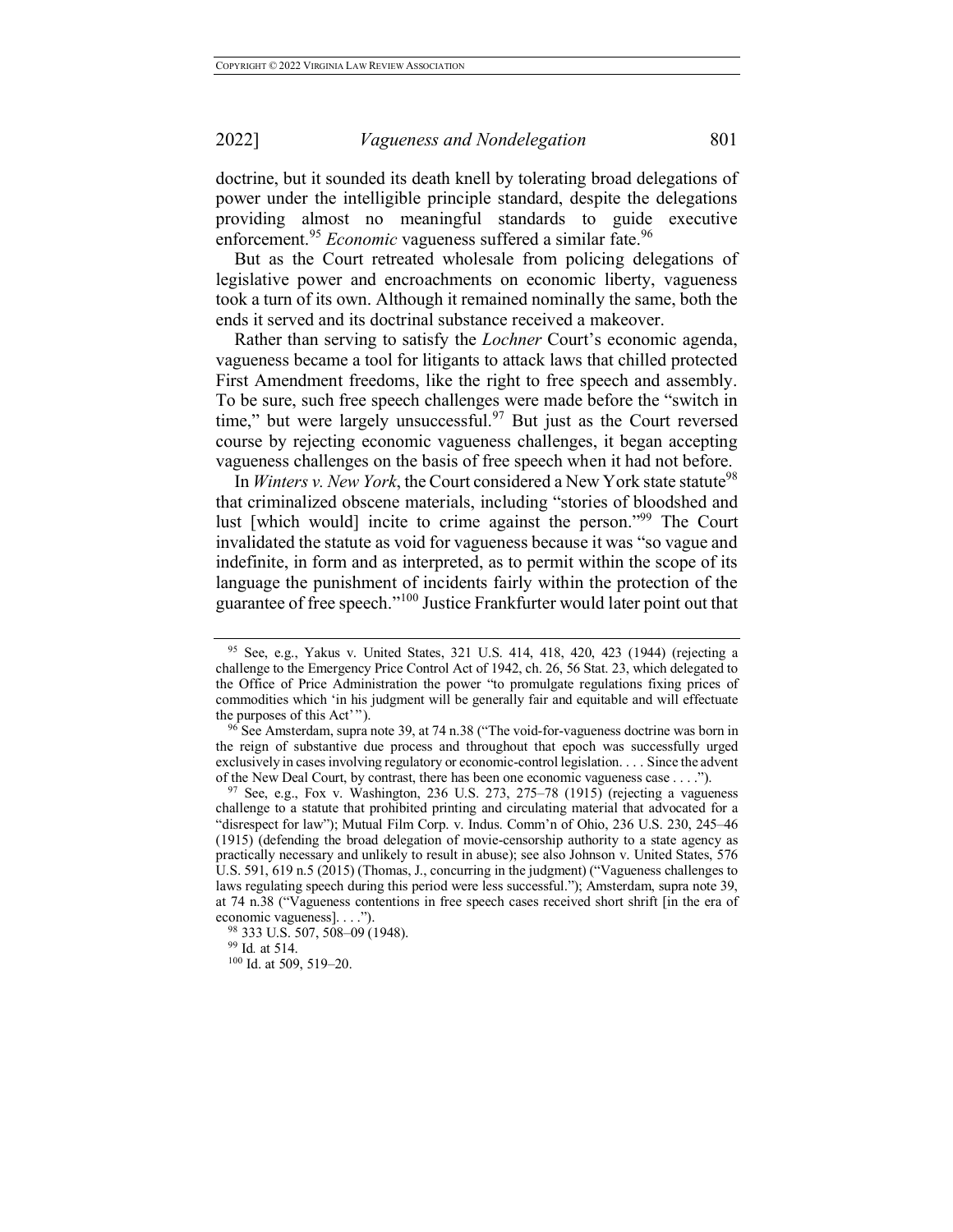doctrine, but it sounded its death knell by tolerating broad delegations of power under the intelligible principle standard, despite the delegations providing almost no meaningful standards to guide executive enforcement.<sup>95</sup> *Economic* vagueness suffered a similar fate.<sup>96</sup>

But as the Court retreated wholesale from policing delegations of legislative power and encroachments on economic liberty, vagueness took a turn of its own. Although it remained nominally the same, both the ends it served and its doctrinal substance received a makeover.

Rather than serving to satisfy the *Lochner* Court's economic agenda, vagueness became a tool for litigants to attack laws that chilled protected First Amendment freedoms, like the right to free speech and assembly. To be sure, such free speech challenges were made before the "switch in time," but were largely unsuccessful.<sup>97</sup> But just as the Court reversed course by rejecting economic vagueness challenges, it began accepting vagueness challenges on the basis of free speech when it had not before.

In *Winters v. New York*, the Court considered a New York state statute<sup>98</sup> that criminalized obscene materials, including "stories of bloodshed and lust [which would] incite to crime against the person."<sup>99</sup> The Court invalidated the statute as void for vagueness because it was "so vague and indefinite, in form and as interpreted, as to permit within the scope of its language the punishment of incidents fairly within the protection of the guarantee of free speech."<sup>100</sup> Justice Frankfurter would later point out that

<sup>95</sup> See, e.g., Yakus v. United States, 321 U.S. 414, 418, 420, 423 (1944) (rejecting a challenge to the Emergency Price Control Act of 1942, ch. 26, 56 Stat. 23, which delegated to the Office of Price Administration the power "to promulgate regulations fixing prices of commodities which 'in his judgment will be generally fair and equitable and will effectuate the purposes of this Act'").

 $96$  See Amsterdam, supra note 39, at 74 n.38 ("The void-for-vagueness doctrine was born in the reign of substantive due process and throughout that epoch was successfully urged exclusively in cases involving regulatory or economic-control legislation. . . . Since the advent of the New Deal Court, by contrast, there has been one economic vagueness case . . . .").

 $97$  See, e.g., Fox v. Washington, 236 U.S. 273, 275–78 (1915) (rejecting a vagueness challenge to a statute that prohibited printing and circulating material that advocated for a "disrespect for law"); Mutual Film Corp. v. Indus. Comm'n of Ohio, 236 U.S. 230, 245–46 (1915) (defending the broad delegation of movie-censorship authority to a state agency as practically necessary and unlikely to result in abuse); see also Johnson v. United States, 576 U.S. 591, 619 n.5 (2015) (Thomas, J., concurring in the judgment) ("Vagueness challenges to laws regulating speech during this period were less successful."); Amsterdam, supra note 39, at 74 n.38 ("Vagueness contentions in free speech cases received short shrift [in the era of

<sup>&</sup>lt;sup>98</sup> 333 U.S. 507, 508–09 (1948).

<sup>99</sup> Id*.* at 514.

<sup>100</sup> Id. at 509, 519-20.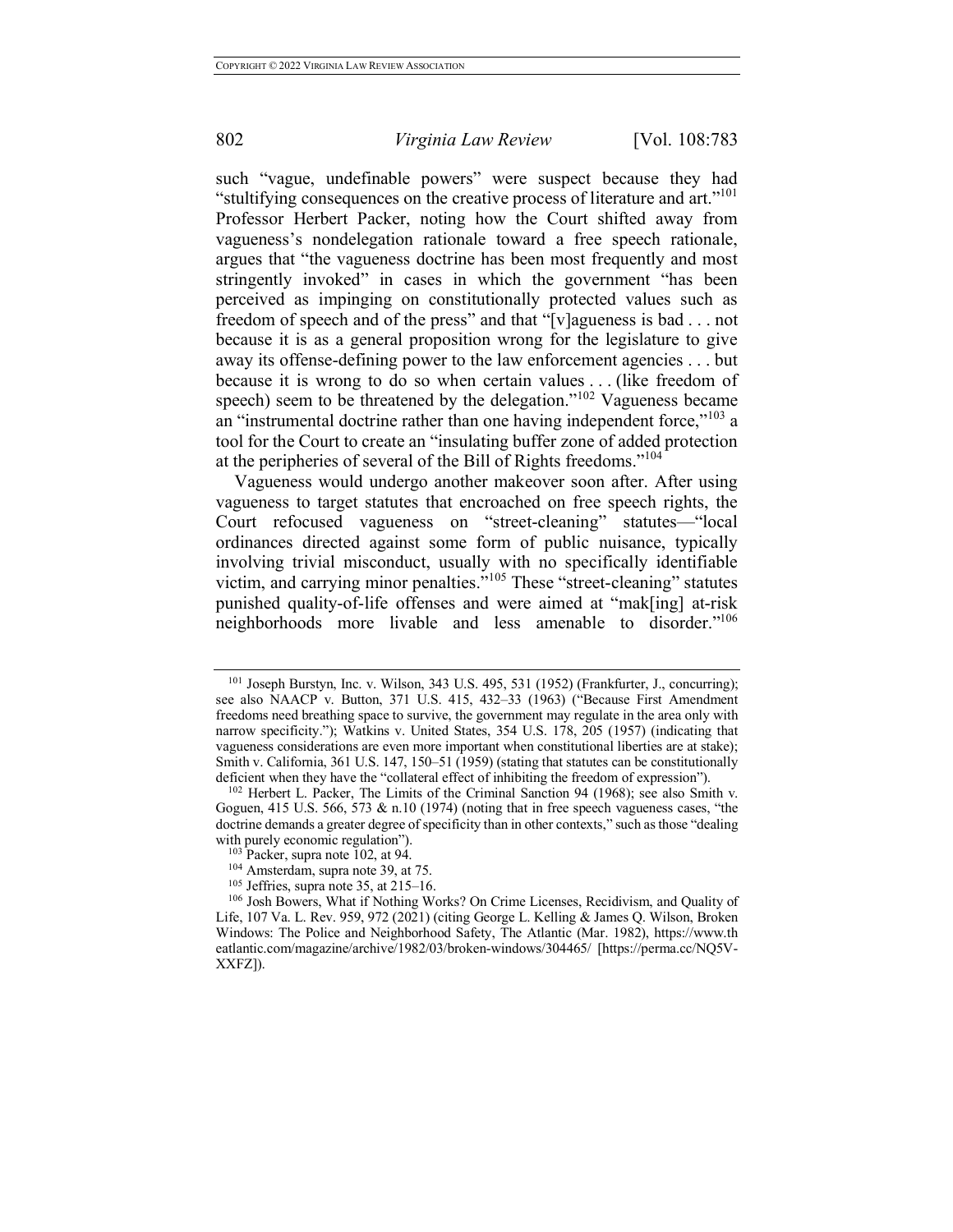such "vague, undefinable powers" were suspect because they had "stultifying consequences on the creative process of literature and art."<sup>101</sup> Professor Herbert Packer, noting how the Court shifted away from vagueness's nondelegation rationale toward a free speech rationale, argues that "the vagueness doctrine has been most frequently and most stringently invoked" in cases in which the government "has been perceived as impinging on constitutionally protected values such as freedom of speech and of the press" and that "[v]agueness is bad . . . not because it is as a general proposition wrong for the legislature to give away its offense-defining power to the law enforcement agencies . . . but because it is wrong to do so when certain values . . . (like freedom of speech) seem to be threatened by the delegation."<sup>102</sup> Vagueness became an "instrumental doctrine rather than one having independent force,"<sup>103</sup> a tool for the Court to create an "insulating buffer zone of added protection at the peripheries of several of the Bill of Rights freedoms."<sup>104</sup>

Vagueness would undergo another makeover soon after. After using vagueness to target statutes that encroached on free speech rights, the Court refocused vagueness on "street-cleaning" statutes—"local ordinances directed against some form of public nuisance, typically involving trivial misconduct, usually with no specifically identifiable victim, and carrying minor penalties."<sup>105</sup> These "street-cleaning" statutes punished quality-of-life offenses and were aimed at "mak[ing] at-risk neighborhoods more livable and less amenable to disorder."106

<sup>101</sup> Joseph Burstyn, Inc. v. Wilson, 343 U.S. 495, 531 (1952) (Frankfurter, J., concurring); see also NAACP v. Button, 371 U.S. 415, 432–33 (1963) ("Because First Amendment freedoms need breathing space to survive, the government may regulate in the area only with narrow specificity."); Watkins v. United States, 354 U.S. 178, 205 (1957) (indicating that vagueness considerations are even more important when constitutional liberties are at stake); Smith v. California, 361 U.S. 147, 150–51 (1959) (stating that statutes can be constitutionally deficient when they have the "collateral effect of inhibiting the freedom of expression").

 $102$  Herbert L. Packer, The Limits of the Criminal Sanction 94 (1968); see also Smith v. Goguen,  $415$  U.S. 566, 573 & n.10 (1974) (noting that in free speech vagueness cases, "the doctrine demands a greater degree of specificity than in other contexts," such as those "dealing with purely economic regulation").<br><sup>103</sup> Packer, supra note 102, at 94.<br><sup>104</sup> Amsterdam, supra note 39, at 75.<br><sup>105</sup> Jeffries, supra note 35, at 215–16.

<sup>&</sup>lt;sup>106</sup> Josh Bowers, What if Nothing Works? On Crime Licenses, Recidivism, and Quality of Life, 107 Va. L. Rev. 959, 972 (2021) (citing George L. Kelling & James Q. Wilson, Broken Windows: The Police and Neighborhood Safety, The Atlantic (Mar. 1982), https://www.th eatlantic.com/magazine/archive/1982/03/broken-windows/304465/ [https://perma.cc/NQ5V-XXFZ]).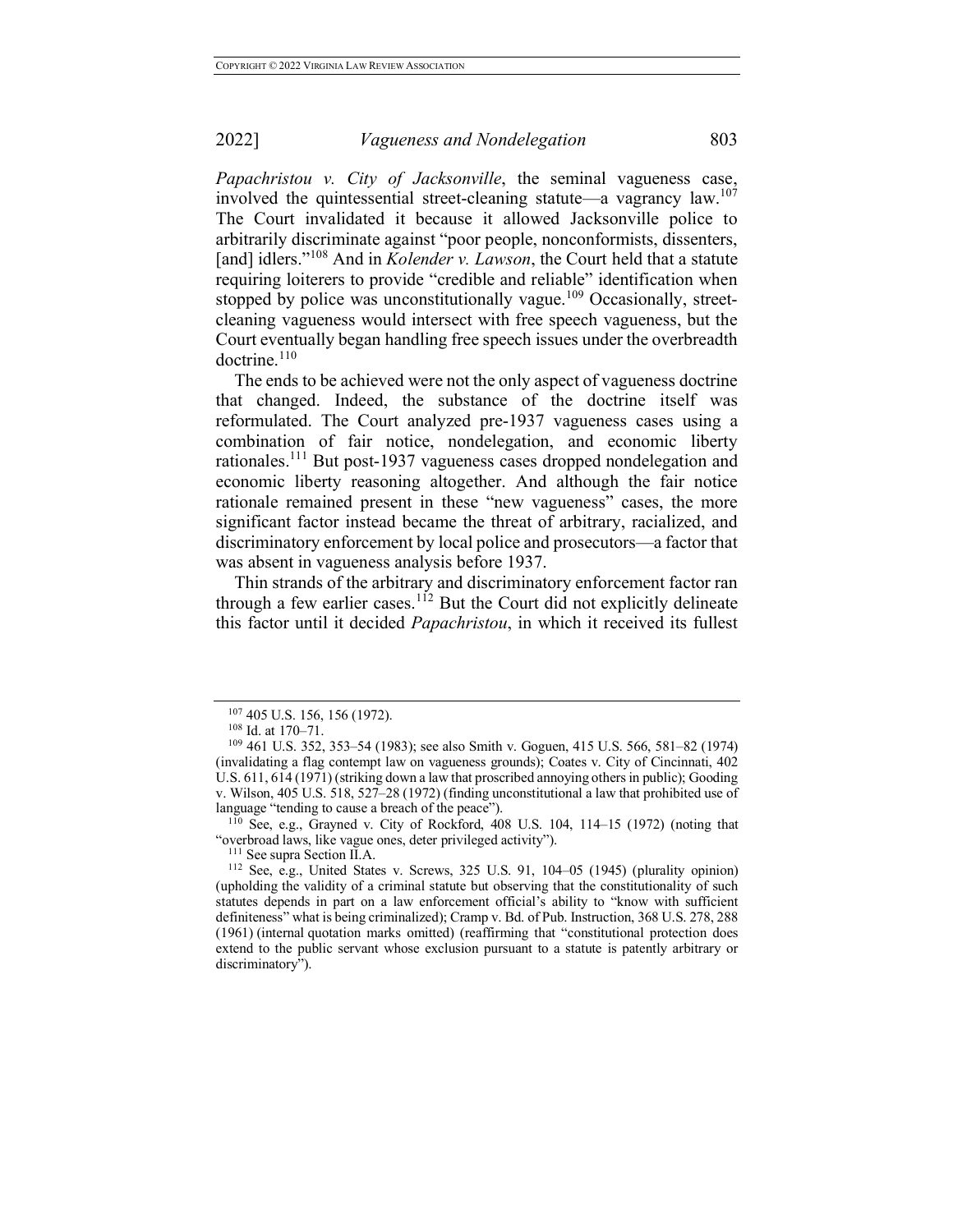*Papachristou v. City of Jacksonville*, the seminal vagueness case, involved the quintessential street-cleaning statute—a vagrancy law.<sup>107</sup> The Court invalidated it because it allowed Jacksonville police to arbitrarily discriminate against "poor people, nonconformists, dissenters, [and] idlers."<sup>108</sup> And in *Kolender v. Lawson*, the Court held that a statute requiring loiterers to provide "credible and reliable" identification when stopped by police was unconstitutionally vague.<sup>109</sup> Occasionally, streetcleaning vagueness would intersect with free speech vagueness, but the Court eventually began handling free speech issues under the overbreadth doctrine.<sup>110</sup>

The ends to be achieved were not the only aspect of vagueness doctrine that changed. Indeed, the substance of the doctrine itself was reformulated. The Court analyzed pre-1937 vagueness cases using a combination of fair notice, nondelegation, and economic liberty rationales.<sup>111</sup> But post-1937 vagueness cases dropped nondelegation and economic liberty reasoning altogether. And although the fair notice rationale remained present in these "new vagueness" cases, the more significant factor instead became the threat of arbitrary, racialized, and discriminatory enforcement by local police and prosecutors—a factor that was absent in vagueness analysis before 1937.

Thin strands of the arbitrary and discriminatory enforcement factor ran through a few earlier cases.<sup>112</sup> But the Court did not explicitly delineate this factor until it decided *Papachristou*, in which it received its fullest

language "tending to cause a breach of the peace").<br><sup>110</sup> See, e.g., Grayned v. City of Rockford, 408 U.S. 104, 114–15 (1972) (noting that "overbroad laws, like vague ones, deter privileged activity").

<sup>&</sup>lt;sup>107</sup> 405 U.S. 156, 156 (1972).<br><sup>108</sup> Id. at 170–71.<br><sup>109</sup> 461 U.S. 352, 353–54 (1983); see also Smith v. Goguen, 415 U.S. 566, 581–82 (1974) (invalidating a flag contempt law on vagueness grounds); Coates v. City of Cincinnati, 402 U.S. 611, 614 (1971) (striking down a law that proscribed annoying others in public); Gooding v. Wilson, 405 U.S. 518, 527–28 (1972) (finding unconstitutional a law that prohibited use of

<sup>&</sup>lt;sup>111</sup> See supra Section II.A.  $\sim$  112 See, e.g., United States v. Screws, 325 U.S. 91, 104–05 (1945) (plurality opinion) (upholding the validity of a criminal statute but observing that the constitutionality of such statutes depends in part on a law enforcement official's ability to "know with sufficient definiteness" what is being criminalized); Cramp v. Bd. of Pub. Instruction, 368 U.S. 278, 288 (1961) (internal quotation marks omitted) (reaffirming that "constitutional protection does extend to the public servant whose exclusion pursuant to a statute is patently arbitrary or discriminatory").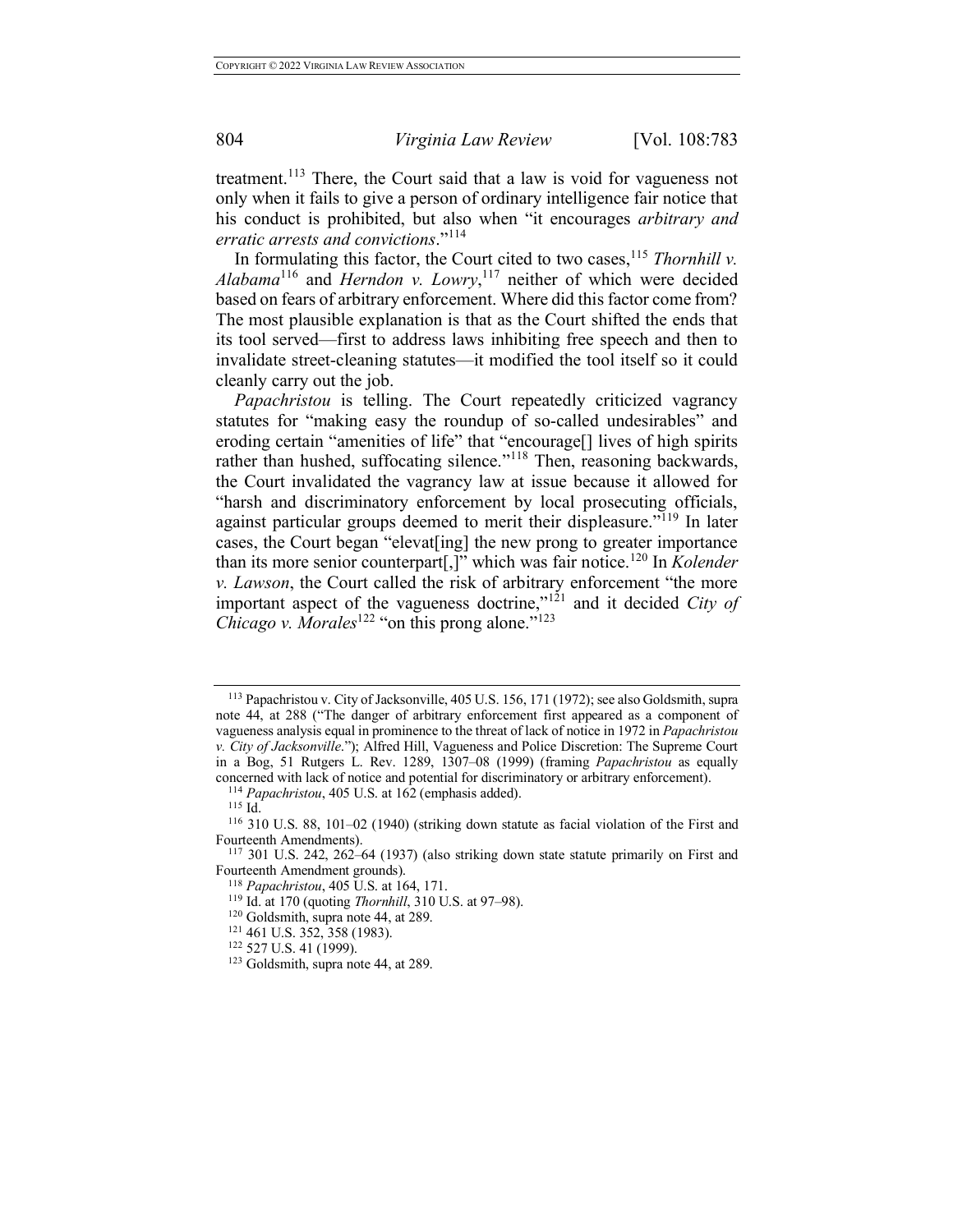treatment.<sup>113</sup> There, the Court said that a law is void for vagueness not only when it fails to give a person of ordinary intelligence fair notice that his conduct is prohibited, but also when "it encourages *arbitrary and* 

*erratic arrests and convictions*."<sup>114</sup>

In formulating this factor, the Court cited to two cases,<sup>115</sup> *Thornhill v*.  $Alabama^{116}$  and *Herndon v. Lowry*,<sup>117</sup> neither of which were decided based on fears of arbitrary enforcement. Where did this factor come from? The most plausible explanation is that as the Court shifted the ends that its tool served—first to address laws inhibiting free speech and then to invalidate street-cleaning statutes—it modified the tool itself so it could cleanly carry out the job.

*Papachristou* is telling. The Court repeatedly criticized vagrancy statutes for "making easy the roundup of so-called undesirables" and eroding certain "amenities of life" that "encourage[] lives of high spirits rather than hushed, suffocating silence."<sup>118</sup> Then, reasoning backwards, the Court invalidated the vagrancy law at issue because it allowed for "harsh and discriminatory enforcement by local prosecuting officials, against particular groups deemed to merit their displeasure.<sup> $119$ </sup> In later cases, the Court began "elevat[ing] the new prong to greater importance than its more senior counterpart[,]" which was fair notice.<sup>120</sup> In *Kolender v. Lawson*, the Court called the risk of arbitrary enforcement "the more important aspect of the vagueness doctrine,"<sup>121</sup> and it decided *City of Chicago v. Morales*<sup>122</sup> "on this prong alone."<sup>123</sup>

<sup>113</sup> Papachristou v. City of Jacksonville, 405 U.S. 156, 171 (1972); see also Goldsmith, supra note 44, at 288 ("The danger of arbitrary enforcement first appeared as a component of vagueness analysis equal in prominence to the threat of lack of notice in 1972 in *Papachristou v. City of Jacksonville*."); Alfred Hill, Vagueness and Police Discretion: The Supreme Court in a Bog, 51 Rutgers L. Rev. 1289, 1307–08 (1999) (framing *Papachristou* as equally concerned with lack of notice and potential for discriminatory or arbitrary enforcement).

<sup>114</sup> *Papachristou*, 405 U.S. at 162 (emphasis added).

<sup>115</sup> Id.

<sup>116</sup> 310 U.S. 88, 101–02 (1940) (striking down statute as facial violation of the First and Fourteenth Amendments).<br><sup>117</sup> 301 U.S. 242, 262–64 (1937) (also striking down state statute primarily on First and

Fourteenth Amendment grounds).

<sup>&</sup>lt;sup>118</sup> *Papachristou*, 405 U.S. at 164, 171.<br><sup>119</sup> Id. at 170 (quoting *Thornhill*, 310 U.S. at 97–98).<br><sup>120</sup> Goldsmith, supra note 44, at 289.

<sup>&</sup>lt;sup>121</sup> 461 U.S. 352, 358 (1983). <sup>122</sup> 527 U.S. 41 (1999). <sup>123</sup> Goldsmith, supra note 44, at 289.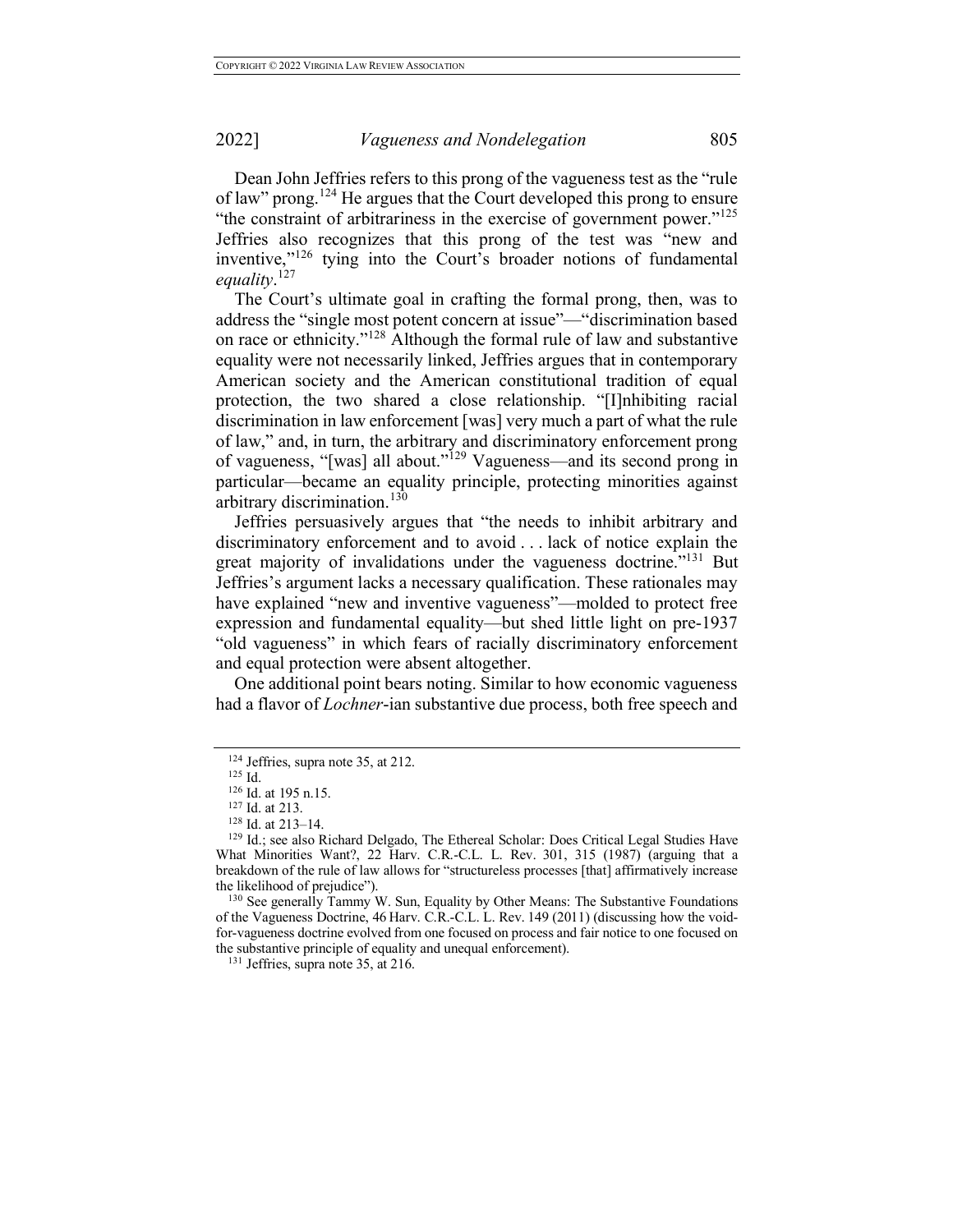Dean John Jeffries refers to this prong of the vagueness test as the "rule of law" prong.<sup>124</sup> He argues that the Court developed this prong to ensure "the constraint of arbitrariness in the exercise of government power."<sup>125</sup> Jeffries also recognizes that this prong of the test was "new and inventive,"<sup>126</sup> tying into the Court's broader notions of fundamental *equality*. 127

The Court's ultimate goal in crafting the formal prong, then, was to address the "single most potent concern at issue"—"discrimination based on race or ethnicity."<sup>128</sup> Although the formal rule of law and substantive equality were not necessarily linked, Jeffries argues that in contemporary American society and the American constitutional tradition of equal protection, the two shared a close relationship. "[I]nhibiting racial discrimination in law enforcement [was] very much a part of what the rule of law," and, in turn, the arbitrary and discriminatory enforcement prong of vagueness, "[was] all about."<sup>129</sup> Vagueness—and its second prong in particular—became an equality principle, protecting minorities against arbitrary discrimination.<sup>130</sup>

Jeffries persuasively argues that "the needs to inhibit arbitrary and discriminatory enforcement and to avoid . . . lack of notice explain the great majority of invalidations under the vagueness doctrine."<sup>131</sup> But Jeffries's argument lacks a necessary qualification. These rationales may have explained "new and inventive vagueness"—molded to protect free expression and fundamental equality—but shed little light on pre-1937 "old vagueness" in which fears of racially discriminatory enforcement and equal protection were absent altogether.

One additional point bears noting. Similar to how economic vagueness had a flavor of *Lochner*-ian substantive due process, both free speech and

<sup>124</sup> Jeffries, supra note 35, at 212.

 $125$  Id.

<sup>126</sup> Id. at 195 n.15.

 $^{127}$  Id. at 213.<br><sup>128</sup> Id. at 213–14.

<sup>&</sup>lt;sup>129</sup> Id.; see also Richard Delgado, The Ethereal Scholar: Does Critical Legal Studies Have What Minorities Want?, 22 Harv. C.R.-C.L. L. Rev. 301, 315 (1987) (arguing that a breakdown of the rule of law allows for "structureless processes [that] affirmatively increase

the likelihood of prejudice").<br><sup>130</sup> See generally Tammy W. Sun, Equality by Other Means: The Substantive Foundations of the Vagueness Doctrine, 46 Harv. C.R.-C.L. L. Rev. 149 (2011) (discussing how the voidfor-vagueness doctrine evolved from one focused on process and fair notice to one focused on the substantive principle of equality and unequal enforcement).

<sup>&</sup>lt;sup>131</sup> Jeffries, supra note 35, at 216.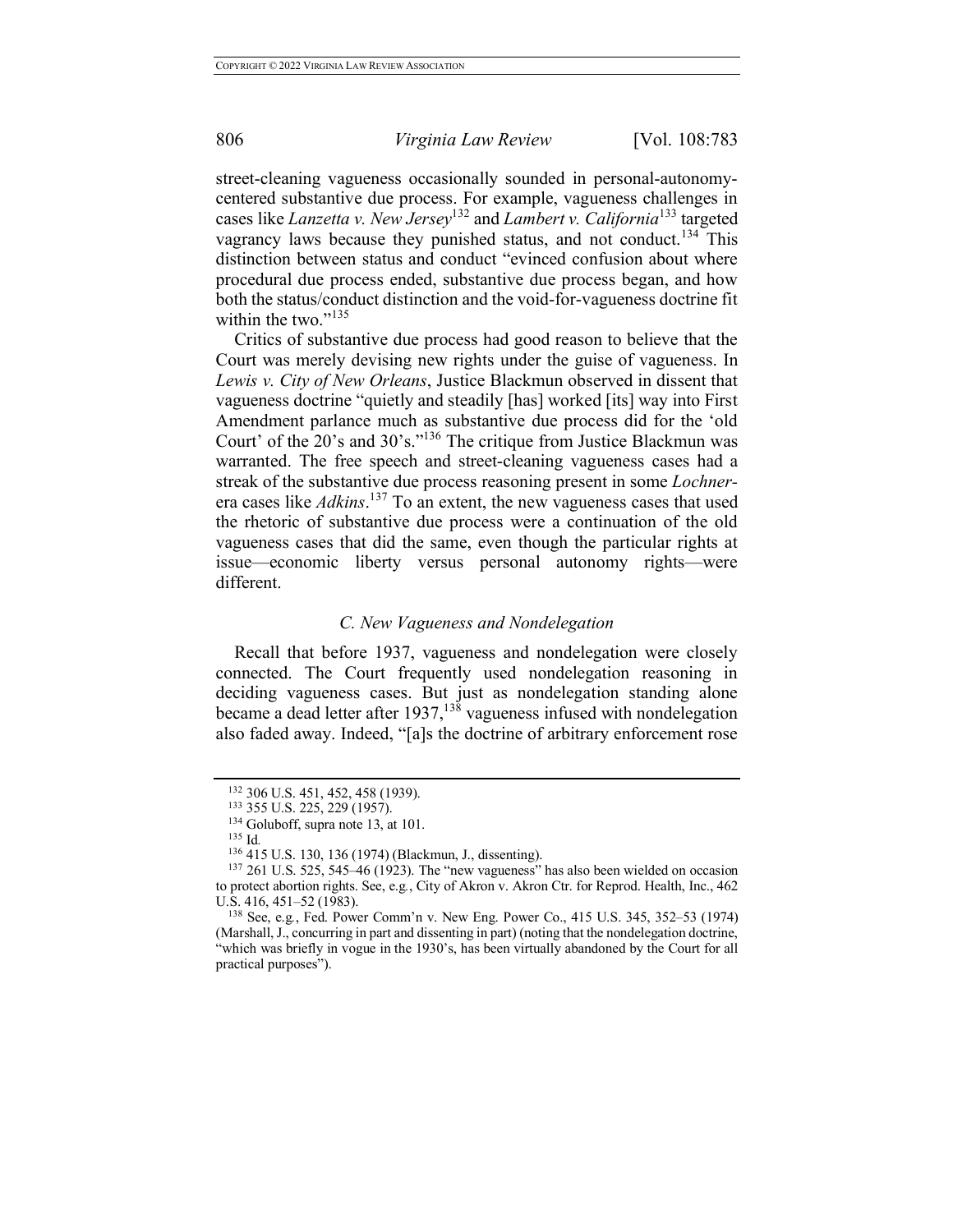street-cleaning vagueness occasionally sounded in personal-autonomycentered substantive due process. For example, vagueness challenges in cases like *Lanzetta v. New Jersey*<sup>132</sup> and *Lambert v. California*<sup>133</sup> targeted vagrancy laws because they punished status, and not conduct.<sup>134</sup> This distinction between status and conduct "evinced confusion about where procedural due process ended, substantive due process began, and how both the status/conduct distinction and the void-for-vagueness doctrine fit within the two."<sup>135</sup>

Critics of substantive due process had good reason to believe that the Court was merely devising new rights under the guise of vagueness. In *Lewis v. City of New Orleans*, Justice Blackmun observed in dissent that vagueness doctrine "quietly and steadily [has] worked [its] way into First Amendment parlance much as substantive due process did for the 'old Court' of the 20's and 30's."136 The critique from Justice Blackmun was warranted. The free speech and street-cleaning vagueness cases had a streak of the substantive due process reasoning present in some *Lochner*era cases like *Adkins*. <sup>137</sup> To an extent, the new vagueness cases that used the rhetoric of substantive due process were a continuation of the old vagueness cases that did the same, even though the particular rights at issue—economic liberty versus personal autonomy rights—were different.

### *C. New Vagueness and Nondelegation*

Recall that before 1937, vagueness and nondelegation were closely connected. The Court frequently used nondelegation reasoning in deciding vagueness cases. But just as nondelegation standing alone became a dead letter after 1937,  $138$  vagueness infused with nondelegation also faded away. Indeed, "[a]s the doctrine of arbitrary enforcement rose

<sup>132 306</sup> U.S. 451, 452, 458 (1939).<br>
<sup>133</sup> 355 U.S. 225, 229 (1957).<br>
<sup>134</sup> Goluboff, supra note 13, at 101.<br>
<sup>135</sup> Id.<br>
<sup>136</sup> 415 U.S. 130, 136 (1974) (Blackmun, J., dissenting).

 $137$  261 U.S. 525, 545–46 (1923). The "new vagueness" has also been wielded on occasion to protect abortion rights. See, e.g*.*, City of Akron v. Akron Ctr. for Reprod. Health, Inc., 462 U.S. 416, 451–52 (1983).

<sup>138</sup> See, e.g*.*, Fed. Power Comm'n v. New Eng. Power Co., 415 U.S. 345, 352–53 (1974) (Marshall, J., concurring in part and dissenting in part) (noting that the nondelegation doctrine, "which was briefly in vogue in the 1930's, has been virtually abandoned by the Court for all practical purposes").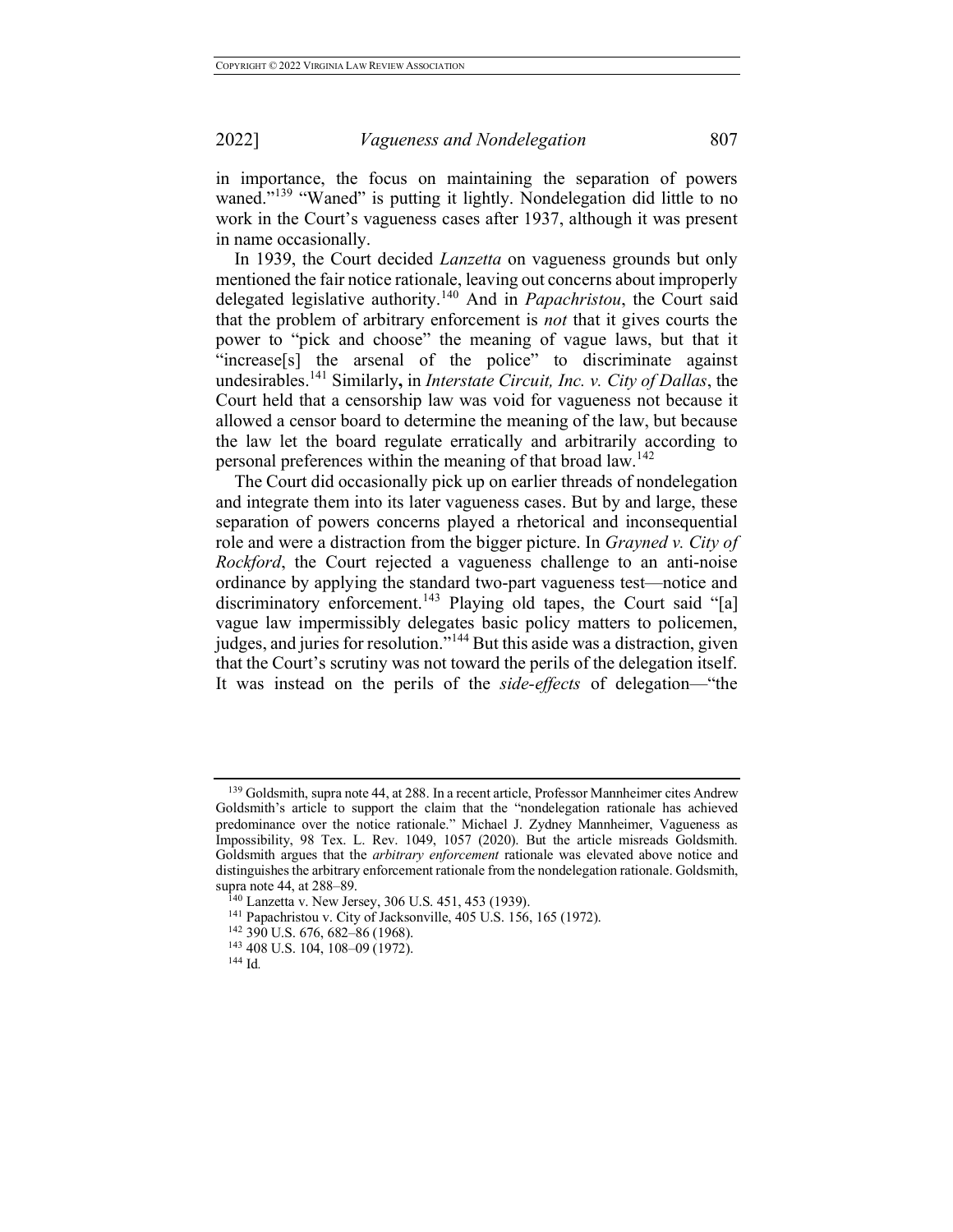in importance, the focus on maintaining the separation of powers waned."<sup>139</sup> "Waned" is putting it lightly. Nondelegation did little to no work in the Court's vagueness cases after 1937, although it was present in name occasionally.

In 1939, the Court decided *Lanzetta* on vagueness grounds but only mentioned the fair notice rationale, leaving out concerns about improperly delegated legislative authority.<sup>140</sup> And in *Papachristou*, the Court said that the problem of arbitrary enforcement is *not* that it gives courts the power to "pick and choose" the meaning of vague laws, but that it "increase[s] the arsenal of the police" to discriminate against undesirables.<sup>141</sup> Similarly**,** in *Interstate Circuit, Inc. v. City of Dallas*, the Court held that a censorship law was void for vagueness not because it allowed a censor board to determine the meaning of the law, but because the law let the board regulate erratically and arbitrarily according to personal preferences within the meaning of that broad  $law<sup>142</sup>$ .

The Court did occasionally pick up on earlier threads of nondelegation and integrate them into its later vagueness cases. But by and large, these separation of powers concerns played a rhetorical and inconsequential role and were a distraction from the bigger picture. In *Grayned v. City of Rockford*, the Court rejected a vagueness challenge to an anti-noise ordinance by applying the standard two-part vagueness test—notice and discriminatory enforcement.<sup>143</sup> Playing old tapes, the Court said "[a] vague law impermissibly delegates basic policy matters to policemen, judges, and juries for resolution."<sup>144</sup> But this aside was a distraction, given that the Court's scrutiny was not toward the perils of the delegation itself. It was instead on the perils of the *side-effects* of delegation—"the

<sup>&</sup>lt;sup>139</sup> Goldsmith, supra note 44, at 288. In a recent article, Professor Mannheimer cites Andrew Goldsmith's article to support the claim that the "nondelegation rationale has achieved predominance over the notice rationale." Michael J. Zydney Mannheimer, Vagueness as Impossibility, 98 Tex. L. Rev. 1049, 1057 (2020). But the article misreads Goldsmith. Goldsmith argues that the *arbitrary enforcement* rationale was elevated above notice and distinguishes the arbitrary enforcement rationale from the nondelegation rationale. Goldsmith, supra note 44, at 288–89.

<sup>140</sup> Lanzetta v. New Jersey, 306 U.S. 451, 453 (1939).

<sup>1&</sup>lt;sup>41</sup> Papachristou v. City of Jacksonville, 405 U.S. 156, 165 (1972).<br><sup>142</sup> 390 U.S. 676, 682–86 (1968).<br><sup>143</sup> 408 U.S. 104, 108–09 (1972).<br><sup>144</sup> Id.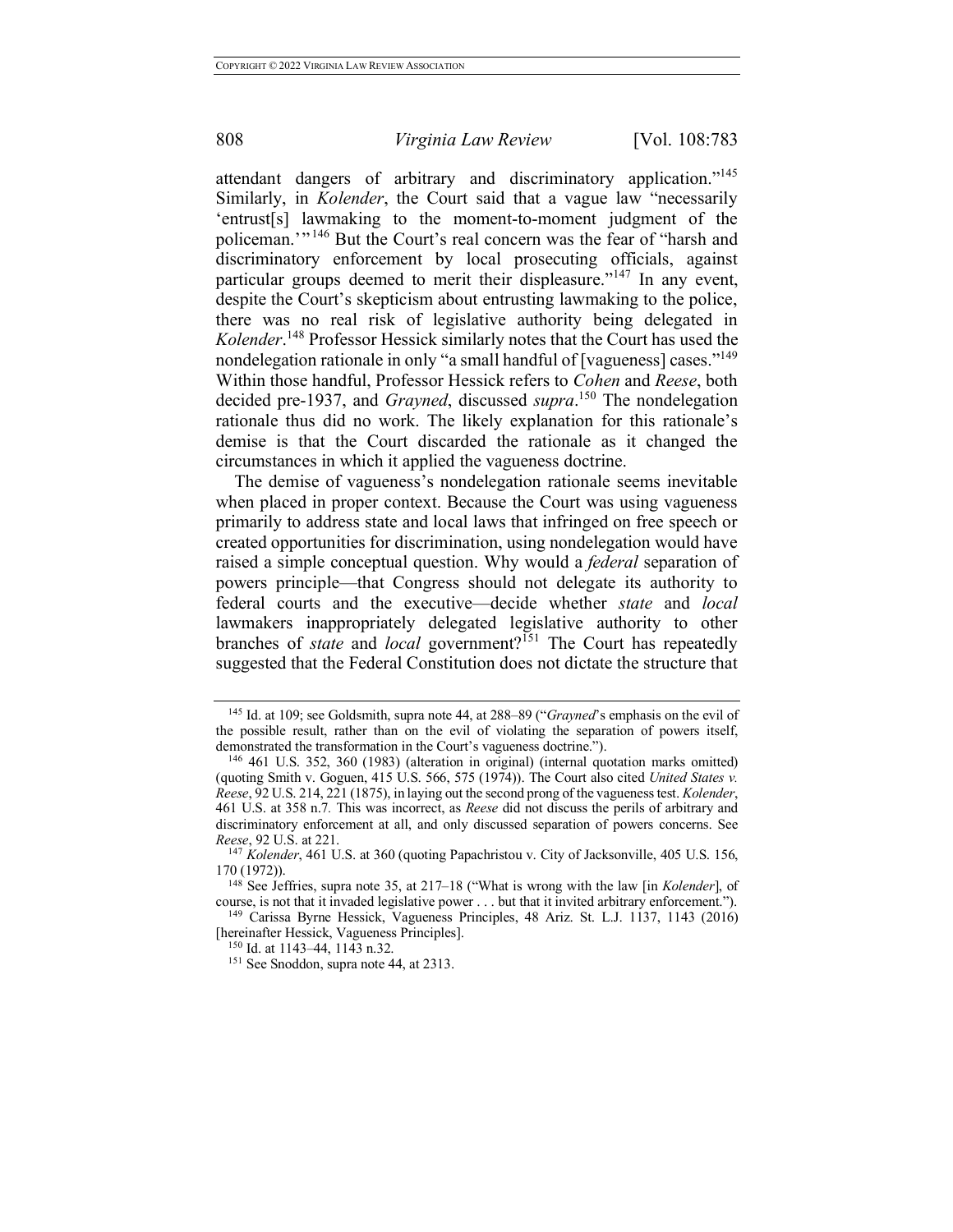attendant dangers of arbitrary and discriminatory application."<sup>145</sup> Similarly, in *Kolender*, the Court said that a vague law "necessarily 'entrust[s] lawmaking to the moment-to-moment judgment of the policeman.'" <sup>146</sup> But the Court's real concern was the fear of "harsh and discriminatory enforcement by local prosecuting officials, against particular groups deemed to merit their displeasure."<sup>147</sup> In any event, despite the Court's skepticism about entrusting lawmaking to the police, there was no real risk of legislative authority being delegated in *Kolender*. <sup>148</sup> Professor Hessick similarly notes that the Court has used the nondelegation rationale in only "a small handful of [vagueness] cases."<sup>149</sup> Within those handful, Professor Hessick refers to *Cohen* and *Reese*, both decided pre-1937, and *Grayned*, discussed *supra*. <sup>150</sup> The nondelegation rationale thus did no work. The likely explanation for this rationale's demise is that the Court discarded the rationale as it changed the circumstances in which it applied the vagueness doctrine.

The demise of vagueness's nondelegation rationale seems inevitable when placed in proper context. Because the Court was using vagueness primarily to address state and local laws that infringed on free speech or created opportunities for discrimination, using nondelegation would have raised a simple conceptual question. Why would a *federal* separation of powers principle—that Congress should not delegate its authority to federal courts and the executive—decide whether *state* and *local*  lawmakers inappropriately delegated legislative authority to other branches of *state* and *local* government?<sup>151</sup> The Court has repeatedly suggested that the Federal Constitution does not dictate the structure that

<sup>145</sup> Id. at 109; see Goldsmith, supra note 44, at 288–89 ("*Grayned*'s emphasis on the evil of the possible result, rather than on the evil of violating the separation of powers itself, demonstrated the transformation in the Court's vagueness doctrine."). 146 461 U.S. 352, 360 (1983) (alteration in original) (internal quotation marks omitted)

<sup>(</sup>quoting Smith v. Goguen, 415 U.S. 566, 575 (1974)). The Court also cited *United States v. Reese*, 92 U.S. 214, 221 (1875), in laying out the second prong of the vagueness test. *Kolender*, 461 U.S. at 358 n.7*.* This was incorrect, as *Reese* did not discuss the perils of arbitrary and discriminatory enforcement at all, and only discussed separation of powers concerns. See *Reese*, 92 U.S. at 221.

<sup>147</sup> *Kolender*, 461 U.S. at 360 (quoting Papachristou v. City of Jacksonville, 405 U.S. 156, 170 (1972)).

<sup>148</sup> See Jeffries, supra note 35, at 217–18 ("What is wrong with the law [in *Kolender*], of course, is not that it invaded legislative power . . . but that it invited arbitrary enforcement."). 149 Carissa Byrne Hessick, Vagueness Principles, 48 Ariz. St. L.J. 1137, 1143 (2016)

<sup>[</sup>hereinafter Hessick, Vagueness Principles].

<sup>150</sup> Id. at 1143–44, 1143 n.32.

<sup>151</sup> See Snoddon, supra note 44, at 2313.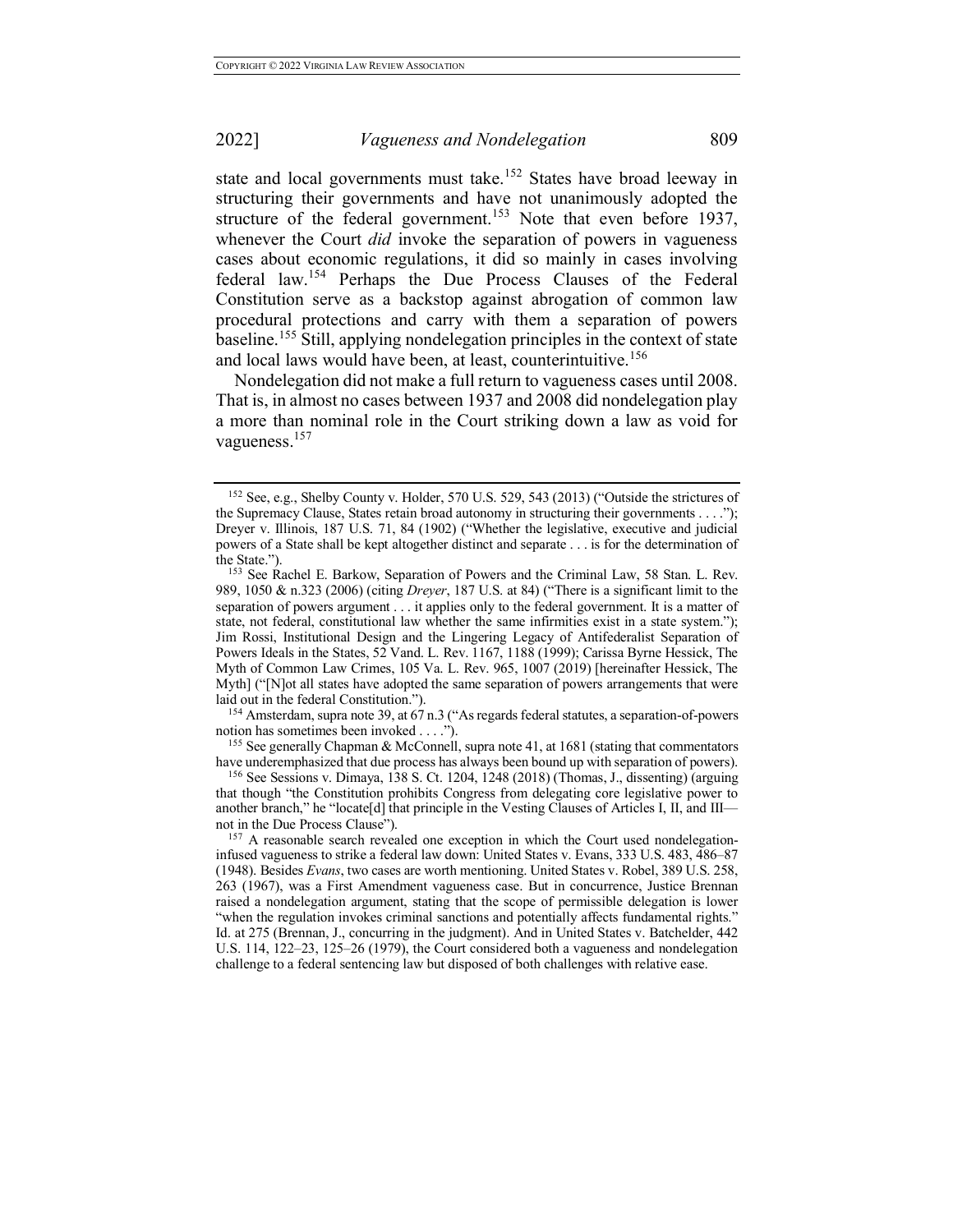state and local governments must take.<sup>152</sup> States have broad leeway in structuring their governments and have not unanimously adopted the structure of the federal government.<sup>153</sup> Note that even before 1937, whenever the Court *did* invoke the separation of powers in vagueness cases about economic regulations, it did so mainly in cases involving federal law.<sup>154</sup> Perhaps the Due Process Clauses of the Federal Constitution serve as a backstop against abrogation of common law procedural protections and carry with them a separation of powers baseline.<sup>155</sup> Still, applying nondelegation principles in the context of state and local laws would have been, at least, counterintuitive.<sup>156</sup>

Nondelegation did not make a full return to vagueness cases until 2008. That is, in almost no cases between 1937 and 2008 did nondelegation play a more than nominal role in the Court striking down a law as void for vagueness.<sup>157</sup>

<sup>154</sup> Amsterdam, supra note 39, at 67 n.3 ("As regards federal statutes, a separation-of-powers notion has sometimes been invoked . . . .").

<sup>155</sup> See generally Chapman & McConnell, supra note 41, at 1681 (stating that commentators have underemphasized that due process has always been bound up with separation of powers).

<sup>156</sup> See Sessions v. Dimaya, 138 S. Ct. 1204, 1248 (2018) (Thomas, J., dissenting) (arguing that though "the Constitution prohibits Congress from delegating core legislative power to another branch," he "locate[d] that principle in the Vesting Clauses of Articles I, II, and III not in the Due Process Clause"). 157 A reasonable search revealed one exception in which the Court used nondelegation-

<sup>&</sup>lt;sup>152</sup> See, e.g., Shelby County v. Holder, 570 U.S. 529, 543 (2013) ("Outside the strictures of the Supremacy Clause, States retain broad autonomy in structuring their governments . . . ."); Dreyer v. Illinois, 187 U.S. 71, 84 (1902) ("Whether the legislative, executive and judicial powers of a State shall be kept altogether distinct and separate . . . is for the determination of the State.").<br><sup>153</sup> See Rachel E. Barkow, Separation of Powers and the Criminal Law, 58 Stan. L. Rev.

<sup>989, 1050 &</sup>amp; n.323 (2006) (citing *Dreyer*, 187 U.S. at 84) ("There is a significant limit to the separation of powers argument . . . it applies only to the federal government. It is a matter of state, not federal, constitutional law whether the same infirmities exist in a state system."); Jim Rossi, Institutional Design and the Lingering Legacy of Antifederalist Separation of Powers Ideals in the States, 52 Vand. L. Rev. 1167, 1188 (1999); Carissa Byrne Hessick, The Myth of Common Law Crimes, 105 Va. L. Rev. 965, 1007 (2019) [hereinafter Hessick, The Myth] ("[N]ot all states have adopted the same separation of powers arrangements that were laid out in the federal Constitution.").

infused vagueness to strike a federal law down: United States v. Evans, 333 U.S. 483, 486–87 (1948). Besides *Evans*, two cases are worth mentioning. United States v. Robel, 389 U.S. 258, 263 (1967), was a First Amendment vagueness case. But in concurrence, Justice Brennan raised a nondelegation argument, stating that the scope of permissible delegation is lower "when the regulation invokes criminal sanctions and potentially affects fundamental rights." Id. at 275 (Brennan, J., concurring in the judgment). And in United States v. Batchelder, 442 U.S. 114, 122–23, 125–26 (1979), the Court considered both a vagueness and nondelegation challenge to a federal sentencing law but disposed of both challenges with relative ease.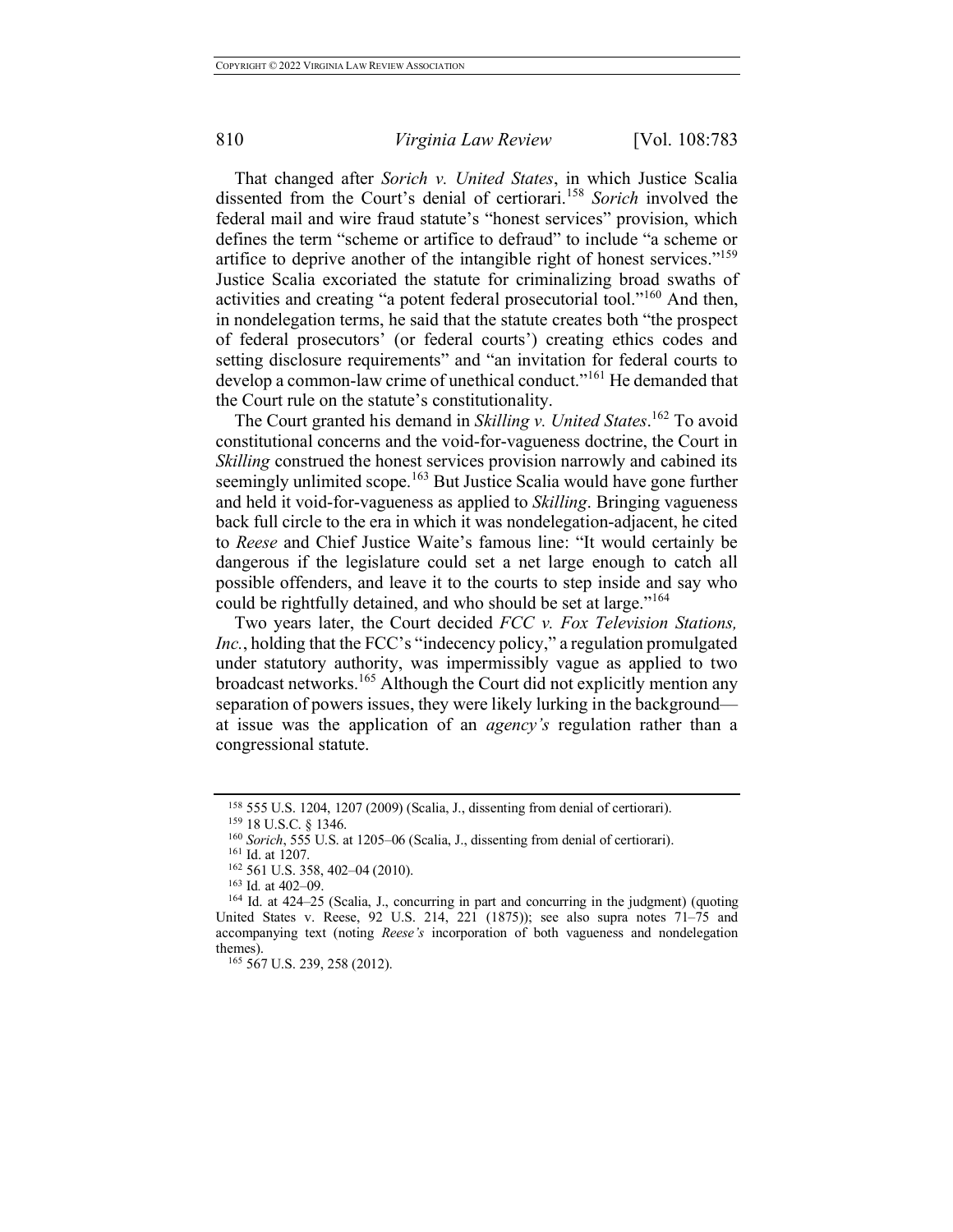That changed after *Sorich v. United States*, in which Justice Scalia dissented from the Court's denial of certiorari.<sup>158</sup> *Sorich* involved the federal mail and wire fraud statute's "honest services" provision, which defines the term "scheme or artifice to defraud" to include "a scheme or artifice to deprive another of the intangible right of honest services."<sup>159</sup> Justice Scalia excoriated the statute for criminalizing broad swaths of activities and creating "a potent federal prosecutorial tool."<sup>160</sup> And then, in nondelegation terms, he said that the statute creates both "the prospect of federal prosecutors' (or federal courts') creating ethics codes and setting disclosure requirements" and "an invitation for federal courts to develop a common-law crime of unethical conduct."<sup>161</sup> He demanded that the Court rule on the statute's constitutionality.

The Court granted his demand in *Skilling v. United States*. <sup>162</sup> To avoid constitutional concerns and the void-for-vagueness doctrine, the Court in *Skilling* construed the honest services provision narrowly and cabined its seemingly unlimited scope.<sup>163</sup> But Justice Scalia would have gone further and held it void-for-vagueness as applied to *Skilling*. Bringing vagueness back full circle to the era in which it was nondelegation-adjacent, he cited to *Reese* and Chief Justice Waite's famous line: "It would certainly be dangerous if the legislature could set a net large enough to catch all possible offenders, and leave it to the courts to step inside and say who could be rightfully detained, and who should be set at large."<sup>164</sup>

Two years later, the Court decided *FCC v. Fox Television Stations, Inc.*, holding that the FCC's "indecency policy," a regulation promulgated under statutory authority, was impermissibly vague as applied to two broadcast networks. <sup>165</sup> Although the Court did not explicitly mention any separation of powers issues, they were likely lurking in the background at issue was the application of an *agency's* regulation rather than a congressional statute.

<sup>158</sup> 555 U.S. 1204, 1207 (2009) (Scalia, J., dissenting from denial of certiorari). 159 18 U.S.C. § 1346. 160 *Sorich*, 555 U.S. at 1205–06 (Scalia, J., dissenting from denial of certiorari).

<sup>&</sup>lt;sup>161</sup> Id. at 1207.<br><sup>162</sup> 561 U.S. 358, 402–04 (2010).

<sup>&</sup>lt;sup>163</sup> Id. at 402–09.<br><sup>164</sup> Id. at 424–25 (Scalia, J., concurring in part and concurring in the judgment) (quoting United States v. Reese, 92 U.S. 214, 221 (1875)); see also supra notes 71–75 and accompanying text (noting *Reese's* incorporation of both vagueness and nondelegation themes).

<sup>165 567</sup> U.S. 239, 258 (2012).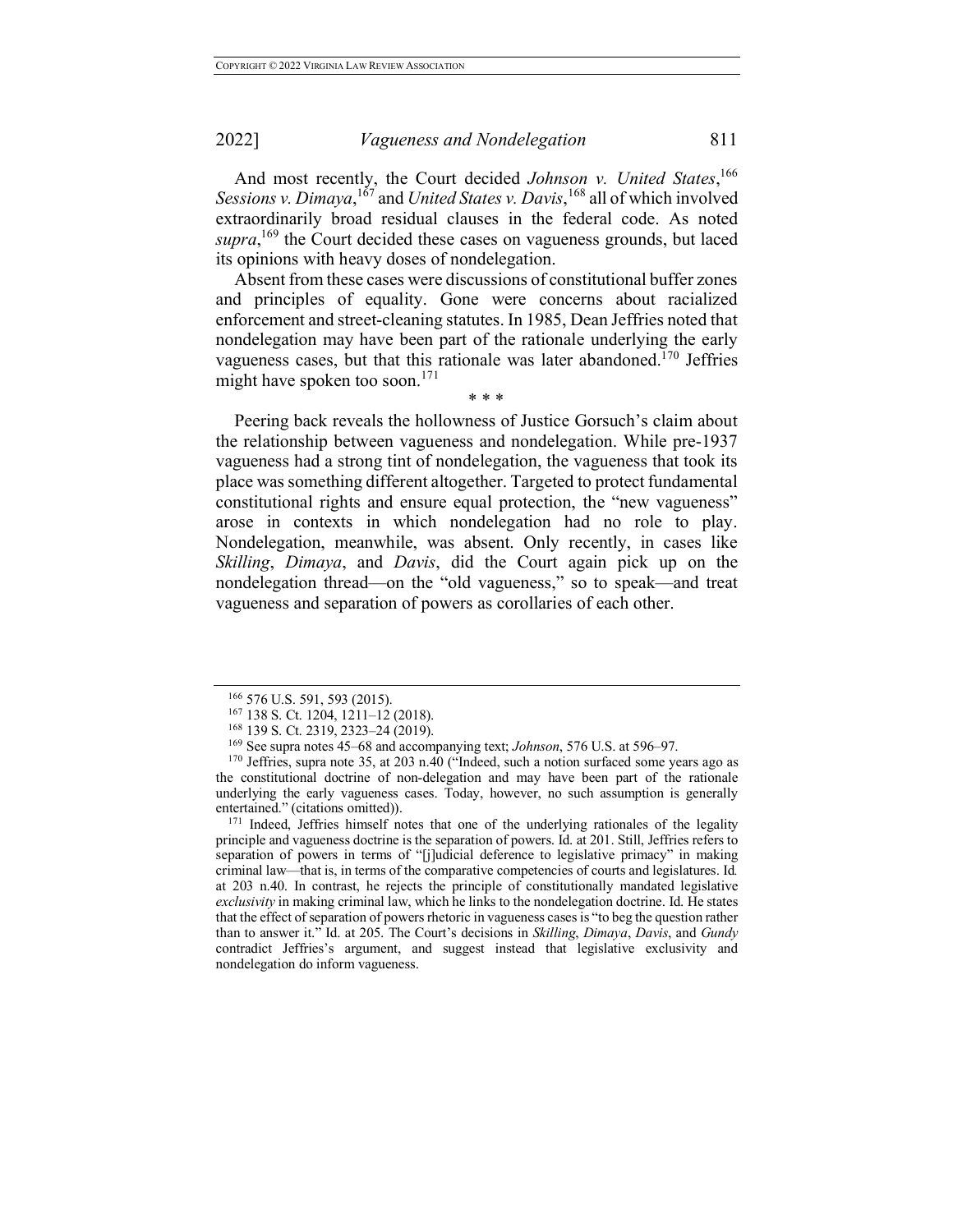And most recently, the Court decided *Johnson v. United States*, 166 Sessions *v*. Dimaya, <sup>167</sup> and *United States v. Davis*, <sup>168</sup> all of which involved extraordinarily broad residual clauses in the federal code. As noted supra,<sup>169</sup> the Court decided these cases on vagueness grounds, but laced its opinions with heavy doses of nondelegation.

Absent from these cases were discussions of constitutional buffer zones and principles of equality. Gone were concerns about racialized enforcement and street-cleaning statutes. In 1985, Dean Jeffries noted that nondelegation may have been part of the rationale underlying the early vagueness cases, but that this rationale was later abandoned.<sup>170</sup> Jeffries might have spoken too soon.<sup>171</sup> \* \* \*

Peering back reveals the hollowness of Justice Gorsuch's claim about the relationship between vagueness and nondelegation. While pre-1937 vagueness had a strong tint of nondelegation, the vagueness that took its place was something different altogether. Targeted to protect fundamental constitutional rights and ensure equal protection, the "new vagueness" arose in contexts in which nondelegation had no role to play. Nondelegation, meanwhile, was absent. Only recently, in cases like *Skilling*, *Dimaya*, and *Davis*, did the Court again pick up on the nondelegation thread—on the "old vagueness," so to speak—and treat vagueness and separation of powers as corollaries of each other.

<sup>171</sup> Indeed, Jeffries himself notes that one of the underlying rationales of the legality principle and vagueness doctrine is the separation of powers. Id. at 201. Still, Jeffries refers to separation of powers in terms of "[j]udicial deference to legislative primacy" in making criminal law—that is, in terms of the comparative competencies of courts and legislatures. Id*.*  at 203 n.40. In contrast, he rejects the principle of constitutionally mandated legislative *exclusivity* in making criminal law, which he links to the nondelegation doctrine. Id. He states that the effect of separation of powers rhetoric in vagueness cases is "to beg the question rather than to answer it." Id. at 205. The Court's decisions in *Skilling*, *Dimaya*, *Davis*, and *Gundy* contradict Jeffries's argument, and suggest instead that legislative exclusivity and nondelegation do inform vagueness.

<sup>166 576</sup> U.S. 591, 593 (2015).<br><sup>167</sup> 138 S. Ct. 1204, 1211–12 (2018).<br><sup>168</sup> 139 S. Ct. 2319, 2323–24 (2019).<br><sup>169</sup> See supra notes 45–68 and accompanying text; *Johnson*, 576 U.S. at 596–97.

<sup>&</sup>lt;sup>170</sup> Jeffries, supra note 35, at 203 n.40 ("Indeed, such a notion surfaced some years ago as the constitutional doctrine of non-delegation and may have been part of the rationale underlying the early vagueness cases. Today, however, no such assumption is generally entertained." (citations omitted)).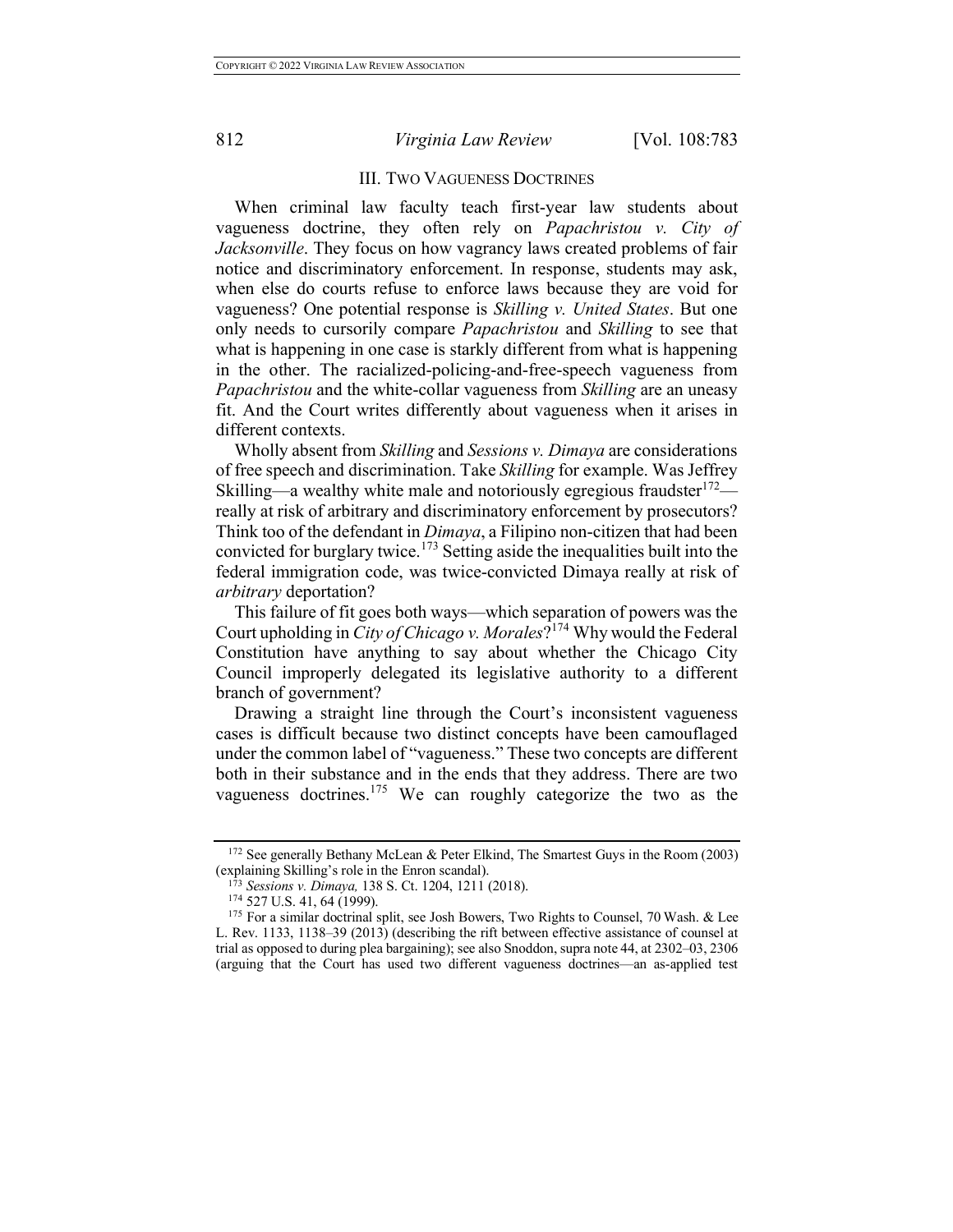## III. TWO VAGUENESS DOCTRINES

When criminal law faculty teach first-year law students about vagueness doctrine, they often rely on *Papachristou v. City of Jacksonville*. They focus on how vagrancy laws created problems of fair notice and discriminatory enforcement. In response, students may ask, when else do courts refuse to enforce laws because they are void for vagueness? One potential response is *Skilling v. United States*. But one only needs to cursorily compare *Papachristou* and *Skilling* to see that what is happening in one case is starkly different from what is happening in the other. The racialized-policing-and-free-speech vagueness from *Papachristou* and the white-collar vagueness from *Skilling* are an uneasy fit. And the Court writes differently about vagueness when it arises in different contexts.

Wholly absent from *Skilling* and *Sessions v. Dimaya* are considerations of free speech and discrimination. Take *Skilling* for example. Was Jeffrey Skilling—a wealthy white male and notoriously egregious fraudster  $172$  really at risk of arbitrary and discriminatory enforcement by prosecutors? Think too of the defendant in *Dimaya*, a Filipino non-citizen that had been convicted for burglary twice.<sup>173</sup> Setting aside the inequalities built into the federal immigration code, was twice-convicted Dimaya really at risk of *arbitrary* deportation?

This failure of fit goes both ways—which separation of powers was the Court upholding in *City of Chicago v. Morales*?<sup>174</sup> Why would the Federal Constitution have anything to say about whether the Chicago City Council improperly delegated its legislative authority to a different branch of government?

Drawing a straight line through the Court's inconsistent vagueness cases is difficult because two distinct concepts have been camouflaged under the common label of "vagueness." These two concepts are different both in their substance and in the ends that they address. There are two vagueness doctrines.<sup>175</sup> We can roughly categorize the two as the

<sup>172</sup> See generally Bethany McLean & Peter Elkind, The Smartest Guys in the Room (2003) (explaining Skilling's role in the Enron scandal).

<sup>173</sup> *Sessions v. Dimaya,* 138 S. Ct. 1204, 1211 (2018).

<sup>174</sup> 527 U.S. 41, 64 (1999).

<sup>&</sup>lt;sup>175</sup> For a similar doctrinal split, see Josh Bowers, Two Rights to Counsel, 70 Wash. & Lee L. Rev. 1133, 1138–39 (2013) (describing the rift between effective assistance of counsel at trial as opposed to during plea bargaining); see also Snoddon, supra note 44, at 2302–03, 2306 (arguing that the Court has used two different vagueness doctrines—an as-applied test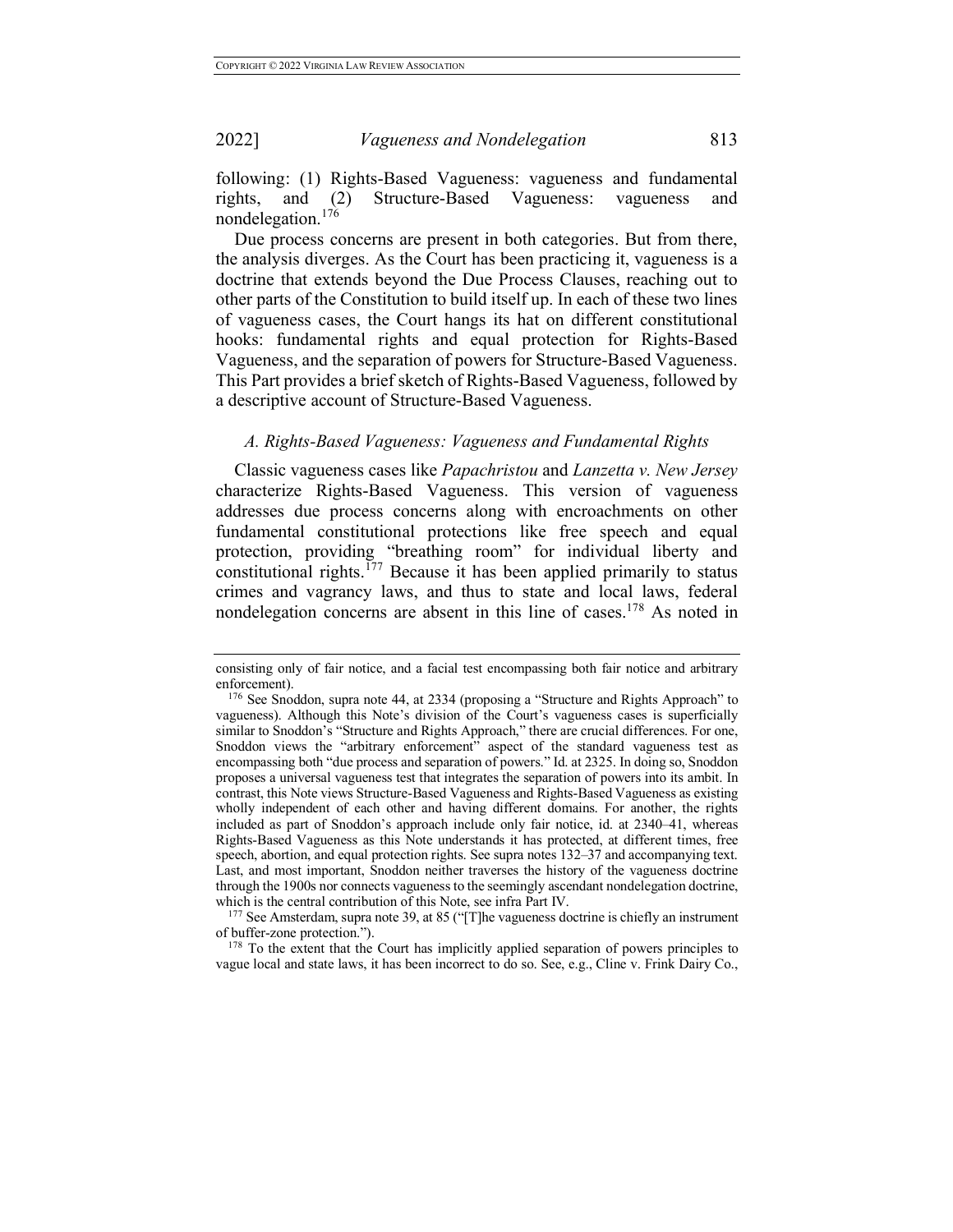following: (1) Rights-Based Vagueness: vagueness and fundamental rights, and (2) Structure-Based Vagueness: vagueness and nondelegation.<sup>176</sup>

Due process concerns are present in both categories. But from there, the analysis diverges. As the Court has been practicing it, vagueness is a doctrine that extends beyond the Due Process Clauses, reaching out to other parts of the Constitution to build itself up. In each of these two lines of vagueness cases, the Court hangs its hat on different constitutional hooks: fundamental rights and equal protection for Rights-Based Vagueness, and the separation of powers for Structure-Based Vagueness. This Part provides a brief sketch of Rights-Based Vagueness, followed by a descriptive account of Structure-Based Vagueness.

## *A. Rights-Based Vagueness: Vagueness and Fundamental Rights*

Classic vagueness cases like *Papachristou* and *Lanzetta v. New Jersey* characterize Rights-Based Vagueness. This version of vagueness addresses due process concerns along with encroachments on other fundamental constitutional protections like free speech and equal protection, providing "breathing room" for individual liberty and constitutional rights.<sup>177</sup> Because it has been applied primarily to status crimes and vagrancy laws, and thus to state and local laws, federal nondelegation concerns are absent in this line of cases.<sup>178</sup> As noted in

of buffer-zone protection.").

<sup>178</sup> To the extent that the Court has implicitly applied separation of powers principles to vague local and state laws, it has been incorrect to do so. See, e.g., Cline v. Frink Dairy Co.,

consisting only of fair notice, and a facial test encompassing both fair notice and arbitrary

 $176$  See Snoddon, supra note 44, at 2334 (proposing a "Structure and Rights Approach" to vagueness). Although this Note's division of the Court's vagueness cases is superficially similar to Snoddon's "Structure and Rights Approach," there are crucial differences. For one, Snoddon views the "arbitrary enforcement" aspect of the standard vagueness test as encompassing both "due process and separation of powers." Id. at 2325. In doing so, Snoddon proposes a universal vagueness test that integrates the separation of powers into its ambit. In contrast, this Note views Structure-Based Vagueness and Rights-Based Vagueness as existing wholly independent of each other and having different domains. For another, the rights included as part of Snoddon's approach include only fair notice, id. at 2340–41, whereas Rights-Based Vagueness as this Note understands it has protected, at different times, free speech, abortion, and equal protection rights. See supra notes 132–37 and accompanying text. Last, and most important, Snoddon neither traverses the history of the vagueness doctrine through the 1900s nor connects vagueness to the seemingly ascendant nondelegation doctrine, which is the central contribution of this Note, see infra Part IV.<br><sup>177</sup> See Amsterdam, supra note 39, at 85 ("[T]he vagueness doctrine is chiefly an instrument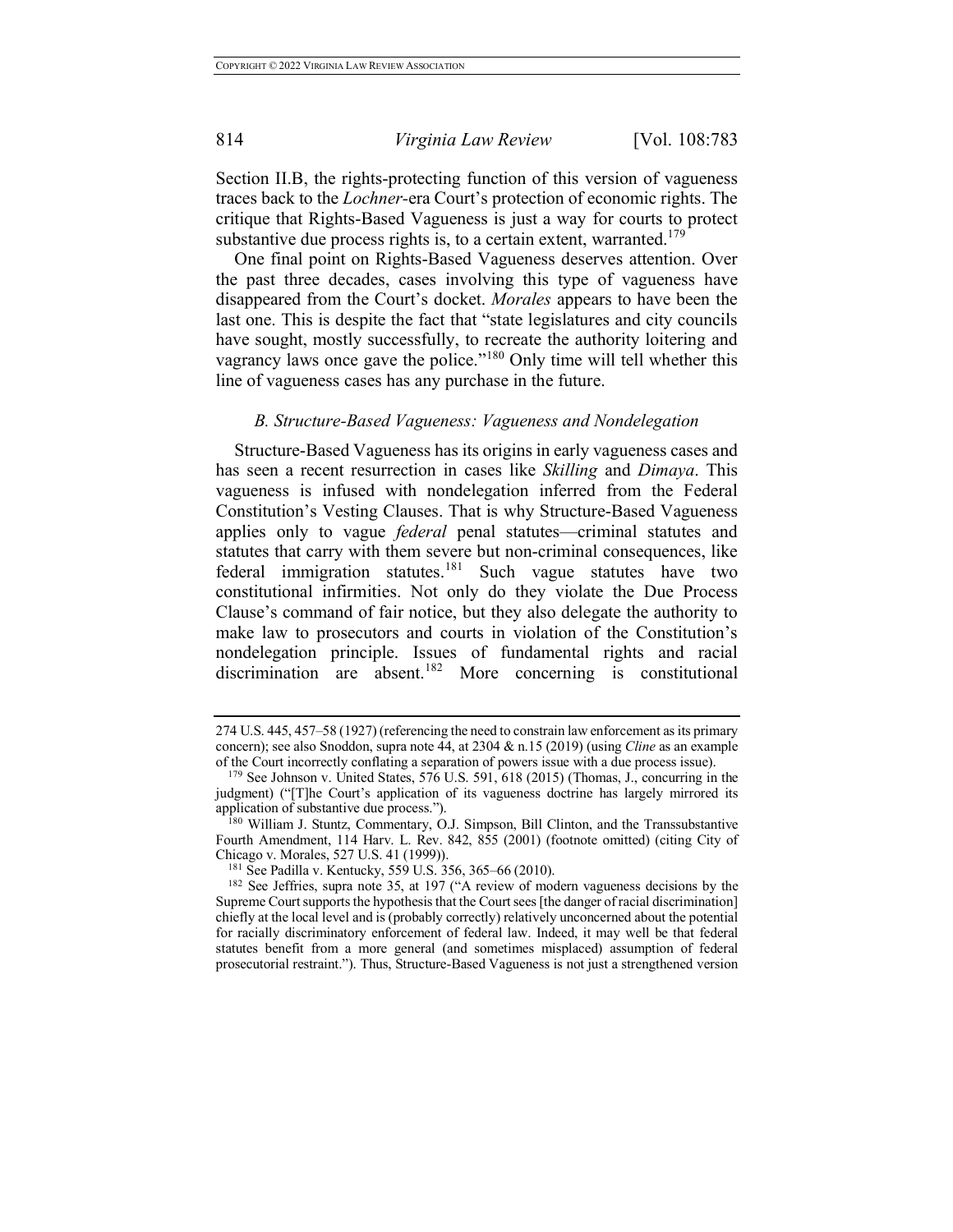Section II.B, the rights-protecting function of this version of vagueness traces back to the *Lochner-*era Court's protection of economic rights. The critique that Rights-Based Vagueness is just a way for courts to protect substantive due process rights is, to a certain extent, warranted.<sup>179</sup>

One final point on Rights-Based Vagueness deserves attention. Over the past three decades, cases involving this type of vagueness have disappeared from the Court's docket. *Morales* appears to have been the last one. This is despite the fact that "state legislatures and city councils have sought, mostly successfully, to recreate the authority loitering and vagrancy laws once gave the police."<sup>180</sup> Only time will tell whether this line of vagueness cases has any purchase in the future.

## *B. Structure-Based Vagueness: Vagueness and Nondelegation*

Structure-Based Vagueness has its origins in early vagueness cases and has seen a recent resurrection in cases like *Skilling* and *Dimaya*. This vagueness is infused with nondelegation inferred from the Federal Constitution's Vesting Clauses. That is why Structure-Based Vagueness applies only to vague *federal* penal statutes—criminal statutes and statutes that carry with them severe but non-criminal consequences, like federal immigration statutes.<sup>181</sup> Such vague statutes have two constitutional infirmities. Not only do they violate the Due Process Clause's command of fair notice, but they also delegate the authority to make law to prosecutors and courts in violation of the Constitution's nondelegation principle. Issues of fundamental rights and racial discrimination are absent. <sup>182</sup> More concerning is constitutional

<sup>274</sup> U.S. 445, 457–58 (1927) (referencing the need to constrain law enforcement as its primary concern); see also Snoddon, supra note 44, at 2304 & n.15 (2019) (using *Cline* as an example of the Court incorrectly conflating a separation of powers issue with a due process issue).

 $179$  See Johnson v. United States,  $576$  U.S.  $591, 618$  (2015) (Thomas, J., concurring in the judgment) ("[T]he Court's application of its vagueness doctrine has largely mirrored its application of substantive due process.").

 ${}^{180}$  William J. Stuntz, Commentary, O.J. Simpson, Bill Clinton, and the Transsubstantive Fourth Amendment, 114 Harv. L. Rev. 842, 855 (2001) (footnote omitted) (citing City of Chicago v. Morales, 527 U.S. 41 (1999)).

<sup>181</sup> See Padilla v. Kentucky, 559 U.S. 356, 365–66 (2010).

<sup>&</sup>lt;sup>182</sup> See Jeffries, supra note 35, at 197 ("A review of modern vagueness decisions by the Supreme Court supports the hypothesis that the Court sees [the danger of racial discrimination] chiefly at the local level and is (probably correctly) relatively unconcerned about the potential for racially discriminatory enforcement of federal law. Indeed, it may well be that federal statutes benefit from a more general (and sometimes misplaced) assumption of federal prosecutorial restraint."). Thus, Structure-Based Vagueness is not just a strengthened version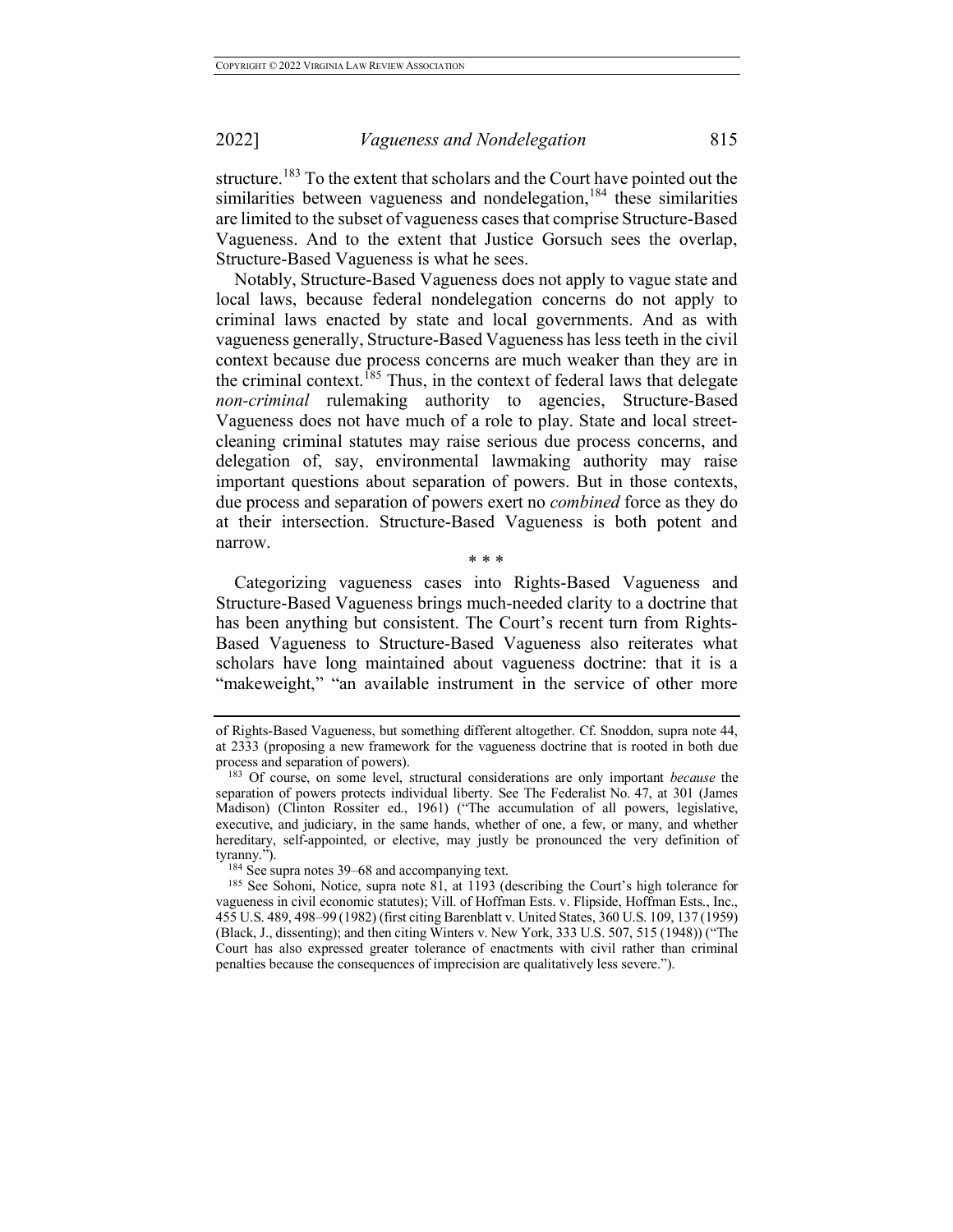structure.<sup>183</sup> To the extent that scholars and the Court have pointed out the similarities between vagueness and nondelegation,<sup>184</sup> these similarities are limited to the subset of vagueness cases that comprise Structure-Based Vagueness. And to the extent that Justice Gorsuch sees the overlap, Structure-Based Vagueness is what he sees.

Notably, Structure-Based Vagueness does not apply to vague state and local laws, because federal nondelegation concerns do not apply to criminal laws enacted by state and local governments. And as with vagueness generally, Structure-Based Vagueness has less teeth in the civil context because due process concerns are much weaker than they are in the criminal context.<sup>185</sup> Thus, in the context of federal laws that delegate *non-criminal* rulemaking authority to agencies, Structure-Based Vagueness does not have much of a role to play. State and local streetcleaning criminal statutes may raise serious due process concerns, and delegation of, say, environmental lawmaking authority may raise important questions about separation of powers. But in those contexts, due process and separation of powers exert no *combined* force as they do at their intersection. Structure-Based Vagueness is both potent and narrow.

\* \* \*

Categorizing vagueness cases into Rights-Based Vagueness and Structure-Based Vagueness brings much-needed clarity to a doctrine that has been anything but consistent. The Court's recent turn from Rights-Based Vagueness to Structure-Based Vagueness also reiterates what scholars have long maintained about vagueness doctrine: that it is a "makeweight," "an available instrument in the service of other more

of Rights-Based Vagueness, but something different altogether. Cf. Snoddon, supra note 44, at 2333 (proposing a new framework for the vagueness doctrine that is rooted in both due process and separation of powers).<br><sup>183</sup> Of course, on some level, structural considerations are only important *because* the

separation of powers protects individual liberty. See The Federalist No. 47, at 301 (James Madison) (Clinton Rossiter ed., 1961) ("The accumulation of all powers, legislative, executive, and judiciary, in the same hands, whether of one, a few, or many, and whether hereditary, self-appointed, or elective, may justly be pronounced the very definition of tyranny.").<br><sup>184</sup> See supra notes 39–68 and accompanying text.

<sup>&</sup>lt;sup>185</sup> See Sohoni, Notice, supra note  $\hat{81}$ , at 1193 (describing the Court's high tolerance for vagueness in civil economic statutes); Vill. of Hoffman Ests. v. Flipside, Hoffman Ests., Inc., 455 U.S. 489, 498–99 (1982) (first citing Barenblatt v. United States, 360 U.S. 109, 137 (1959) (Black, J., dissenting); and then citing Winters v. New York, 333 U.S. 507, 515 (1948)) ("The Court has also expressed greater tolerance of enactments with civil rather than criminal penalties because the consequences of imprecision are qualitatively less severe.").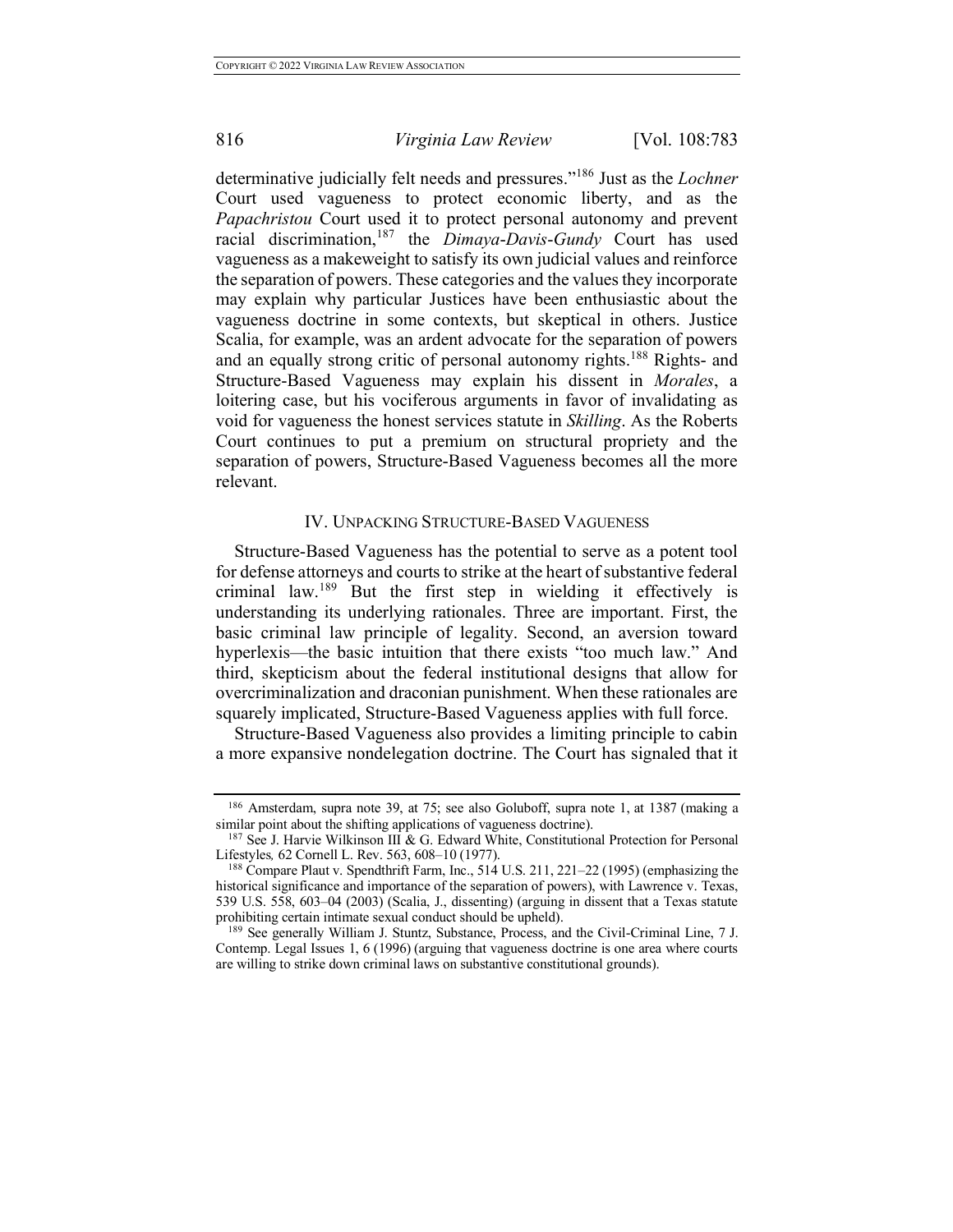determinative judicially felt needs and pressures."<sup>186</sup> Just as the *Lochner*  Court used vagueness to protect economic liberty, and as the *Papachristou* Court used it to protect personal autonomy and prevent racial discrimination,<sup>187</sup> the *Dimaya*-*Davis*-*Gundy* Court has used vagueness as a makeweight to satisfy its own judicial values and reinforce the separation of powers. These categories and the values they incorporate may explain why particular Justices have been enthusiastic about the vagueness doctrine in some contexts, but skeptical in others. Justice Scalia, for example, was an ardent advocate for the separation of powers and an equally strong critic of personal autonomy rights.<sup>188</sup> Rights- and Structure-Based Vagueness may explain his dissent in *Morales*, a loitering case, but his vociferous arguments in favor of invalidating as void for vagueness the honest services statute in *Skilling*. As the Roberts Court continues to put a premium on structural propriety and the separation of powers, Structure-Based Vagueness becomes all the more relevant.

## IV. UNPACKING STRUCTURE-BASED VAGUENESS

Structure-Based Vagueness has the potential to serve as a potent tool for defense attorneys and courts to strike at the heart of substantive federal criminal law.<sup>189</sup> But the first step in wielding it effectively is understanding its underlying rationales. Three are important. First, the basic criminal law principle of legality. Second, an aversion toward hyperlexis—the basic intuition that there exists "too much law." And third, skepticism about the federal institutional designs that allow for overcriminalization and draconian punishment. When these rationales are squarely implicated, Structure-Based Vagueness applies with full force.

Structure-Based Vagueness also provides a limiting principle to cabin a more expansive nondelegation doctrine. The Court has signaled that it

<sup>186</sup> Amsterdam, supra note 39, at 75; see also Goluboff, supra note 1, at 1387 (making a similar point about the shifting applications of vagueness doctrine).

<sup>&</sup>lt;sup>187</sup> See J. Harvie Wilkinson III & G. Edward White, Constitutional Protection for Personal Lifestyles, 62 Cornell L. Rev. 563, 608–10 (1977).

<sup>&</sup>lt;sup>188</sup> Compare Plaut v. Spendthrift Farm, Inc., 514 U.S. 211, 221-22 (1995) (emphasizing the historical significance and importance of the separation of powers), with Lawrence v. Texas, 539 U.S. 558, 603–04 (2003) (Scalia, J., dissenting) (arguing in dissent that a Texas statute prohibiting certain intimate sexual conduct should be upheld).

<sup>&</sup>lt;sup>189</sup> See generally William J. Stuntz, Substance, Process, and the Civil-Criminal Line, 7 J. Contemp. Legal Issues 1, 6 (1996) (arguing that vagueness doctrine is one area where courts are willing to strike down criminal laws on substantive constitutional grounds).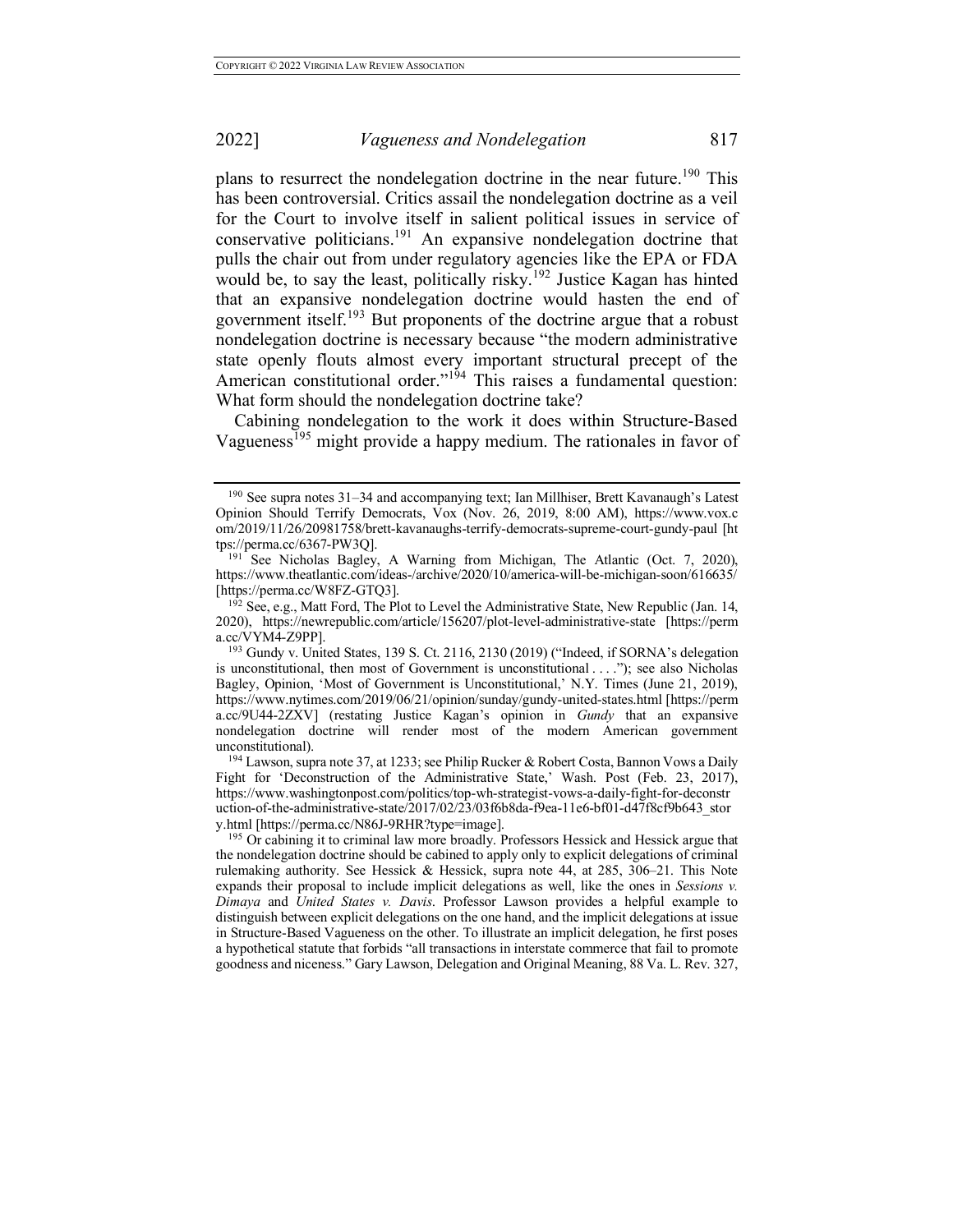plans to resurrect the nondelegation doctrine in the near future.<sup>190</sup> This has been controversial. Critics assail the nondelegation doctrine as a veil for the Court to involve itself in salient political issues in service of conservative politicians.<sup>191</sup> An expansive nondelegation doctrine that pulls the chair out from under regulatory agencies like the EPA or FDA would be, to say the least, politically risky. <sup>192</sup> Justice Kagan has hinted that an expansive nondelegation doctrine would hasten the end of government itself.<sup>193</sup> But proponents of the doctrine argue that a robust nondelegation doctrine is necessary because "the modern administrative state openly flouts almost every important structural precept of the American constitutional order."<sup>194</sup> This raises a fundamental question: What form should the nondelegation doctrine take?

Cabining nondelegation to the work it does within Structure-Based Vagueness<sup>195</sup> might provide a happy medium. The rationales in favor of

<sup>190</sup> See supra notes 31–34 and accompanying text; Ian Millhiser, Brett Kavanaugh's Latest Opinion Should Terrify Democrats, Vox (Nov. 26, 2019, 8:00 AM), https://www.vox.c om/2019/11/26/20981758/brett-kavanaughs-terrify-democrats-supreme-court-gundy-paul [ht tps://perma.cc/6367-PW3Q].

<sup>&</sup>lt;sup>191</sup> See Nicholas Bagley, A Warning from Michigan, The Atlantic (Oct. 7, 2020), https://www.theatlantic.com/ideas-/archive/2020/10/america-will-be-michigan-soon/616635/ [https://perma.cc/W8FZ-GTQ3].

 $192$  See, e.g., Matt Ford, The Plot to Level the Administrative State, New Republic (Jan. 14, 2020), https://newrepublic.com/article/156207/plot-level-administrative-state [https://perm a.cc/VYM4-Z9PP].

<sup>193</sup> Gundy v. United States, 139 S. Ct. 2116, 2130 (2019) ("Indeed, if SORNA's delegation is unconstitutional, then most of Government is unconstitutional . . . ."); see also Nicholas Bagley, Opinion, 'Most of Government is Unconstitutional,' N.Y. Times (June 21, 2019), https://www.nytimes.com/2019/06/21/opinion/sunday/gundy-united-states.html [https://perm a.cc/9U44-2ZXV] (restating Justice Kagan's opinion in *Gundy* that an expansive nondelegation doctrine will render most of the modern American government unconstitutional).

<sup>&</sup>lt;sup>194</sup> Lawson, supra note 37, at 1233; see Philip Rucker & Robert Costa, Bannon Vows a Daily Fight for 'Deconstruction of the Administrative State,' Wash. Post (Feb. 23, 2017), https://www.washingtonpost.com/politics/top-wh-strategist-vows-a-daily-fight-for-deconstr uction-of-the-administrative-state/2017/02/23/03f6b8da-f9ea-11e6-bf01-d47f8cf9b643\_stor y.html [https://perma.cc/N86J-9RHR?type=image].

<sup>&</sup>lt;sup>195</sup> Or cabining it to criminal law more broadly. Professors Hessick and Hessick argue that the nondelegation doctrine should be cabined to apply only to explicit delegations of criminal rulemaking authority. See Hessick & Hessick, supra note 44, at 285, 306–21. This Note expands their proposal to include implicit delegations as well, like the ones in *Sessions v. Dimaya* and *United States v. Davis*. Professor Lawson provides a helpful example to distinguish between explicit delegations on the one hand, and the implicit delegations at issue in Structure-Based Vagueness on the other. To illustrate an implicit delegation, he first poses a hypothetical statute that forbids "all transactions in interstate commerce that fail to promote goodness and niceness." Gary Lawson, Delegation and Original Meaning, 88 Va. L. Rev. 327,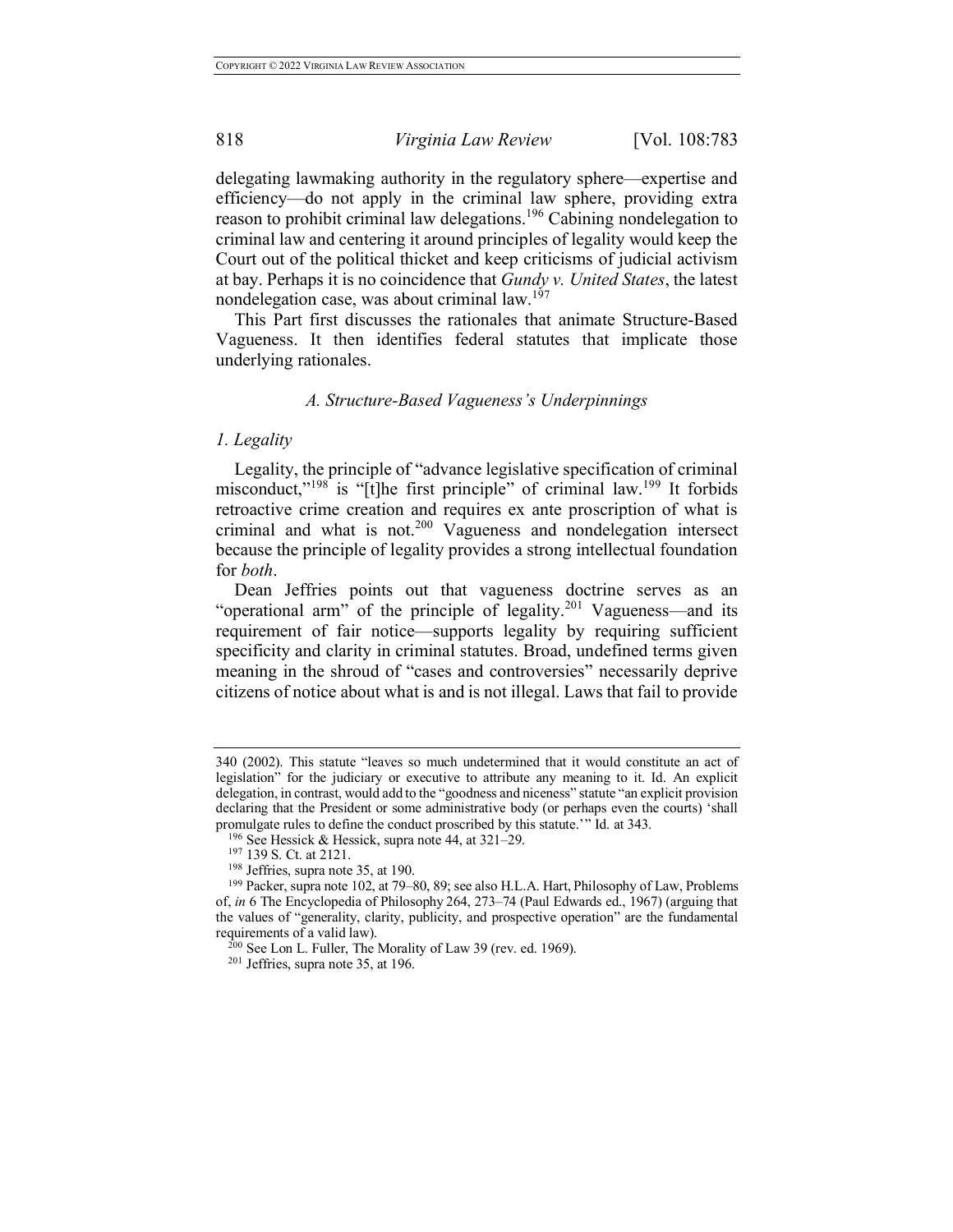delegating lawmaking authority in the regulatory sphere—expertise and efficiency—do not apply in the criminal law sphere, providing extra reason to prohibit criminal law delegations.<sup>196</sup> Cabining nondelegation to criminal law and centering it around principles of legality would keep the Court out of the political thicket and keep criticisms of judicial activism at bay. Perhaps it is no coincidence that *Gundy v. United States*, the latest nondelegation case, was about criminal law.<sup>197</sup>

This Part first discusses the rationales that animate Structure-Based Vagueness. It then identifies federal statutes that implicate those underlying rationales.

## *A. Structure-Based Vagueness's Underpinnings*

## *1. Legality*

Legality, the principle of "advance legislative specification of criminal misconduct,"<sup>198</sup> is "[t]he first principle" of criminal law.<sup>199</sup> It forbids retroactive crime creation and requires ex ante proscription of what is criminal and what is not.<sup>200</sup> Vagueness and nondelegation intersect because the principle of legality provides a strong intellectual foundation for *both*.

Dean Jeffries points out that vagueness doctrine serves as an "operational arm" of the principle of legality.<sup>201</sup> Vagueness—and its requirement of fair notice—supports legality by requiring sufficient specificity and clarity in criminal statutes. Broad, undefined terms given meaning in the shroud of "cases and controversies" necessarily deprive citizens of notice about what is and is not illegal. Laws that fail to provide

<sup>340 (2002).</sup> This statute "leaves so much undetermined that it would constitute an act of legislation" for the judiciary or executive to attribute any meaning to it. Id. An explicit delegation, in contrast, would add to the "goodness and niceness" statute "an explicit provision declaring that the President or some administrative body (or perhaps even the courts) 'shall promulgate rules to define the conduct proscribed by this statute.'" Id. at 343. <sup>196</sup> See Hessick & Hessick, supra note 44, at 321–29.

 $^{197}$  139 S. Ct. at 2121.<br><sup>198</sup> Jeffries, supra note 35, at 190.

 $199$  Packer, supra note 102, at 79–80, 89; see also H.L.A. Hart, Philosophy of Law, Problems of, *in* 6 The Encyclopedia of Philosophy 264, 273–74 (Paul Edwards ed., 1967) (arguing that the values of "generality, clarity, publicity, and prospective operation" are the fundamental requirements of a valid law).

 $^{200}$  See Lon L. Fuller, The Morality of Law 39 (rev. ed. 1969).

<sup>201</sup> Jeffries, supra note 35, at 196.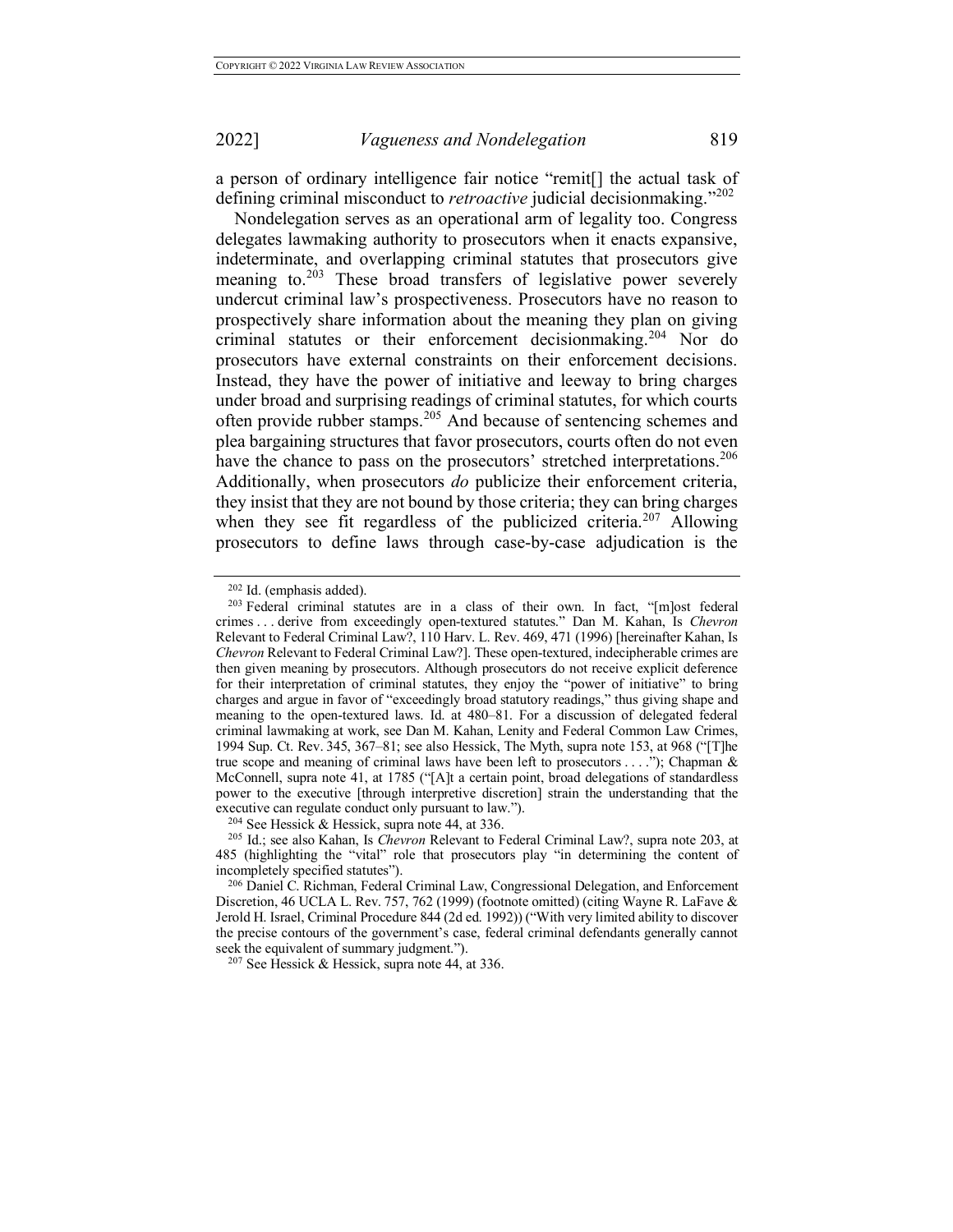a person of ordinary intelligence fair notice "remit[] the actual task of defining criminal misconduct to *retroactive* judicial decisionmaking."<sup>202</sup>

Nondelegation serves as an operational arm of legality too. Congress delegates lawmaking authority to prosecutors when it enacts expansive, indeterminate, and overlapping criminal statutes that prosecutors give meaning to.<sup>203</sup> These broad transfers of legislative power severely undercut criminal law's prospectiveness. Prosecutors have no reason to prospectively share information about the meaning they plan on giving criminal statutes or their enforcement decisionmaking. <sup>204</sup> Nor do prosecutors have external constraints on their enforcement decisions. Instead, they have the power of initiative and leeway to bring charges under broad and surprising readings of criminal statutes, for which courts often provide rubber stamps.<sup>205</sup> And because of sentencing schemes and plea bargaining structures that favor prosecutors, courts often do not even have the chance to pass on the prosecutors' stretched interpretations.<sup>206</sup> Additionally, when prosecutors *do* publicize their enforcement criteria, they insist that they are not bound by those criteria; they can bring charges when they see fit regardless of the publicized criteria.<sup>207</sup> Allowing prosecutors to define laws through case-by-case adjudication is the

 $202$  Id. (emphasis added).<br><sup>203</sup> Federal criminal statutes are in a class of their own. In fact, "[m]ost federal crimes . . . derive from exceedingly open-textured statutes." Dan M. Kahan, Is *Chevron* Relevant to Federal Criminal Law?, 110 Harv. L. Rev. 469, 471 (1996) [hereinafter Kahan, Is *Chevron* Relevant to Federal Criminal Law?]. These open-textured, indecipherable crimes are then given meaning by prosecutors. Although prosecutors do not receive explicit deference for their interpretation of criminal statutes, they enjoy the "power of initiative" to bring charges and argue in favor of "exceedingly broad statutory readings," thus giving shape and meaning to the open-textured laws. Id. at 480–81. For a discussion of delegated federal criminal lawmaking at work, see Dan M. Kahan, Lenity and Federal Common Law Crimes, 1994 Sup. Ct. Rev. 345, 367–81; see also Hessick, The Myth, supra note 153, at 968 ("[T]he true scope and meaning of criminal laws have been left to prosecutors . . . ."); Chapman & McConnell, supra note 41, at 1785 ("[A]t a certain point, broad delegations of standardless power to the executive [through interpretive discretion] strain the understanding that the executive can regulate conduct only pursuant to law.").<br><sup>204</sup> See Hessick & Hessick, supra note 44, at 336.

<sup>&</sup>lt;sup>205</sup> Id.; see also Kahan, Is *Chevron* Relevant to Federal Criminal Law?, supra note 203, at 485 (highlighting the "vital" role that prosecutors play "in determining the content of incompletely specified statutes").

<sup>206</sup> Daniel C. Richman, Federal Criminal Law, Congressional Delegation, and Enforcement Discretion, 46 UCLA L. Rev. 757, 762 (1999) (footnote omitted) (citing Wayne R. LaFave & Jerold H. Israel, Criminal Procedure 844 (2d ed. 1992)) ("With very limited ability to discover the precise contours of the government's case, federal criminal defendants generally cannot seek the equivalent of summary judgment.").

 $207$  See Hessick & Hessick, supra note 44, at 336.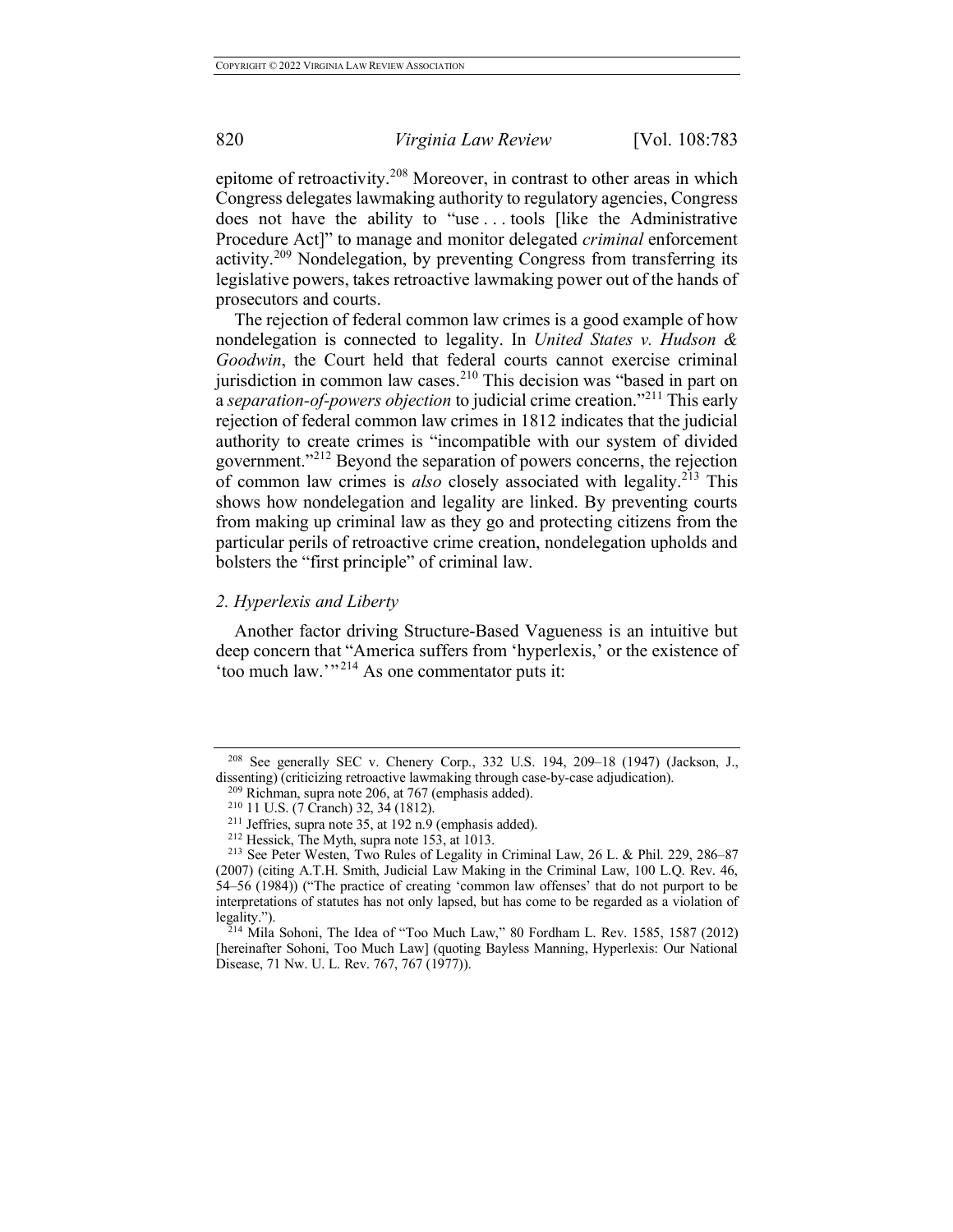epitome of retroactivity.<sup>208</sup> Moreover, in contrast to other areas in which Congress delegates lawmaking authority to regulatory agencies, Congress does not have the ability to "use . . . tools [like the Administrative Procedure Act]" to manage and monitor delegated *criminal* enforcement activity.<sup>209</sup> Nondelegation, by preventing Congress from transferring its legislative powers, takes retroactive lawmaking power out of the hands of prosecutors and courts.

The rejection of federal common law crimes is a good example of how nondelegation is connected to legality. In *United States v. Hudson & Goodwin*, the Court held that federal courts cannot exercise criminal jurisdiction in common law cases. <sup>210</sup> This decision was "based in part on a *separation-of-powers objection* to judicial crime creation."<sup>211</sup> This early rejection of federal common law crimes in 1812 indicates that the judicial authority to create crimes is "incompatible with our system of divided government."<sup>212</sup> Beyond the separation of powers concerns, the rejection of common law crimes is *also* closely associated with legality.<sup>213</sup> This shows how nondelegation and legality are linked. By preventing courts from making up criminal law as they go and protecting citizens from the particular perils of retroactive crime creation, nondelegation upholds and bolsters the "first principle" of criminal law.

## *2. Hyperlexis and Liberty*

Another factor driving Structure-Based Vagueness is an intuitive but deep concern that "America suffers from 'hyperlexis,' or the existence of 'too much law.'" <sup>214</sup> As one commentator puts it:

 $^{214}$  Mila Sohoni, The Idea of "Too Much Law," 80 Fordham L. Rev. 1585, 1587 (2012) [hereinafter Sohoni, Too Much Law] (quoting Bayless Manning, Hyperlexis: Our National Disease, 71 Nw. U. L. Rev. 767, 767 (1977)).

<sup>208</sup> See generally SEC v. Chenery Corp., 332 U.S. 194, 209–18 (1947) (Jackson, J., dissenting) (criticizing retroactive lawmaking through case-by-case adjudication).<br><sup>209</sup> Richman, supra note 206, at 767 (emphasis added).<br><sup>210</sup> 11 U.S. (7 Cranch) 32, 34 (1812).

<sup>&</sup>lt;sup>211</sup> Jeffries, supra note 35, at 192 n.9 (emphasis added).<br><sup>212</sup> Hessick, The Myth, supra note 153, at 1013.

<sup>&</sup>lt;sup>213</sup> See Peter Westen, Two Rules of Legality in Criminal Law, 26 L. & Phil. 229, 286–87 (2007) (citing A.T.H. Smith, Judicial Law Making in the Criminal Law, 100 L.Q. Rev. 46, 54–56 (1984)) ("The practice of creating 'common law offenses' that do not purport to be interpretations of statutes has not only lapsed, but has come to be regarded as a violation of legality.").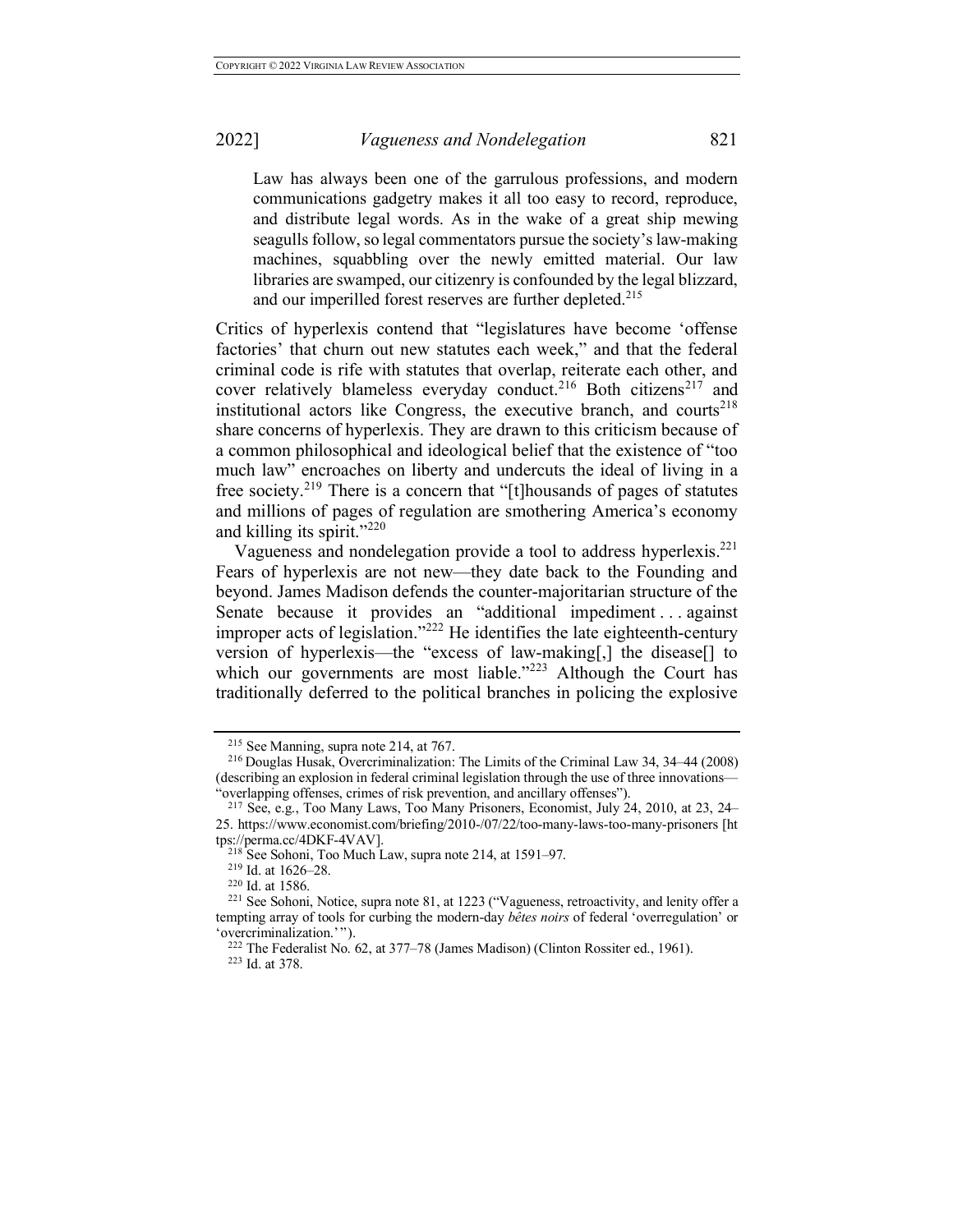Law has always been one of the garrulous professions, and modern communications gadgetry makes it all too easy to record, reproduce, and distribute legal words. As in the wake of a great ship mewing seagulls follow, so legal commentators pursue the society's law-making machines, squabbling over the newly emitted material. Our law libraries are swamped, our citizenry is confounded by the legal blizzard, and our imperilled forest reserves are further depleted.<sup>215</sup>

Critics of hyperlexis contend that "legislatures have become 'offense factories' that churn out new statutes each week," and that the federal criminal code is rife with statutes that overlap, reiterate each other, and cover relatively blameless everyday conduct.<sup>216</sup> Both citizens<sup>217</sup> and institutional actors like Congress, the executive branch, and courts<sup>218</sup> share concerns of hyperlexis. They are drawn to this criticism because of a common philosophical and ideological belief that the existence of "too much law" encroaches on liberty and undercuts the ideal of living in a free society.<sup>219</sup> There is a concern that "[t]housands of pages of statutes and millions of pages of regulation are smothering America's economy and killing its spirit."<sup>220</sup>

Vagueness and nondelegation provide a tool to address hyperlexis.221 Fears of hyperlexis are not new—they date back to the Founding and beyond. James Madison defends the counter-majoritarian structure of the Senate because it provides an "additional impediment . . . against improper acts of legislation."<sup>222</sup> He identifies the late eighteenth-century version of hyperlexis—the "excess of law-making[,] the disease[] to which our governments are most liable."<sup>223</sup> Although the Court has traditionally deferred to the political branches in policing the explosive

<sup>215</sup> See Manning, supra note 214, at 767.

<sup>216</sup> Douglas Husak, Overcriminalization: The Limits of the Criminal Law 34, 34–44 (2008) (describing an explosion in federal criminal legislation through the use of three innovations— "overlapping offenses, crimes of risk prevention, and ancillary offenses").

<sup>217</sup> See, e.g., Too Many Laws, Too Many Prisoners, Economist, July 24, 2010, at 23, 24– 25. https://www.economist.com/briefing/2010-/07/22/too-many-laws-too-many-prisoners [ht tps://perma.cc/4DKF-4VAV].

<sup>&</sup>lt;sup>218</sup> See Sohoni, Too Much Law, supra note 214, at 1591–97.

<sup>219</sup> Id. at 1626–28.

 $220$  Id. at 1586.

<sup>221</sup> See Sohoni, Notice, supra note 81, at 1223 ("Vagueness, retroactivity, and lenity offer a tempting array of tools for curbing the modern-day *bêtes noirs* of federal 'overregulation' or 'overcriminalization.'").

<sup>222</sup> The Federalist No. 62, at 377–78 (James Madison) (Clinton Rossiter ed., 1961).

<sup>223</sup> Id. at 378.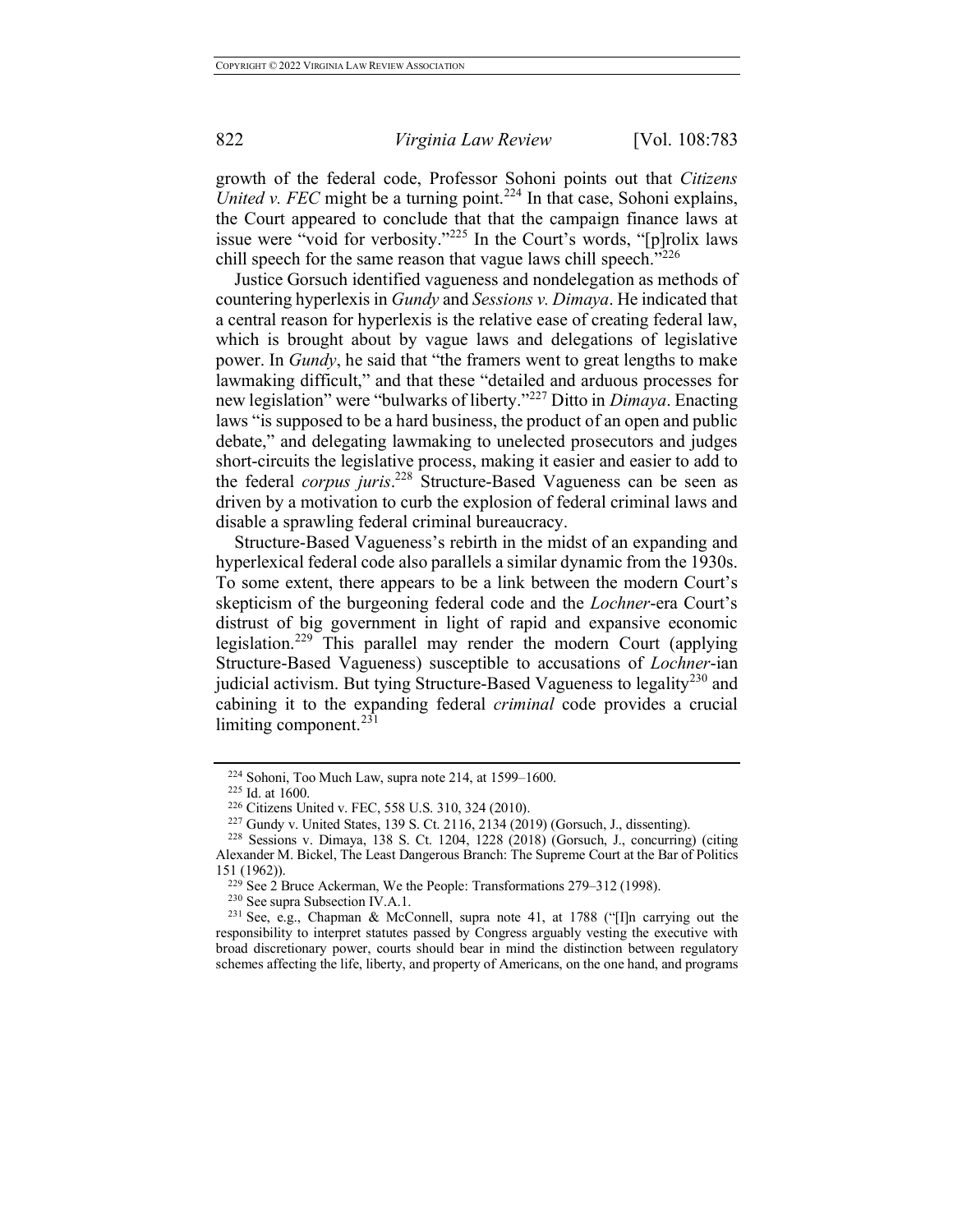growth of the federal code, Professor Sohoni points out that *Citizens United v. FEC* might be a turning point.<sup>224</sup> In that case, Sohoni explains, the Court appeared to conclude that that the campaign finance laws at issue were "void for verbosity."<sup>225</sup> In the Court's words, "[p]rolix laws chill speech for the same reason that vague laws chill speech."<sup>226</sup>

Justice Gorsuch identified vagueness and nondelegation as methods of countering hyperlexis in *Gundy* and *Sessions v. Dimaya*. He indicated that a central reason for hyperlexis is the relative ease of creating federal law, which is brought about by vague laws and delegations of legislative power. In *Gundy*, he said that "the framers went to great lengths to make lawmaking difficult," and that these "detailed and arduous processes for new legislation" were "bulwarks of liberty."<sup>227</sup> Ditto in *Dimaya*. Enacting laws "is supposed to be a hard business, the product of an open and public debate," and delegating lawmaking to unelected prosecutors and judges short-circuits the legislative process, making it easier and easier to add to the federal *corpus juris*. <sup>228</sup> Structure-Based Vagueness can be seen as driven by a motivation to curb the explosion of federal criminal laws and disable a sprawling federal criminal bureaucracy.

Structure-Based Vagueness's rebirth in the midst of an expanding and hyperlexical federal code also parallels a similar dynamic from the 1930s. To some extent, there appears to be a link between the modern Court's skepticism of the burgeoning federal code and the *Lochner*-era Court's distrust of big government in light of rapid and expansive economic legislation.<sup>229</sup> This parallel may render the modern Court (applying Structure-Based Vagueness) susceptible to accusations of *Lochner*-ian judicial activism. But tying Structure-Based Vagueness to legality<sup>230</sup> and cabining it to the expanding federal *criminal* code provides a crucial limiting component. $^{231}$ 

 $224$  Sohoni, Too Much Law, supra note 214, at 1599–1600.

 $^{225}$  Id. at 1600.<br><sup>226</sup> Citizens United v. FEC, 558 U.S. 310, 324 (2010).

<sup>&</sup>lt;sup>227</sup> Gundy v. United States, 139 S. Ct. 2116, 2134 (2019) (Gorsuch, J., dissenting). <sup>228</sup> Sessions v. Dimaya, 138 S. Ct. 1204, 1228 (2018) (Gorsuch, J., concurring) (citing Alexander M. Bickel, The Least Dangerous Branch: The Supreme Court at the Bar of Politics 151 (1962)).

<sup>&</sup>lt;sup>229</sup> See 2 Bruce Ackerman, We the People: Transformations 279–312 (1998).<br><sup>230</sup> See supra Subsection IV.A.1.

<sup>&</sup>lt;sup>231</sup> See, e.g., Chapman & McConnell, supra note 41, at 1788 ("[I]n carrying out the responsibility to interpret statutes passed by Congress arguably vesting the executive with broad discretionary power, courts should bear in mind the distinction between regulatory schemes affecting the life, liberty, and property of Americans, on the one hand, and programs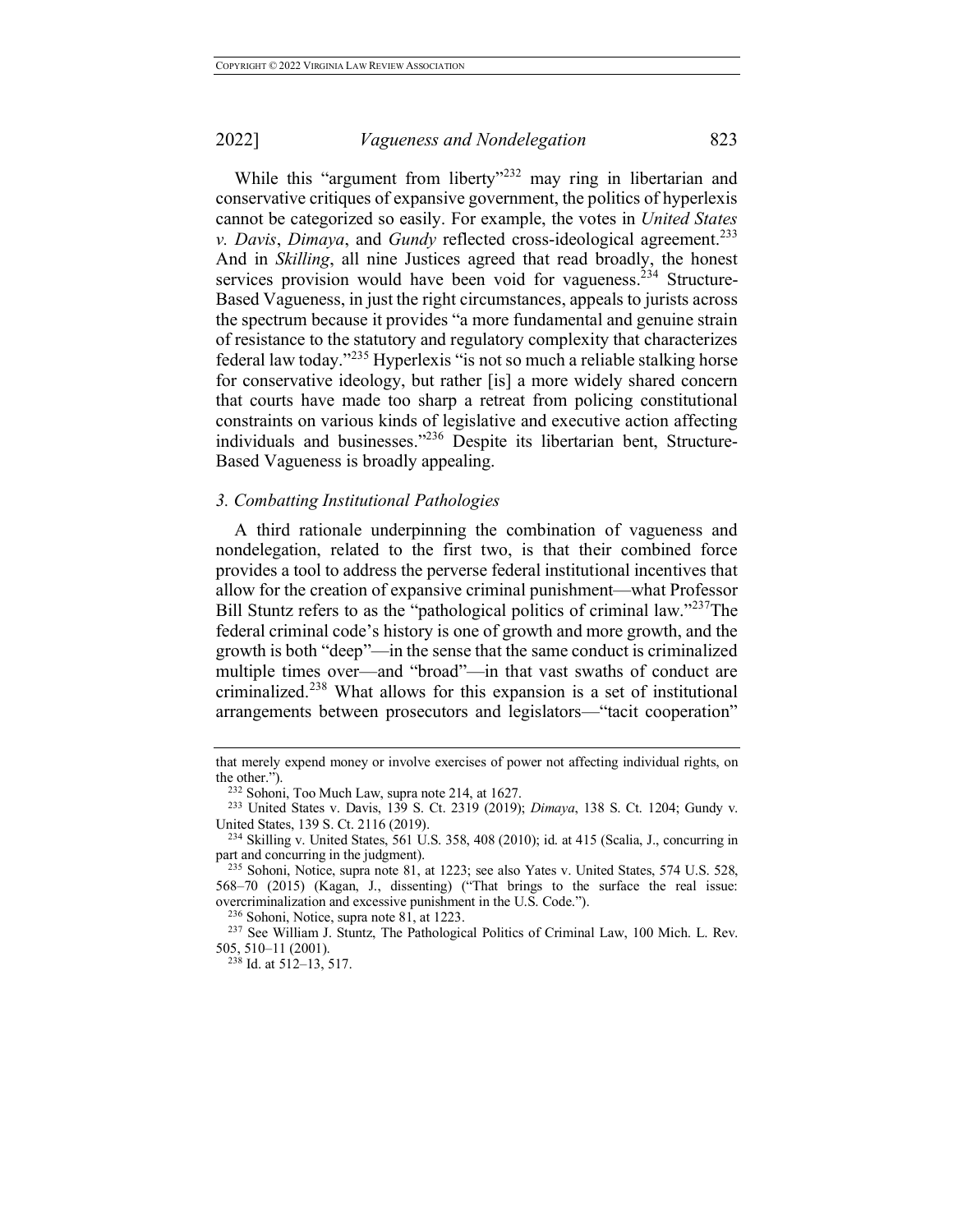While this "argument from liberty"<sup>232</sup> may ring in libertarian and conservative critiques of expansive government, the politics of hyperlexis cannot be categorized so easily. For example, the votes in *United States v. Davis*, *Dimaya*, and *Gundy* reflected cross-ideological agreement. 233 And in *Skilling*, all nine Justices agreed that read broadly, the honest services provision would have been void for vagueness.<sup>234</sup> Structure-Based Vagueness, in just the right circumstances, appeals to jurists across the spectrum because it provides "a more fundamental and genuine strain of resistance to the statutory and regulatory complexity that characterizes federal law today."<sup>235</sup> Hyperlexis "is not so much a reliable stalking horse for conservative ideology, but rather [is] a more widely shared concern that courts have made too sharp a retreat from policing constitutional constraints on various kinds of legislative and executive action affecting individuals and businesses."236 Despite its libertarian bent, Structure-Based Vagueness is broadly appealing.

### *3. Combatting Institutional Pathologies*

A third rationale underpinning the combination of vagueness and nondelegation, related to the first two, is that their combined force provides a tool to address the perverse federal institutional incentives that allow for the creation of expansive criminal punishment—what Professor Bill Stuntz refers to as the "pathological politics of criminal law."<sup>237</sup>The federal criminal code's history is one of growth and more growth, and the growth is both "deep"—in the sense that the same conduct is criminalized multiple times over—and "broad"—in that vast swaths of conduct are criminalized.<sup>238</sup> What allows for this expansion is a set of institutional arrangements between prosecutors and legislators—"tacit cooperation"

<sup>236</sup> Sohoni, Notice, supra note 81, at 1223.

that merely expend money or involve exercises of power not affecting individual rights, on the other.").

<sup>232</sup> Sohoni, Too Much Law, supra note 214, at 1627. 233 United States v. Davis, 139 S. Ct. 2319 (2019); *Dimaya*, 138 S. Ct. 1204; Gundy v. United States, 139 S. Ct. 2116 (2019).

<sup>234</sup> Skilling v. United States, 561 U.S. 358, 408 (2010); id. at 415 (Scalia, J., concurring in part and concurring in the judgment).

<sup>235</sup> Sohoni, Notice, supra note 81, at 1223; see also Yates v. United States, 574 U.S. 528, 568–70 (2015) (Kagan, J., dissenting) ("That brings to the surface the real issue: overcriminalization and excessive punishment in the U.S. Code.").

 $^{237}$  See William J. Stuntz, The Pathological Politics of Criminal Law, 100 Mich. L. Rev. 505, 510–11 (2001).

 $238$  Id. at 512–13, 517.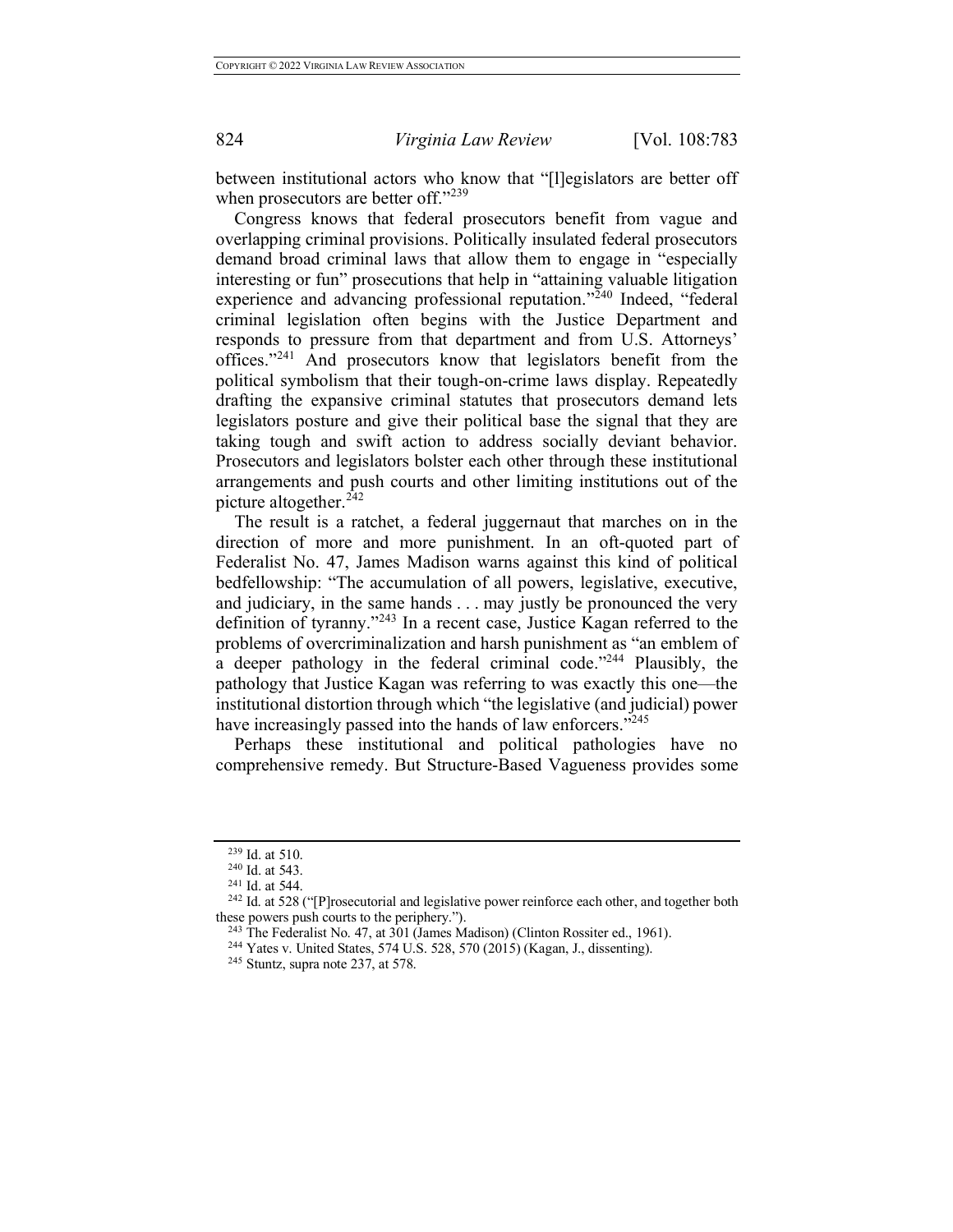between institutional actors who know that "[l]egislators are better off when prosecutors are better off."<sup>239</sup>

Congress knows that federal prosecutors benefit from vague and overlapping criminal provisions. Politically insulated federal prosecutors demand broad criminal laws that allow them to engage in "especially interesting or fun" prosecutions that help in "attaining valuable litigation experience and advancing professional reputation."<sup>240</sup> Indeed, "federal criminal legislation often begins with the Justice Department and responds to pressure from that department and from U.S. Attorneys' offices."<sup>241</sup> And prosecutors know that legislators benefit from the political symbolism that their tough-on-crime laws display. Repeatedly drafting the expansive criminal statutes that prosecutors demand lets legislators posture and give their political base the signal that they are taking tough and swift action to address socially deviant behavior. Prosecutors and legislators bolster each other through these institutional arrangements and push courts and other limiting institutions out of the picture altogether. $2\overline{4}2$ 

The result is a ratchet, a federal juggernaut that marches on in the direction of more and more punishment. In an oft-quoted part of Federalist No. 47, James Madison warns against this kind of political bedfellowship: "The accumulation of all powers, legislative, executive, and judiciary, in the same hands . . . may justly be pronounced the very definition of tyranny."<sup>243</sup> In a recent case, Justice Kagan referred to the problems of overcriminalization and harsh punishment as "an emblem of a deeper pathology in the federal criminal code."<sup>244</sup> Plausibly, the pathology that Justice Kagan was referring to was exactly this one—the institutional distortion through which "the legislative (and judicial) power have increasingly passed into the hands of law enforcers."<sup>245</sup>

Perhaps these institutional and political pathologies have no comprehensive remedy. But Structure-Based Vagueness provides some

 $^{239}$  Id. at 510.<br><sup>240</sup> Id. at 543.

 $241$  Id. at 544.

<sup>&</sup>lt;sup>242</sup> Id. at 528 ("[P]rosecutorial and legislative power reinforce each other, and together both these powers push courts to the periphery.").<br> $^{243}$  The Federalist No. 47, at 301 (James Madison) (Clinton Rossiter ed., 1961).

<sup>&</sup>lt;sup>244</sup> Yates v. United States, 574 U.S. 528, 570 (2015) (Kagan, J., dissenting). <sup>245</sup> Stuntz, supra note 237, at 578.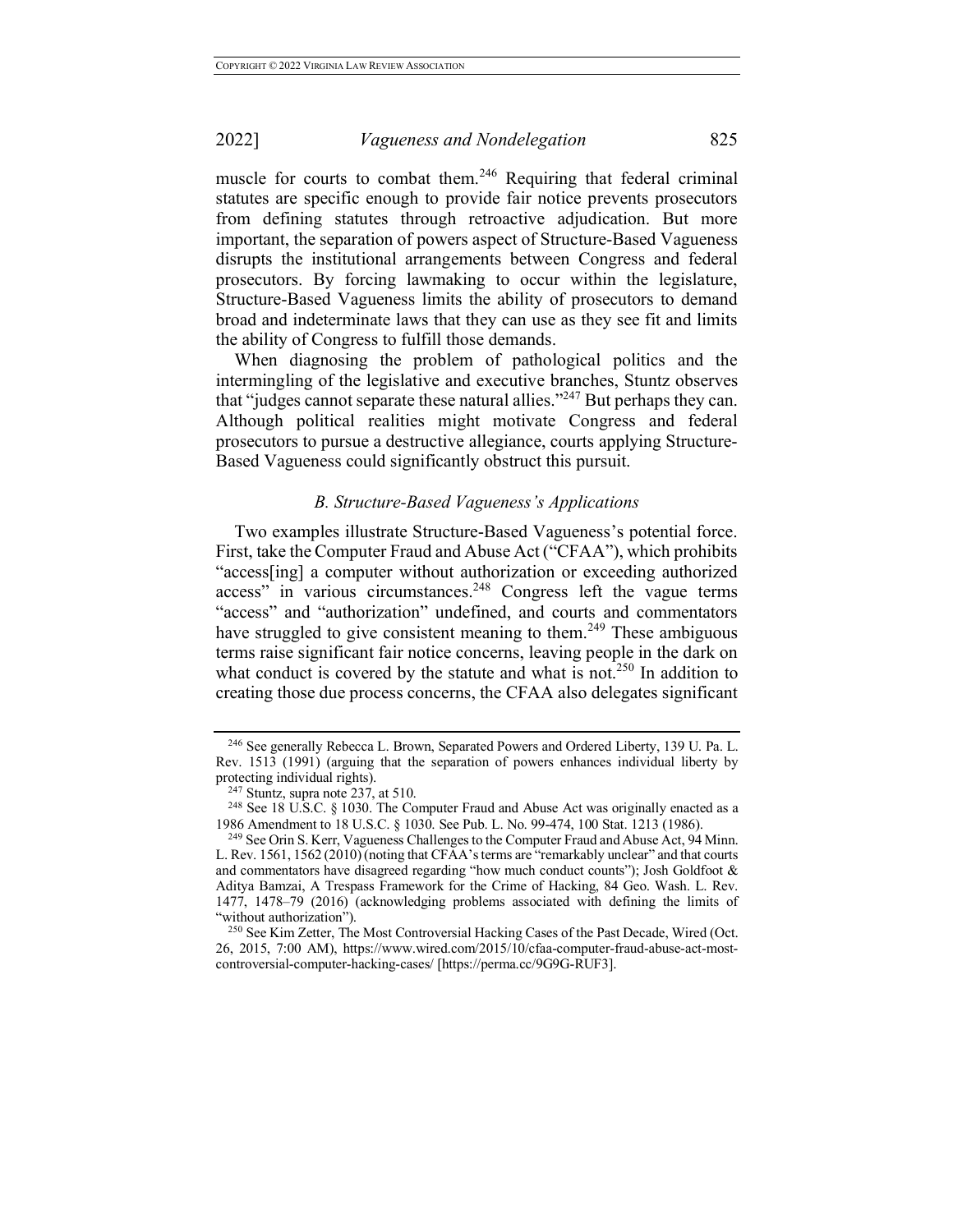muscle for courts to combat them.<sup>246</sup> Requiring that federal criminal statutes are specific enough to provide fair notice prevents prosecutors from defining statutes through retroactive adjudication. But more important, the separation of powers aspect of Structure-Based Vagueness disrupts the institutional arrangements between Congress and federal prosecutors. By forcing lawmaking to occur within the legislature, Structure-Based Vagueness limits the ability of prosecutors to demand broad and indeterminate laws that they can use as they see fit and limits the ability of Congress to fulfill those demands.

When diagnosing the problem of pathological politics and the intermingling of the legislative and executive branches, Stuntz observes that "judges cannot separate these natural allies."247 But perhaps they can. Although political realities might motivate Congress and federal prosecutors to pursue a destructive allegiance, courts applying Structure-Based Vagueness could significantly obstruct this pursuit.

### *B. Structure-Based Vagueness's Applications*

Two examples illustrate Structure-Based Vagueness's potential force. First, take the Computer Fraud and Abuse Act ("CFAA"), which prohibits "access[ing] a computer without authorization or exceeding authorized access" in various circumstances.<sup>248</sup> Congress left the vague terms "access" and "authorization" undefined, and courts and commentators have struggled to give consistent meaning to them.<sup>249</sup> These ambiguous terms raise significant fair notice concerns, leaving people in the dark on what conduct is covered by the statute and what is not.<sup>250</sup> In addition to creating those due process concerns, the CFAA also delegates significant

<sup>246</sup> See generally Rebecca L. Brown, Separated Powers and Ordered Liberty, 139 U. Pa. L. Rev. 1513 (1991) (arguing that the separation of powers enhances individual liberty by protecting individual rights).

 $247$  Stuntz, supra note 237, at 510.

<sup>&</sup>lt;sup>248</sup> See 18 U.S.C. § 1030. The Computer Fraud and Abuse Act was originally enacted as a 1986 Amendment to 18 U.S.C. § 1030. See Pub. L. No. 99-474, 100 Stat. 1213 (1986).

<sup>&</sup>lt;sup>249</sup> See Orin S. Kerr, Vagueness Challenges to the Computer Fraud and Abuse Act, 94 Minn. L. Rev. 1561, 1562 (2010) (noting that CFAA's terms are "remarkably unclear" and that courts and commentators have disagreed regarding "how much conduct counts"); Josh Goldfoot & Aditya Bamzai, A Trespass Framework for the Crime of Hacking, 84 Geo. Wash. L. Rev. 1477, 1478–79 (2016) (acknowledging problems associated with defining the limits of "without authorization").

<sup>&</sup>lt;sup>250</sup> See Kim Zetter, The Most Controversial Hacking Cases of the Past Decade, Wired (Oct. 26, 2015, 7:00 AM), https://www.wired.com/2015/10/cfaa-computer-fraud-abuse-act-mostcontroversial-computer-hacking-cases/ [https://perma.cc/9G9G-RUF3].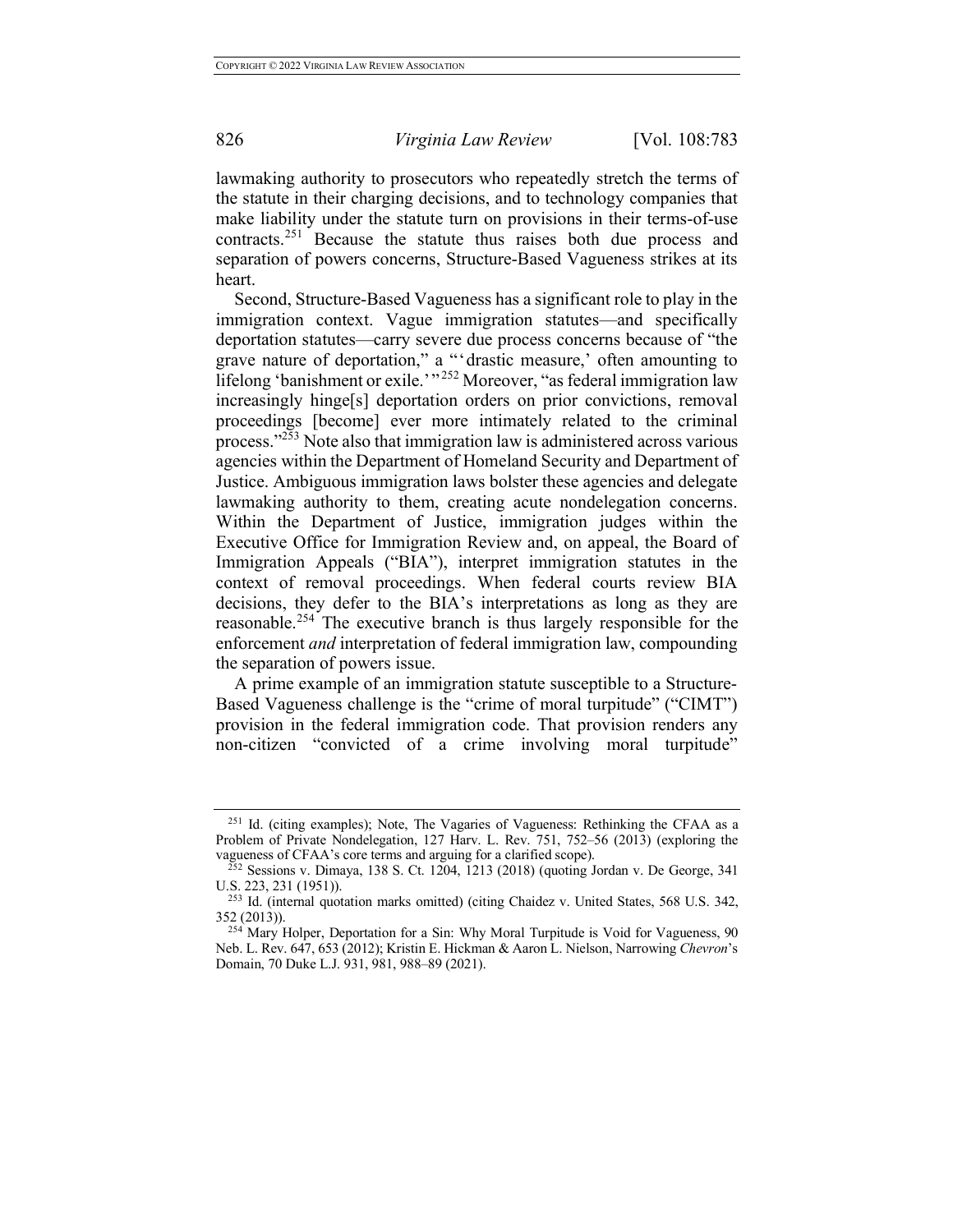lawmaking authority to prosecutors who repeatedly stretch the terms of the statute in their charging decisions, and to technology companies that make liability under the statute turn on provisions in their terms-of-use contracts.<sup>251</sup> Because the statute thus raises both due process and separation of powers concerns, Structure-Based Vagueness strikes at its heart.

Second, Structure-Based Vagueness has a significant role to play in the immigration context. Vague immigration statutes—and specifically deportation statutes—carry severe due process concerns because of "the grave nature of deportation," a "'drastic measure,' often amounting to lifelong 'banishment or exile.' "<sup>252</sup> Moreover, "as federal immigration law increasingly hinge[s] deportation orders on prior convictions, removal proceedings [become] ever more intimately related to the criminal process."253 Note also that immigration law is administered across various agencies within the Department of Homeland Security and Department of Justice. Ambiguous immigration laws bolster these agencies and delegate lawmaking authority to them, creating acute nondelegation concerns. Within the Department of Justice, immigration judges within the Executive Office for Immigration Review and, on appeal, the Board of Immigration Appeals ("BIA"), interpret immigration statutes in the context of removal proceedings. When federal courts review BIA decisions, they defer to the BIA's interpretations as long as they are reasonable.<sup>254</sup> The executive branch is thus largely responsible for the enforcement *and* interpretation of federal immigration law, compounding the separation of powers issue.

A prime example of an immigration statute susceptible to a Structure-Based Vagueness challenge is the "crime of moral turpitude" ("CIMT") provision in the federal immigration code. That provision renders any non-citizen "convicted of a crime involving moral turpitude"

<sup>251</sup> Id. (citing examples); Note, The Vagaries of Vagueness: Rethinking the CFAA as a Problem of Private Nondelegation, 127 Harv. L. Rev. 751, 752–56 (2013) (exploring the vagueness of CFAA's core terms and arguing for a clarified scope).

 $v_{252}$  Sessions v. Dimaya, 138 S. Ct. 1204, 1213 (2018) (quoting Jordan v. De George, 341 U.S. 223, 231 (1951)).

<sup>253</sup> Id. (internal quotation marks omitted) (citing Chaidez v. United States, 568 U.S. 342, 352 (2013)).

<sup>&</sup>lt;sup>254</sup> Mary Holper, Deportation for a Sin: Why Moral Turpitude is Void for Vagueness, 90 Neb. L. Rev. 647, 653 (2012); Kristin E. Hickman & Aaron L. Nielson, Narrowing *Chevron*'s Domain, 70 Duke L.J. 931, 981, 988–89 (2021).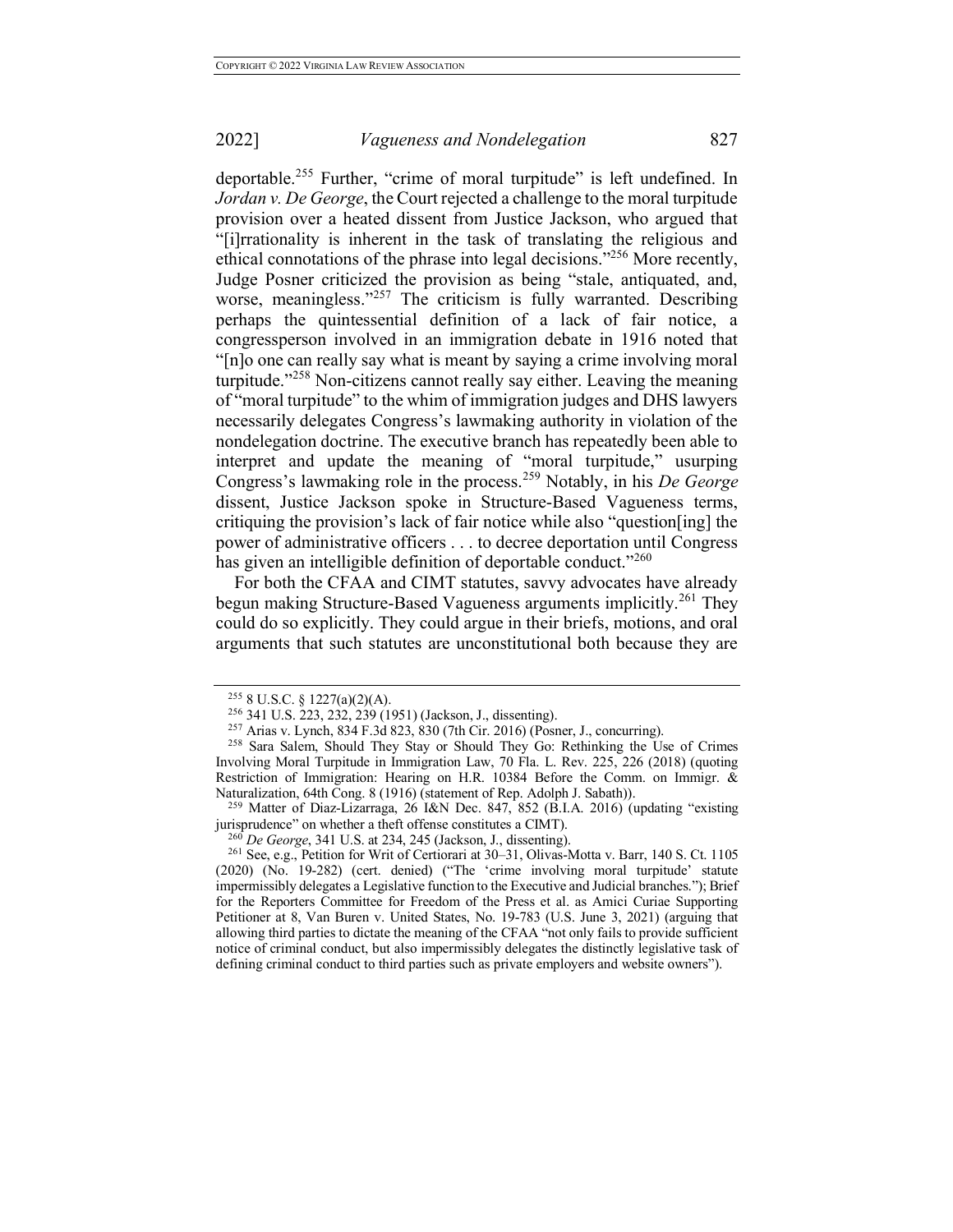deportable.<sup>255</sup> Further, "crime of moral turpitude" is left undefined. In *Jordan v. De George*, the Court rejected a challenge to the moral turpitude provision over a heated dissent from Justice Jackson, who argued that "[i]rrationality is inherent in the task of translating the religious and ethical connotations of the phrase into legal decisions."256 More recently, Judge Posner criticized the provision as being "stale, antiquated, and, worse, meaningless."<sup>257</sup> The criticism is fully warranted. Describing perhaps the quintessential definition of a lack of fair notice, a congressperson involved in an immigration debate in 1916 noted that "[n]o one can really say what is meant by saying a crime involving moral turpitude."<sup>258</sup> Non-citizens cannot really say either. Leaving the meaning of "moral turpitude" to the whim of immigration judges and DHS lawyers necessarily delegates Congress's lawmaking authority in violation of the nondelegation doctrine. The executive branch has repeatedly been able to interpret and update the meaning of "moral turpitude," usurping Congress's lawmaking role in the process.<sup>259</sup> Notably, in his *De George*  dissent, Justice Jackson spoke in Structure-Based Vagueness terms, critiquing the provision's lack of fair notice while also "question[ing] the power of administrative officers . . . to decree deportation until Congress has given an intelligible definition of deportable conduct."<sup>260</sup>

For both the CFAA and CIMT statutes, savvy advocates have already begun making Structure-Based Vagueness arguments implicitly.<sup>261</sup> They could do so explicitly. They could argue in their briefs, motions, and oral arguments that such statutes are unconstitutional both because they are

<sup>255</sup> 8 U.S.C. § 1227(a)(2)(A). 256 341 U.S. 223, 232, 239 (1951) (Jackson, J., dissenting). 257 Arias v. Lynch, 834 F.3d 823, 830 (7th Cir. 2016) (Posner, J., concurring).

<sup>&</sup>lt;sup>258</sup> Sara Salem, Should They Stay or Should They Go: Rethinking the Use of Crimes Involving Moral Turpitude in Immigration Law, 70 Fla. L. Rev. 225, 226 (2018) (quoting Restriction of Immigration: Hearing on H.R. 10384 Before the Comm. on Immigr. & Naturalization, 64th Cong. 8 (1916) (statement of Rep. Adolph J. Sabath)).

<sup>&</sup>lt;sup>259</sup> Matter of Diaz-Lizarraga, 26 I&N Dec. 847, 852 (B.I.A. 2016) (updating "existing jurisprudence" on whether a theft offense constitutes a CIMT).

<sup>260</sup> *De George*, 341 U.S. at 234, 245 (Jackson, J., dissenting).

<sup>261</sup> See, e.g., Petition for Writ of Certiorari at 30–31, Olivas-Motta v. Barr, 140 S. Ct. 1105 (2020) (No. 19-282) (cert. denied) ("The 'crime involving moral turpitude' statute impermissibly delegates a Legislative function to the Executive and Judicial branches."); Brief for the Reporters Committee for Freedom of the Press et al. as Amici Curiae Supporting Petitioner at 8, Van Buren v. United States, No. 19-783 (U.S. June 3, 2021) (arguing that allowing third parties to dictate the meaning of the CFAA "not only fails to provide sufficient notice of criminal conduct, but also impermissibly delegates the distinctly legislative task of defining criminal conduct to third parties such as private employers and website owners").